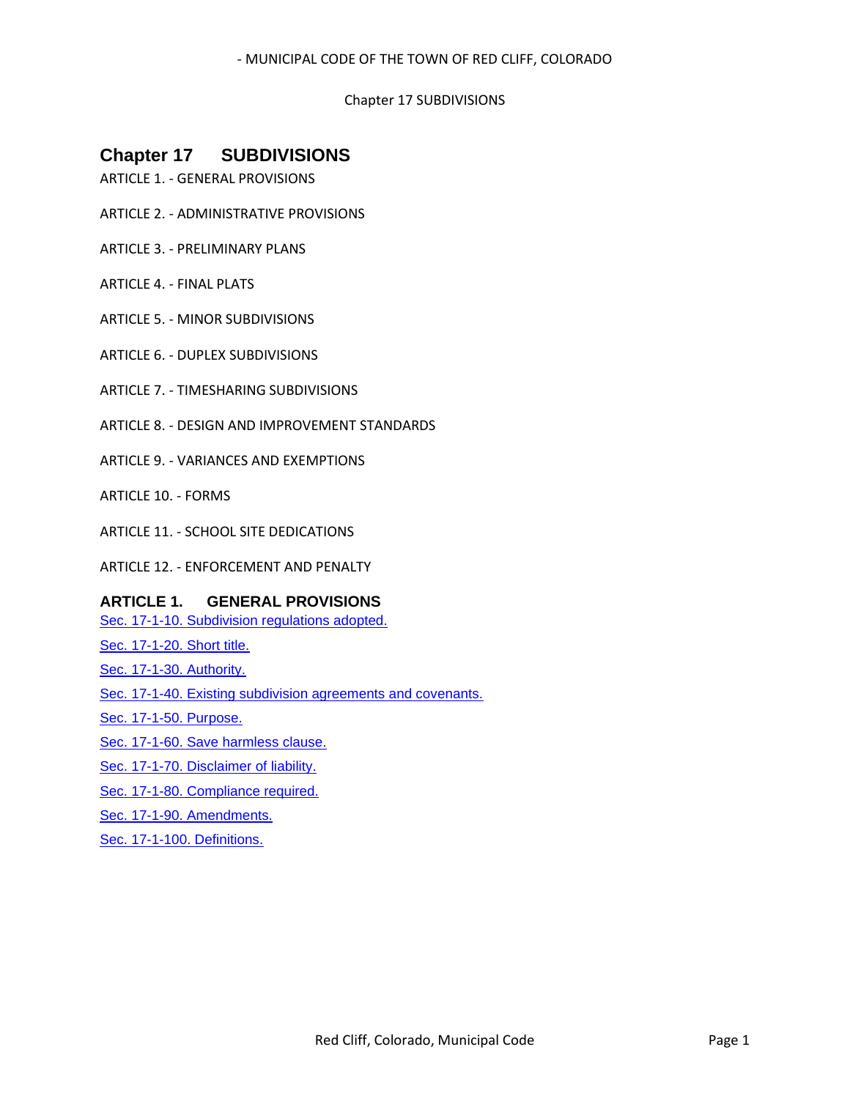#### Chapter 17 SUBDIVISIONS

# **Chapter 17 SUBDIVISIONS**

- ARTICLE 1. GENERAL PROVISIONS
- ARTICLE 2. ADMINISTRATIVE PROVISIONS
- ARTICLE 3. PRELIMINARY PLANS
- ARTICLE 4. FINAL PLATS
- ARTICLE 5. MINOR SUBDIVISIONS
- ARTICLE 6. DUPLEX SUBDIVISIONS
- ARTICLE 7. TIMESHARING SUBDIVISIONS
- ARTICLE 8. DESIGN AND IMPROVEMENT STANDARDS
- ARTICLE 9. VARIANCES AND EXEMPTIONS
- ARTICLE 10. FORMS
- ARTICLE 11. SCHOOL SITE DEDICATIONS
- ARTICLE 12. ENFORCEMENT AND PENALTY

## **ARTICLE 1. GENERAL PROVISIONS**

[Sec. 17-1-10. Subdivision regulations adopted.](#page-1-0)

- [Sec. 17-1-20. Short title.](#page-1-1)
- [Sec. 17-1-30. Authority.](#page-1-2)
- [Sec. 17-1-40. Existing subdivision agreements and covenants.](#page-1-3)
- [Sec. 17-1-50. Purpose.](#page-1-4)
- [Sec. 17-1-60. Save harmless clause.](#page-2-0)
- [Sec. 17-1-70. Disclaimer of liability.](#page-2-1)
- [Sec. 17-1-80. Compliance required.](#page-2-2)
- [Sec. 17-1-90. Amendments.](#page-2-3)
- [Sec. 17-1-100. Definitions.](#page-2-4)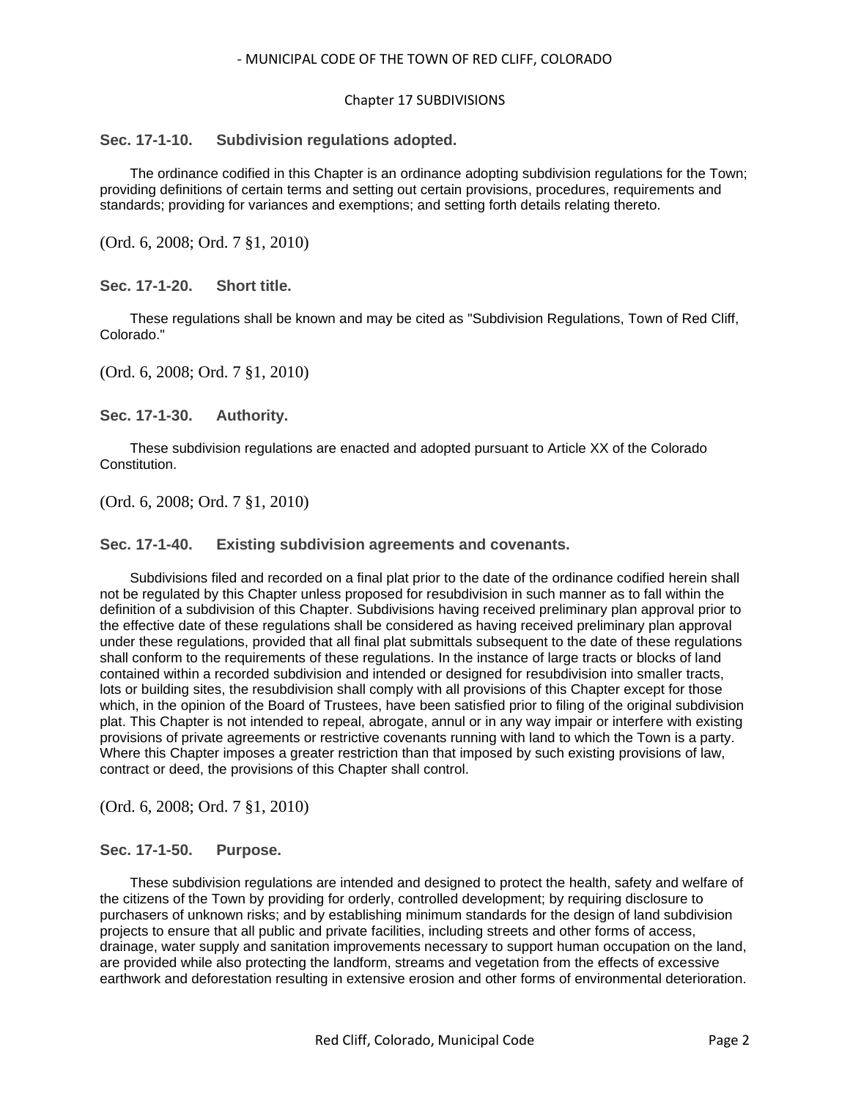#### Chapter 17 SUBDIVISIONS

## <span id="page-1-0"></span>**Sec. 17-1-10. Subdivision regulations adopted.**

The ordinance codified in this Chapter is an ordinance adopting subdivision regulations for the Town; providing definitions of certain terms and setting out certain provisions, procedures, requirements and standards; providing for variances and exemptions; and setting forth details relating thereto.

(Ord. 6, 2008; Ord. 7 §1, 2010)

<span id="page-1-1"></span>**Sec. 17-1-20. Short title.**

These regulations shall be known and may be cited as "Subdivision Regulations, Town of Red Cliff, Colorado."

(Ord. 6, 2008; Ord. 7 §1, 2010)

<span id="page-1-2"></span>**Sec. 17-1-30. Authority.**

These subdivision regulations are enacted and adopted pursuant to Article XX of the Colorado Constitution.

(Ord. 6, 2008; Ord. 7 §1, 2010)

#### <span id="page-1-3"></span>**Sec. 17-1-40. Existing subdivision agreements and covenants.**

Subdivisions filed and recorded on a final plat prior to the date of the ordinance codified herein shall not be regulated by this Chapter unless proposed for resubdivision in such manner as to fall within the definition of a subdivision of this Chapter. Subdivisions having received preliminary plan approval prior to the effective date of these regulations shall be considered as having received preliminary plan approval under these regulations, provided that all final plat submittals subsequent to the date of these regulations shall conform to the requirements of these regulations. In the instance of large tracts or blocks of land contained within a recorded subdivision and intended or designed for resubdivision into smaller tracts, lots or building sites, the resubdivision shall comply with all provisions of this Chapter except for those which, in the opinion of the Board of Trustees, have been satisfied prior to filing of the original subdivision plat. This Chapter is not intended to repeal, abrogate, annul or in any way impair or interfere with existing provisions of private agreements or restrictive covenants running with land to which the Town is a party. Where this Chapter imposes a greater restriction than that imposed by such existing provisions of law, contract or deed, the provisions of this Chapter shall control.

(Ord. 6, 2008; Ord. 7 §1, 2010)

#### <span id="page-1-4"></span>**Sec. 17-1-50. Purpose.**

These subdivision regulations are intended and designed to protect the health, safety and welfare of the citizens of the Town by providing for orderly, controlled development; by requiring disclosure to purchasers of unknown risks; and by establishing minimum standards for the design of land subdivision projects to ensure that all public and private facilities, including streets and other forms of access, drainage, water supply and sanitation improvements necessary to support human occupation on the land, are provided while also protecting the landform, streams and vegetation from the effects of excessive earthwork and deforestation resulting in extensive erosion and other forms of environmental deterioration.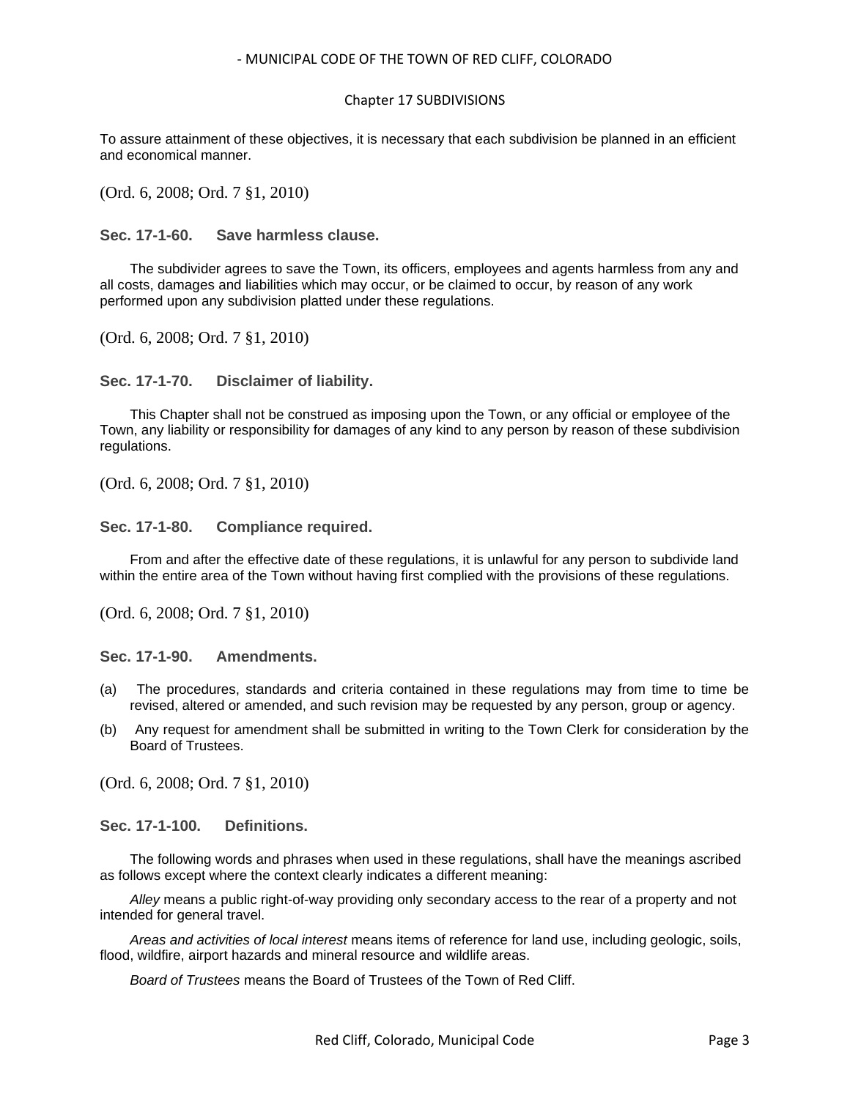To assure attainment of these objectives, it is necessary that each subdivision be planned in an efficient and economical manner.

(Ord. 6, 2008; Ord. 7 §1, 2010)

<span id="page-2-0"></span>**Sec. 17-1-60. Save harmless clause.**

The subdivider agrees to save the Town, its officers, employees and agents harmless from any and all costs, damages and liabilities which may occur, or be claimed to occur, by reason of any work performed upon any subdivision platted under these regulations.

(Ord. 6, 2008; Ord. 7 §1, 2010)

<span id="page-2-1"></span>**Sec. 17-1-70. Disclaimer of liability.**

This Chapter shall not be construed as imposing upon the Town, or any official or employee of the Town, any liability or responsibility for damages of any kind to any person by reason of these subdivision regulations.

(Ord. 6, 2008; Ord. 7 §1, 2010)

<span id="page-2-2"></span>**Sec. 17-1-80. Compliance required.**

From and after the effective date of these regulations, it is unlawful for any person to subdivide land within the entire area of the Town without having first complied with the provisions of these regulations.

(Ord. 6, 2008; Ord. 7 §1, 2010)

<span id="page-2-3"></span>**Sec. 17-1-90. Amendments.**

- (a) The procedures, standards and criteria contained in these regulations may from time to time be revised, altered or amended, and such revision may be requested by any person, group or agency.
- (b) Any request for amendment shall be submitted in writing to the Town Clerk for consideration by the Board of Trustees.

(Ord. 6, 2008; Ord. 7 §1, 2010)

<span id="page-2-4"></span>**Sec. 17-1-100. Definitions.**

The following words and phrases when used in these regulations, shall have the meanings ascribed as follows except where the context clearly indicates a different meaning:

*Alley* means a public right-of-way providing only secondary access to the rear of a property and not intended for general travel.

*Areas and activities of local interest* means items of reference for land use, including geologic, soils, flood, wildfire, airport hazards and mineral resource and wildlife areas.

*Board of Trustees* means the Board of Trustees of the Town of Red Cliff.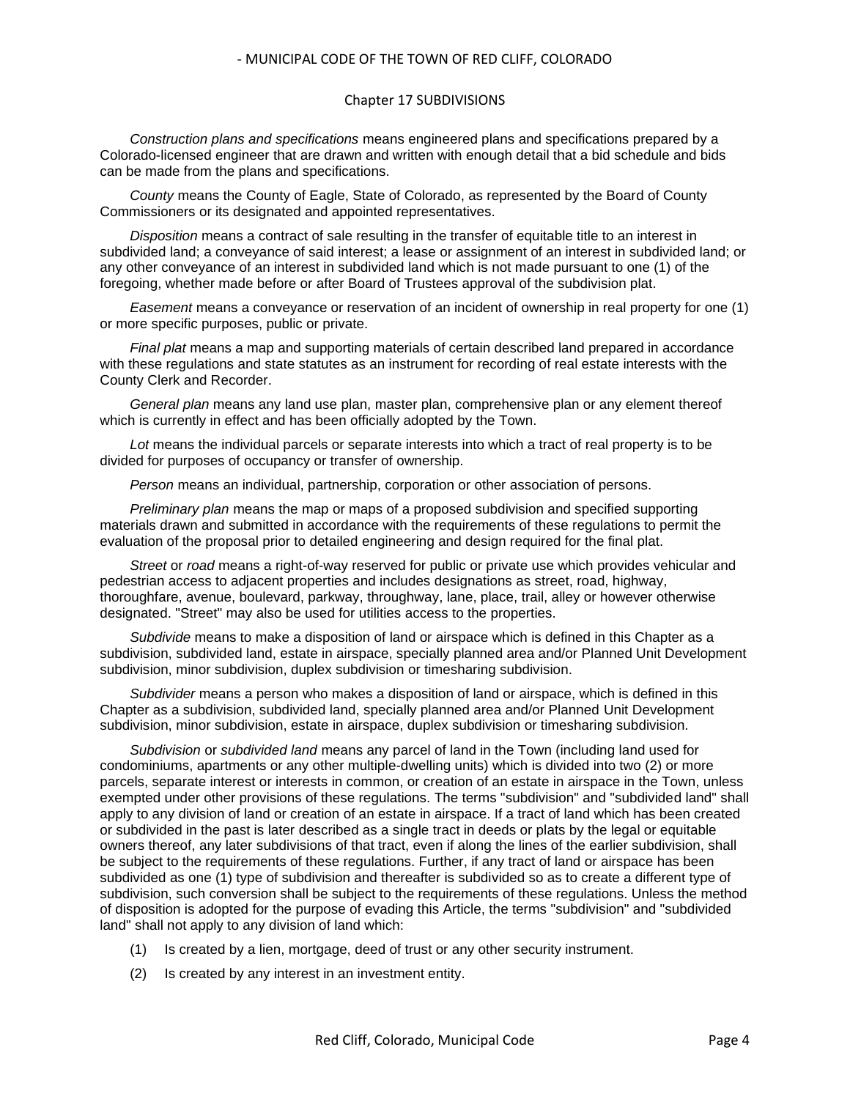#### Chapter 17 SUBDIVISIONS

*Construction plans and specifications* means engineered plans and specifications prepared by a Colorado-licensed engineer that are drawn and written with enough detail that a bid schedule and bids can be made from the plans and specifications.

*County* means the County of Eagle, State of Colorado, as represented by the Board of County Commissioners or its designated and appointed representatives.

*Disposition* means a contract of sale resulting in the transfer of equitable title to an interest in subdivided land; a conveyance of said interest; a lease or assignment of an interest in subdivided land; or any other conveyance of an interest in subdivided land which is not made pursuant to one (1) of the foregoing, whether made before or after Board of Trustees approval of the subdivision plat.

*Easement* means a conveyance or reservation of an incident of ownership in real property for one (1) or more specific purposes, public or private.

*Final plat* means a map and supporting materials of certain described land prepared in accordance with these regulations and state statutes as an instrument for recording of real estate interests with the County Clerk and Recorder.

*General plan* means any land use plan, master plan, comprehensive plan or any element thereof which is currently in effect and has been officially adopted by the Town.

*Lot* means the individual parcels or separate interests into which a tract of real property is to be divided for purposes of occupancy or transfer of ownership.

*Person* means an individual, partnership, corporation or other association of persons.

*Preliminary plan* means the map or maps of a proposed subdivision and specified supporting materials drawn and submitted in accordance with the requirements of these regulations to permit the evaluation of the proposal prior to detailed engineering and design required for the final plat.

*Street* or *road* means a right-of-way reserved for public or private use which provides vehicular and pedestrian access to adjacent properties and includes designations as street, road, highway, thoroughfare, avenue, boulevard, parkway, throughway, lane, place, trail, alley or however otherwise designated. "Street" may also be used for utilities access to the properties.

*Subdivide* means to make a disposition of land or airspace which is defined in this Chapter as a subdivision, subdivided land, estate in airspace, specially planned area and/or Planned Unit Development subdivision, minor subdivision, duplex subdivision or timesharing subdivision.

*Subdivider* means a person who makes a disposition of land or airspace, which is defined in this Chapter as a subdivision, subdivided land, specially planned area and/or Planned Unit Development subdivision, minor subdivision, estate in airspace, duplex subdivision or timesharing subdivision.

*Subdivision* or *subdivided land* means any parcel of land in the Town (including land used for condominiums, apartments or any other multiple-dwelling units) which is divided into two (2) or more parcels, separate interest or interests in common, or creation of an estate in airspace in the Town, unless exempted under other provisions of these regulations. The terms "subdivision" and "subdivided land" shall apply to any division of land or creation of an estate in airspace. If a tract of land which has been created or subdivided in the past is later described as a single tract in deeds or plats by the legal or equitable owners thereof, any later subdivisions of that tract, even if along the lines of the earlier subdivision, shall be subject to the requirements of these regulations. Further, if any tract of land or airspace has been subdivided as one (1) type of subdivision and thereafter is subdivided so as to create a different type of subdivision, such conversion shall be subject to the requirements of these regulations. Unless the method of disposition is adopted for the purpose of evading this Article, the terms "subdivision" and "subdivided land" shall not apply to any division of land which:

- (1) Is created by a lien, mortgage, deed of trust or any other security instrument.
- (2) Is created by any interest in an investment entity.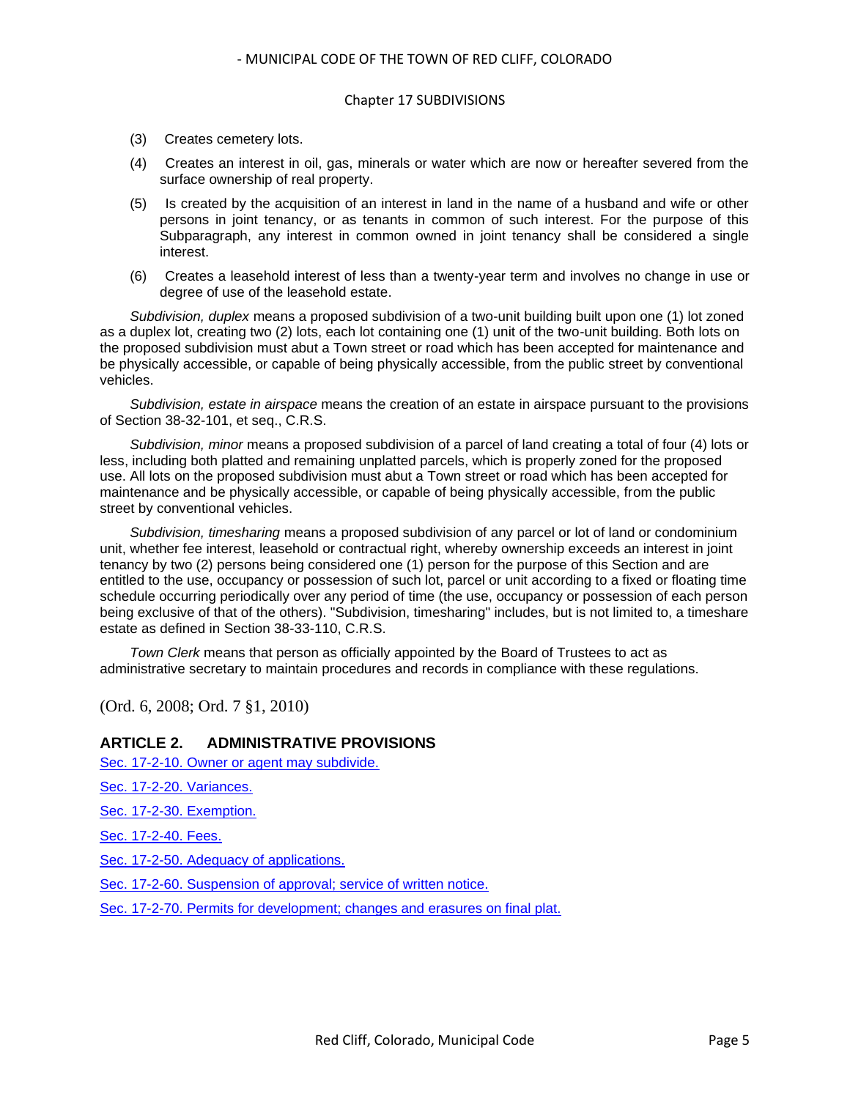- (3) Creates cemetery lots.
- (4) Creates an interest in oil, gas, minerals or water which are now or hereafter severed from the surface ownership of real property.
- (5) Is created by the acquisition of an interest in land in the name of a husband and wife or other persons in joint tenancy, or as tenants in common of such interest. For the purpose of this Subparagraph, any interest in common owned in joint tenancy shall be considered a single interest.
- (6) Creates a leasehold interest of less than a twenty-year term and involves no change in use or degree of use of the leasehold estate.

*Subdivision, duplex* means a proposed subdivision of a two-unit building built upon one (1) lot zoned as a duplex lot, creating two (2) lots, each lot containing one (1) unit of the two-unit building. Both lots on the proposed subdivision must abut a Town street or road which has been accepted for maintenance and be physically accessible, or capable of being physically accessible, from the public street by conventional vehicles.

*Subdivision, estate in airspace* means the creation of an estate in airspace pursuant to the provisions of Section 38-32-101, et seq., C.R.S.

*Subdivision, minor* means a proposed subdivision of a parcel of land creating a total of four (4) lots or less, including both platted and remaining unplatted parcels, which is properly zoned for the proposed use. All lots on the proposed subdivision must abut a Town street or road which has been accepted for maintenance and be physically accessible, or capable of being physically accessible, from the public street by conventional vehicles.

*Subdivision, timesharing* means a proposed subdivision of any parcel or lot of land or condominium unit, whether fee interest, leasehold or contractual right, whereby ownership exceeds an interest in joint tenancy by two (2) persons being considered one (1) person for the purpose of this Section and are entitled to the use, occupancy or possession of such lot, parcel or unit according to a fixed or floating time schedule occurring periodically over any period of time (the use, occupancy or possession of each person being exclusive of that of the others). "Subdivision, timesharing" includes, but is not limited to, a timeshare estate as defined in Section 38-33-110, C.R.S.

*Town Clerk* means that person as officially appointed by the Board of Trustees to act as administrative secretary to maintain procedures and records in compliance with these regulations.

(Ord. 6, 2008; Ord. 7 §1, 2010)

## **ARTICLE 2. ADMINISTRATIVE PROVISIONS**

[Sec. 17-2-10. Owner or agent may subdivide.](#page-5-0)

[Sec. 17-2-20. Variances.](#page-5-1)

[Sec. 17-2-30. Exemption.](#page-5-2)

[Sec. 17-2-40. Fees.](#page-5-3)

[Sec. 17-2-50. Adequacy of applications.](#page-6-0)

[Sec. 17-2-60. Suspension of approval; service of written notice.](#page-6-1)

[Sec. 17-2-70. Permits for development; changes and erasures on final plat.](#page-7-0)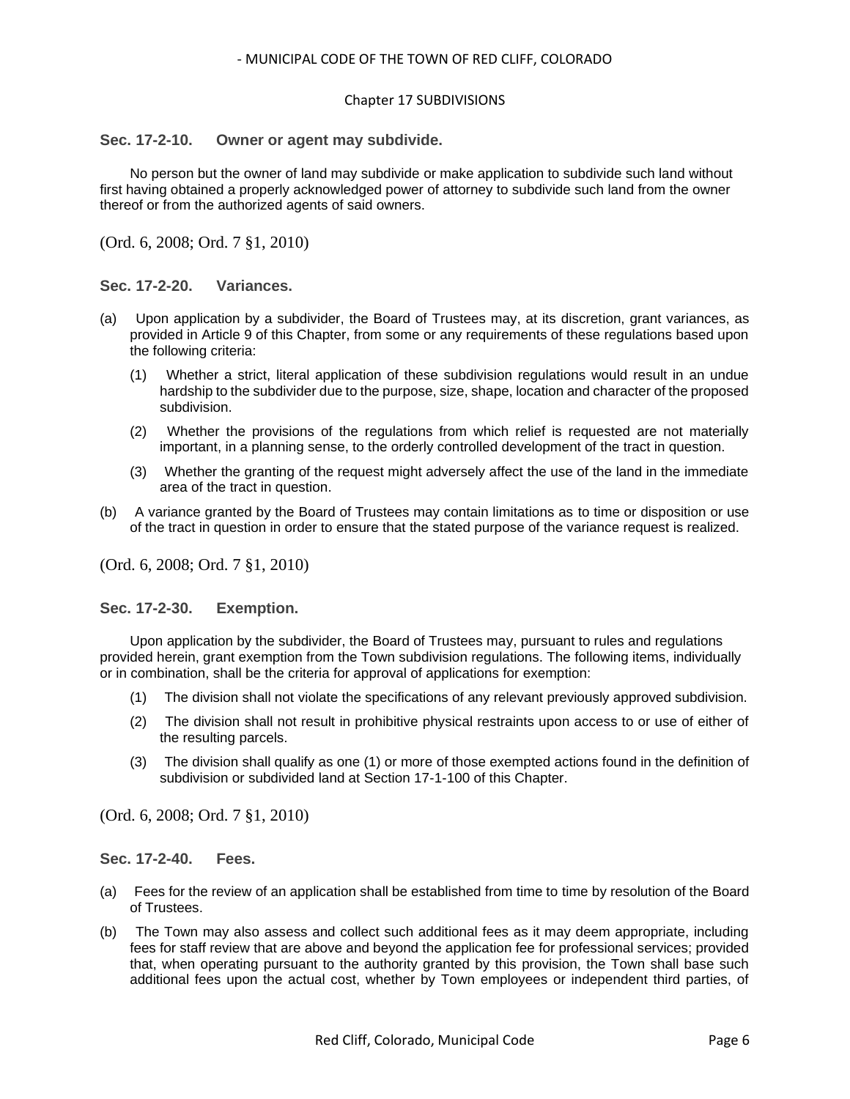#### <span id="page-5-0"></span>**Sec. 17-2-10. Owner or agent may subdivide.**

No person but the owner of land may subdivide or make application to subdivide such land without first having obtained a properly acknowledged power of attorney to subdivide such land from the owner thereof or from the authorized agents of said owners.

(Ord. 6, 2008; Ord. 7 §1, 2010)

#### <span id="page-5-1"></span>**Sec. 17-2-20. Variances.**

- (a) Upon application by a subdivider, the Board of Trustees may, at its discretion, grant variances, as provided in Article 9 of this Chapter, from some or any requirements of these regulations based upon the following criteria:
	- (1) Whether a strict, literal application of these subdivision regulations would result in an undue hardship to the subdivider due to the purpose, size, shape, location and character of the proposed subdivision.
	- (2) Whether the provisions of the regulations from which relief is requested are not materially important, in a planning sense, to the orderly controlled development of the tract in question.
	- (3) Whether the granting of the request might adversely affect the use of the land in the immediate area of the tract in question.
- (b) A variance granted by the Board of Trustees may contain limitations as to time or disposition or use of the tract in question in order to ensure that the stated purpose of the variance request is realized.

(Ord. 6, 2008; Ord. 7 §1, 2010)

#### <span id="page-5-2"></span>**Sec. 17-2-30. Exemption.**

Upon application by the subdivider, the Board of Trustees may, pursuant to rules and regulations provided herein, grant exemption from the Town subdivision regulations. The following items, individually or in combination, shall be the criteria for approval of applications for exemption:

- (1) The division shall not violate the specifications of any relevant previously approved subdivision.
- (2) The division shall not result in prohibitive physical restraints upon access to or use of either of the resulting parcels.
- (3) The division shall qualify as one (1) or more of those exempted actions found in the definition of subdivision or subdivided land at Section 17-1-100 of this Chapter.

(Ord. 6, 2008; Ord. 7 §1, 2010)

<span id="page-5-3"></span>**Sec. 17-2-40. Fees.**

- (a) Fees for the review of an application shall be established from time to time by resolution of the Board of Trustees.
- (b) The Town may also assess and collect such additional fees as it may deem appropriate, including fees for staff review that are above and beyond the application fee for professional services; provided that, when operating pursuant to the authority granted by this provision, the Town shall base such additional fees upon the actual cost, whether by Town employees or independent third parties, of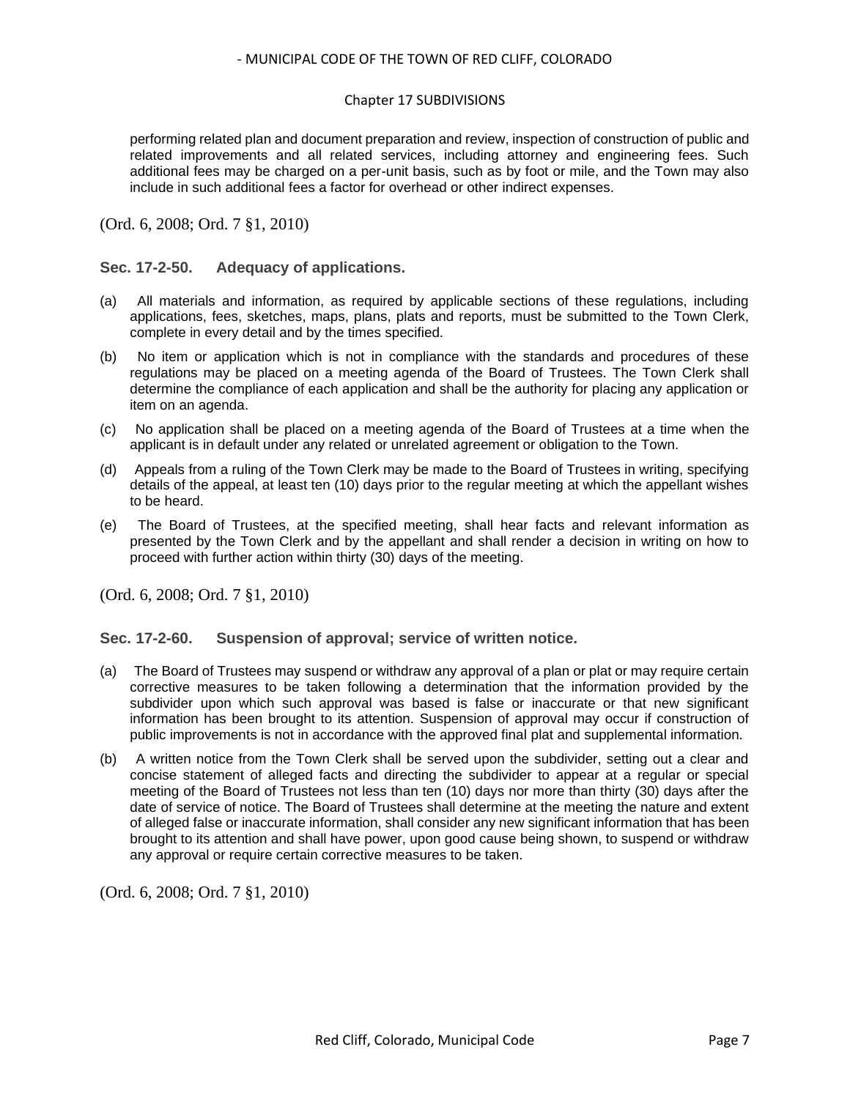#### Chapter 17 SUBDIVISIONS

performing related plan and document preparation and review, inspection of construction of public and related improvements and all related services, including attorney and engineering fees. Such additional fees may be charged on a per-unit basis, such as by foot or mile, and the Town may also include in such additional fees a factor for overhead or other indirect expenses.

(Ord. 6, 2008; Ord. 7 §1, 2010)

## <span id="page-6-0"></span>**Sec. 17-2-50. Adequacy of applications.**

- (a) All materials and information, as required by applicable sections of these regulations, including applications, fees, sketches, maps, plans, plats and reports, must be submitted to the Town Clerk, complete in every detail and by the times specified.
- (b) No item or application which is not in compliance with the standards and procedures of these regulations may be placed on a meeting agenda of the Board of Trustees. The Town Clerk shall determine the compliance of each application and shall be the authority for placing any application or item on an agenda.
- (c) No application shall be placed on a meeting agenda of the Board of Trustees at a time when the applicant is in default under any related or unrelated agreement or obligation to the Town.
- (d) Appeals from a ruling of the Town Clerk may be made to the Board of Trustees in writing, specifying details of the appeal, at least ten (10) days prior to the regular meeting at which the appellant wishes to be heard.
- (e) The Board of Trustees, at the specified meeting, shall hear facts and relevant information as presented by the Town Clerk and by the appellant and shall render a decision in writing on how to proceed with further action within thirty (30) days of the meeting.

(Ord. 6, 2008; Ord. 7 §1, 2010)

#### <span id="page-6-1"></span>**Sec. 17-2-60. Suspension of approval; service of written notice.**

- (a) The Board of Trustees may suspend or withdraw any approval of a plan or plat or may require certain corrective measures to be taken following a determination that the information provided by the subdivider upon which such approval was based is false or inaccurate or that new significant information has been brought to its attention. Suspension of approval may occur if construction of public improvements is not in accordance with the approved final plat and supplemental information.
- (b) A written notice from the Town Clerk shall be served upon the subdivider, setting out a clear and concise statement of alleged facts and directing the subdivider to appear at a regular or special meeting of the Board of Trustees not less than ten (10) days nor more than thirty (30) days after the date of service of notice. The Board of Trustees shall determine at the meeting the nature and extent of alleged false or inaccurate information, shall consider any new significant information that has been brought to its attention and shall have power, upon good cause being shown, to suspend or withdraw any approval or require certain corrective measures to be taken.

(Ord. 6, 2008; Ord. 7 §1, 2010)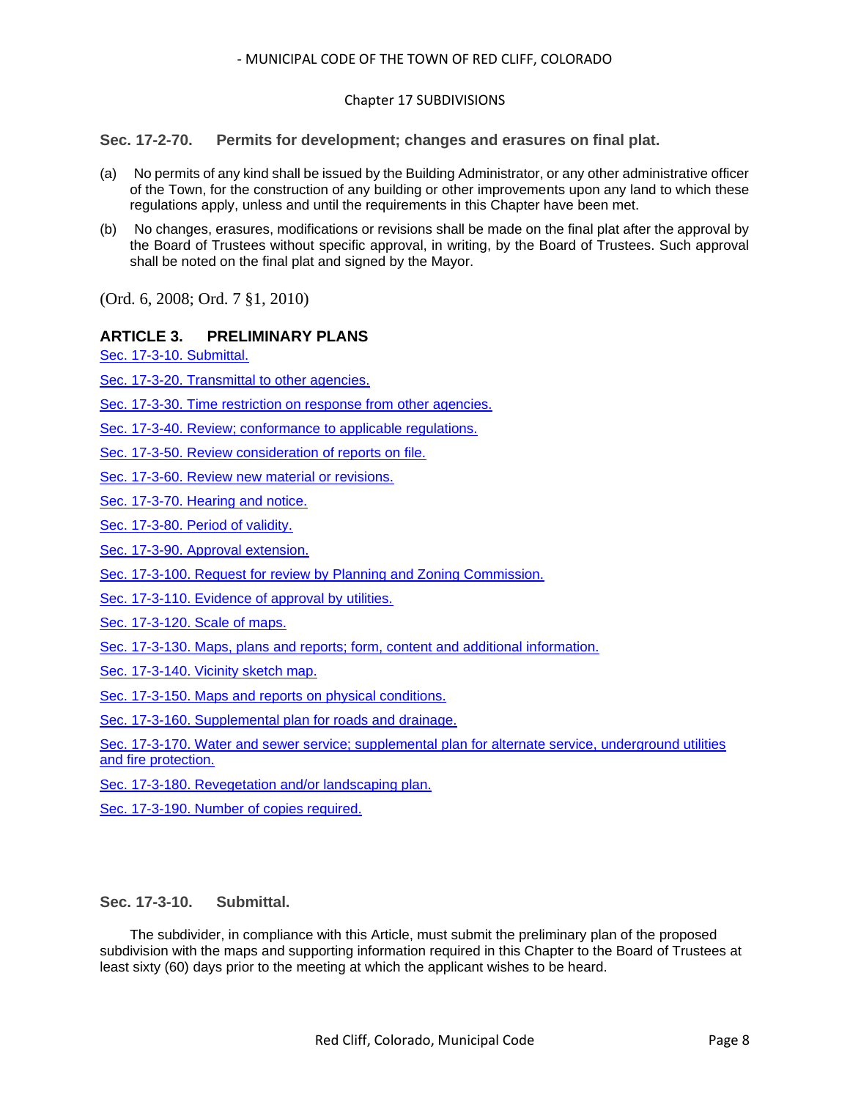## Chapter 17 SUBDIVISIONS

<span id="page-7-0"></span>**Sec. 17-2-70. Permits for development; changes and erasures on final plat.**

- (a) No permits of any kind shall be issued by the Building Administrator, or any other administrative officer of the Town, for the construction of any building or other improvements upon any land to which these regulations apply, unless and until the requirements in this Chapter have been met.
- (b) No changes, erasures, modifications or revisions shall be made on the final plat after the approval by the Board of Trustees without specific approval, in writing, by the Board of Trustees. Such approval shall be noted on the final plat and signed by the Mayor.

(Ord. 6, 2008; Ord. 7 §1, 2010)

## **ARTICLE 3. PRELIMINARY PLANS**

[Sec. 17-3-10. Submittal.](#page-7-1)

[Sec. 17-3-20. Transmittal to other agencies.](#page-8-0)

[Sec. 17-3-30. Time restriction on response from other agencies.](#page-8-1)

[Sec. 17-3-40. Review; conformance to applicable regulations.](#page-8-2)

- [Sec. 17-3-50. Review consideration of reports on file.](#page-8-3)
- [Sec. 17-3-60. Review new material or revisions.](#page-9-0)

[Sec. 17-3-70. Hearing and notice.](#page-9-1)

[Sec. 17-3-80. Period of validity.](#page-9-2)

[Sec. 17-3-90. Approval extension.](#page-9-3)

[Sec. 17-3-100. Request for review by Planning and Zoning Commission.](#page-9-4)

[Sec. 17-3-110. Evidence of approval by utilities.](#page-10-0)

[Sec. 17-3-120. Scale of maps.](#page-10-1)

[Sec. 17-3-130. Maps, plans and reports; form, content and additional information.](#page-10-2)

[Sec. 17-3-140. Vicinity sketch map.](#page-12-0)

[Sec. 17-3-150. Maps and reports on physical conditions.](#page-12-1)

[Sec. 17-3-160. Supplemental plan for roads and drainage.](#page-13-0)

[Sec. 17-3-170. Water and sewer service; supplemental plan for alternate service, underground utilities](#page-13-1)  [and fire protection.](#page-13-1)

[Sec. 17-3-180. Revegetation and/or landscaping plan.](#page-15-0)

[Sec. 17-3-190. Number of copies required.](#page-15-1)

## <span id="page-7-1"></span>**Sec. 17-3-10. Submittal.**

The subdivider, in compliance with this Article, must submit the preliminary plan of the proposed subdivision with the maps and supporting information required in this Chapter to the Board of Trustees at least sixty (60) days prior to the meeting at which the applicant wishes to be heard.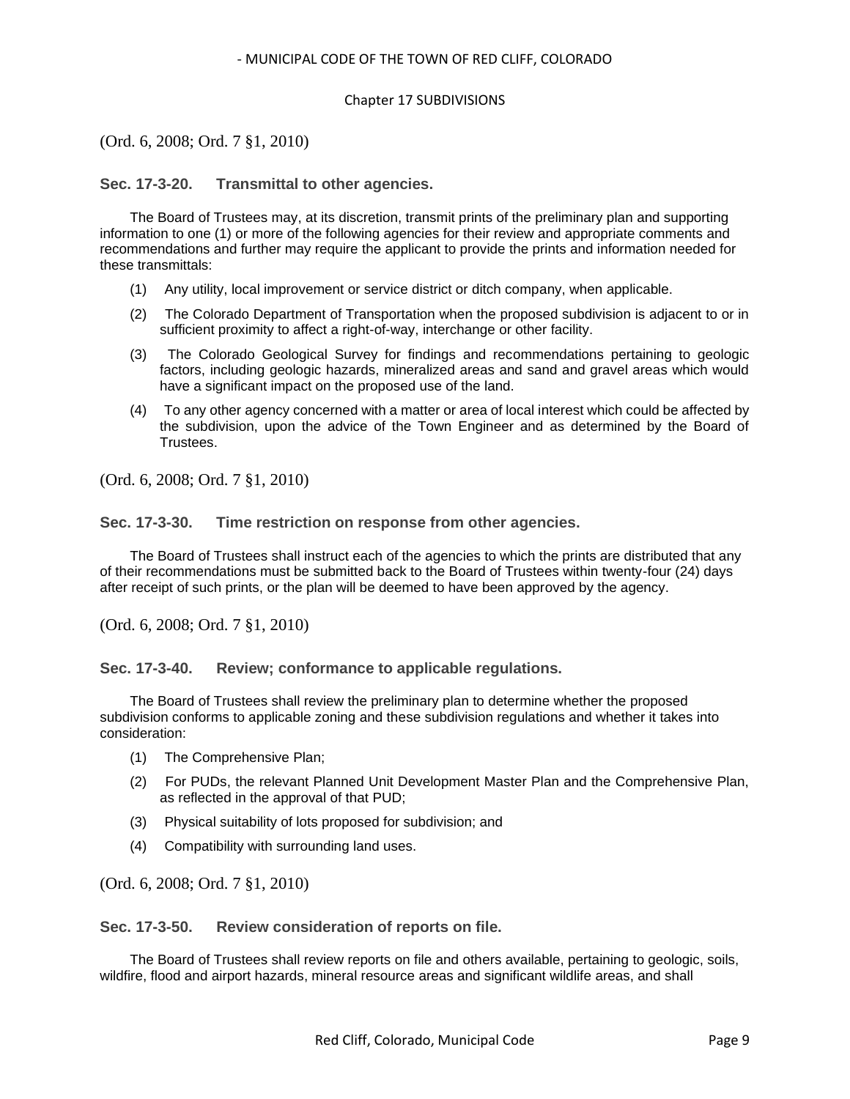#### Chapter 17 SUBDIVISIONS

(Ord. 6, 2008; Ord. 7 §1, 2010)

## <span id="page-8-0"></span>**Sec. 17-3-20. Transmittal to other agencies.**

The Board of Trustees may, at its discretion, transmit prints of the preliminary plan and supporting information to one (1) or more of the following agencies for their review and appropriate comments and recommendations and further may require the applicant to provide the prints and information needed for these transmittals:

- (1) Any utility, local improvement or service district or ditch company, when applicable.
- (2) The Colorado Department of Transportation when the proposed subdivision is adjacent to or in sufficient proximity to affect a right-of-way, interchange or other facility.
- (3) The Colorado Geological Survey for findings and recommendations pertaining to geologic factors, including geologic hazards, mineralized areas and sand and gravel areas which would have a significant impact on the proposed use of the land.
- (4) To any other agency concerned with a matter or area of local interest which could be affected by the subdivision, upon the advice of the Town Engineer and as determined by the Board of Trustees.

(Ord. 6, 2008; Ord. 7 §1, 2010)

<span id="page-8-1"></span>**Sec. 17-3-30. Time restriction on response from other agencies.**

The Board of Trustees shall instruct each of the agencies to which the prints are distributed that any of their recommendations must be submitted back to the Board of Trustees within twenty-four (24) days after receipt of such prints, or the plan will be deemed to have been approved by the agency.

(Ord. 6, 2008; Ord. 7 §1, 2010)

<span id="page-8-2"></span>**Sec. 17-3-40. Review; conformance to applicable regulations.**

The Board of Trustees shall review the preliminary plan to determine whether the proposed subdivision conforms to applicable zoning and these subdivision regulations and whether it takes into consideration:

- (1) The Comprehensive Plan;
- (2) For PUDs, the relevant Planned Unit Development Master Plan and the Comprehensive Plan, as reflected in the approval of that PUD;
- (3) Physical suitability of lots proposed for subdivision; and
- (4) Compatibility with surrounding land uses.

(Ord. 6, 2008; Ord. 7 §1, 2010)

<span id="page-8-3"></span>**Sec. 17-3-50. Review consideration of reports on file.**

The Board of Trustees shall review reports on file and others available, pertaining to geologic, soils, wildfire, flood and airport hazards, mineral resource areas and significant wildlife areas, and shall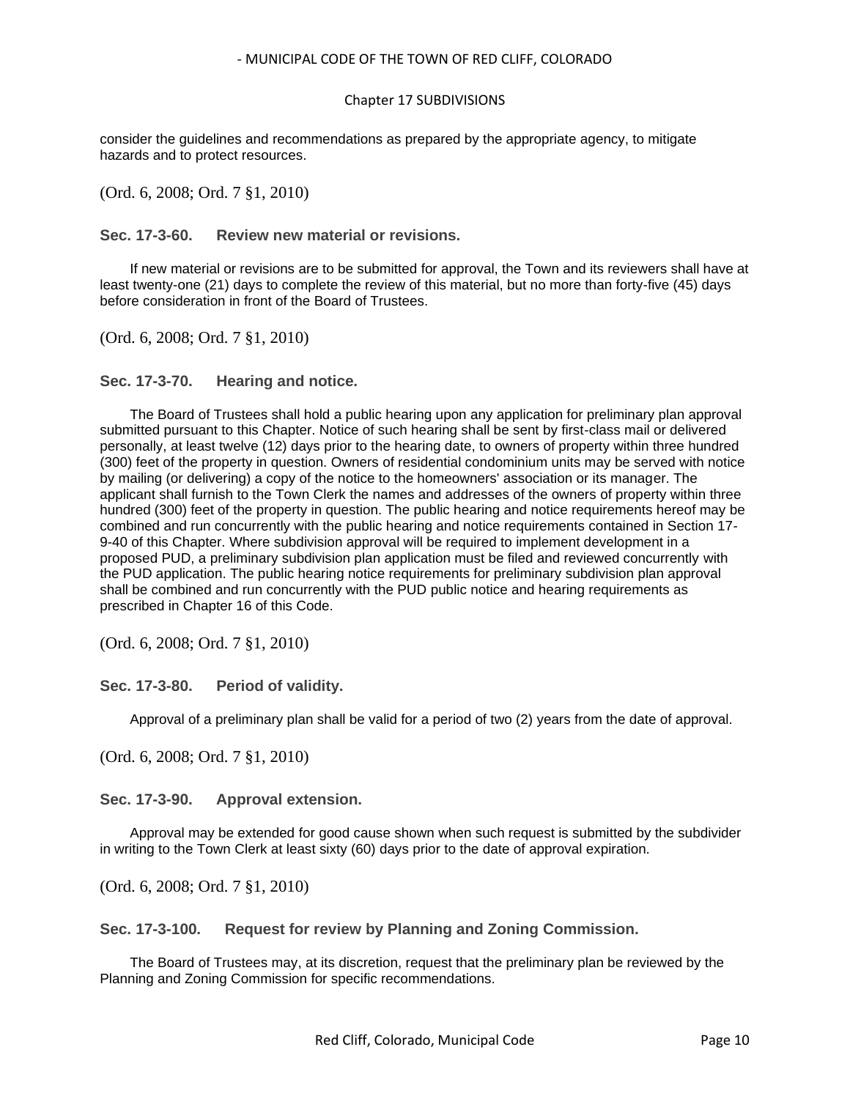#### Chapter 17 SUBDIVISIONS

consider the guidelines and recommendations as prepared by the appropriate agency, to mitigate hazards and to protect resources.

(Ord. 6, 2008; Ord. 7 §1, 2010)

<span id="page-9-0"></span>**Sec. 17-3-60. Review new material or revisions.**

If new material or revisions are to be submitted for approval, the Town and its reviewers shall have at least twenty-one (21) days to complete the review of this material, but no more than forty-five (45) days before consideration in front of the Board of Trustees.

(Ord. 6, 2008; Ord. 7 §1, 2010)

<span id="page-9-1"></span>**Sec. 17-3-70. Hearing and notice.**

The Board of Trustees shall hold a public hearing upon any application for preliminary plan approval submitted pursuant to this Chapter. Notice of such hearing shall be sent by first-class mail or delivered personally, at least twelve (12) days prior to the hearing date, to owners of property within three hundred (300) feet of the property in question. Owners of residential condominium units may be served with notice by mailing (or delivering) a copy of the notice to the homeowners' association or its manager. The applicant shall furnish to the Town Clerk the names and addresses of the owners of property within three hundred (300) feet of the property in question. The public hearing and notice requirements hereof may be combined and run concurrently with the public hearing and notice requirements contained in Section 17- 9-40 of this Chapter. Where subdivision approval will be required to implement development in a proposed PUD, a preliminary subdivision plan application must be filed and reviewed concurrently with the PUD application. The public hearing notice requirements for preliminary subdivision plan approval shall be combined and run concurrently with the PUD public notice and hearing requirements as prescribed in Chapter 16 of this Code.

(Ord. 6, 2008; Ord. 7 §1, 2010)

<span id="page-9-2"></span>**Sec. 17-3-80. Period of validity.**

Approval of a preliminary plan shall be valid for a period of two (2) years from the date of approval.

(Ord. 6, 2008; Ord. 7 §1, 2010)

<span id="page-9-3"></span>**Sec. 17-3-90. Approval extension.**

Approval may be extended for good cause shown when such request is submitted by the subdivider in writing to the Town Clerk at least sixty (60) days prior to the date of approval expiration.

(Ord. 6, 2008; Ord. 7 §1, 2010)

<span id="page-9-4"></span>**Sec. 17-3-100. Request for review by Planning and Zoning Commission.**

The Board of Trustees may, at its discretion, request that the preliminary plan be reviewed by the Planning and Zoning Commission for specific recommendations.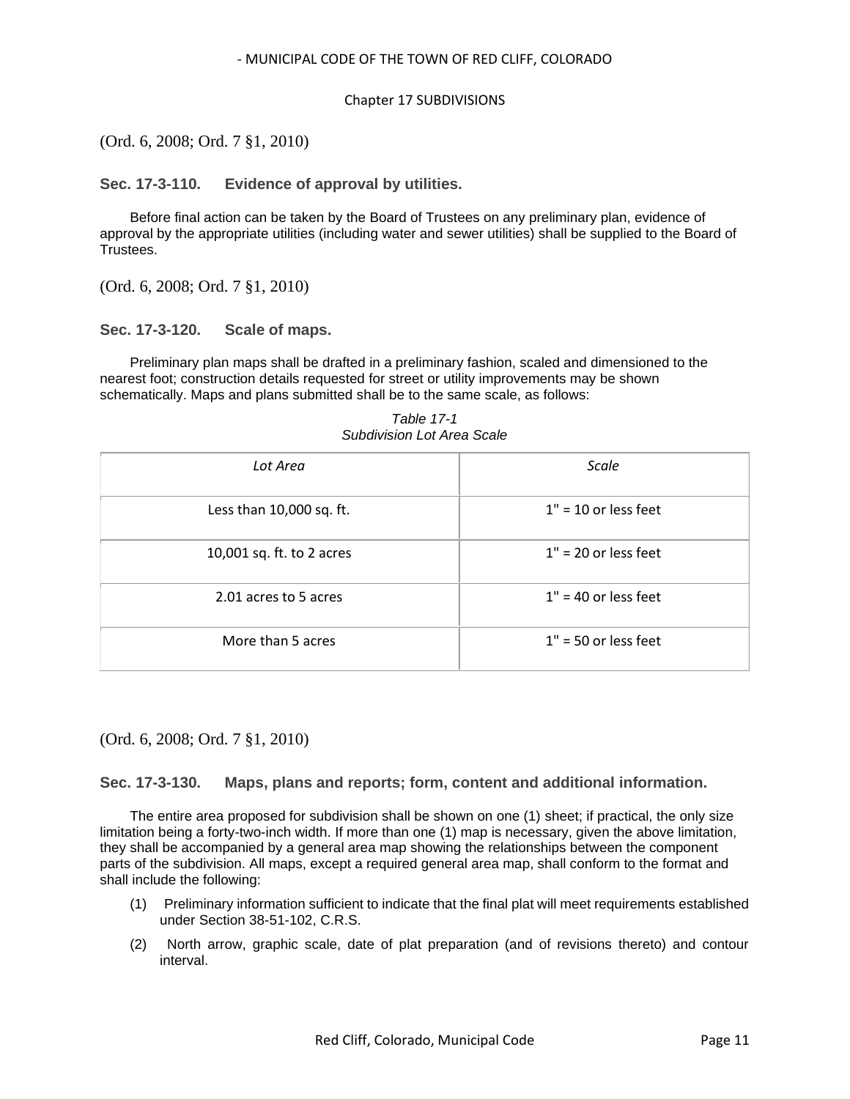#### Chapter 17 SUBDIVISIONS

(Ord. 6, 2008; Ord. 7 §1, 2010)

<span id="page-10-0"></span>**Sec. 17-3-110. Evidence of approval by utilities.**

Before final action can be taken by the Board of Trustees on any preliminary plan, evidence of approval by the appropriate utilities (including water and sewer utilities) shall be supplied to the Board of Trustees.

(Ord. 6, 2008; Ord. 7 §1, 2010)

#### <span id="page-10-1"></span>**Sec. 17-3-120. Scale of maps.**

Preliminary plan maps shall be drafted in a preliminary fashion, scaled and dimensioned to the nearest foot; construction details requested for street or utility improvements may be shown schematically. Maps and plans submitted shall be to the same scale, as follows:

| Lot Area                  | Scale                  |
|---------------------------|------------------------|
| Less than 10,000 sq. ft.  | $1" = 10$ or less feet |
| 10,001 sq. ft. to 2 acres | $1" = 20$ or less feet |
| 2.01 acres to 5 acres     | $1" = 40$ or less feet |
| More than 5 acres         | $1" = 50$ or less feet |

*Table 17-1 Subdivision Lot Area Scale*

(Ord. 6, 2008; Ord. 7 §1, 2010)

## <span id="page-10-2"></span>**Sec. 17-3-130. Maps, plans and reports; form, content and additional information.**

The entire area proposed for subdivision shall be shown on one (1) sheet; if practical, the only size limitation being a forty-two-inch width. If more than one (1) map is necessary, given the above limitation, they shall be accompanied by a general area map showing the relationships between the component parts of the subdivision. All maps, except a required general area map, shall conform to the format and shall include the following:

- (1) Preliminary information sufficient to indicate that the final plat will meet requirements established under Section 38-51-102, C.R.S.
- (2) North arrow, graphic scale, date of plat preparation (and of revisions thereto) and contour interval.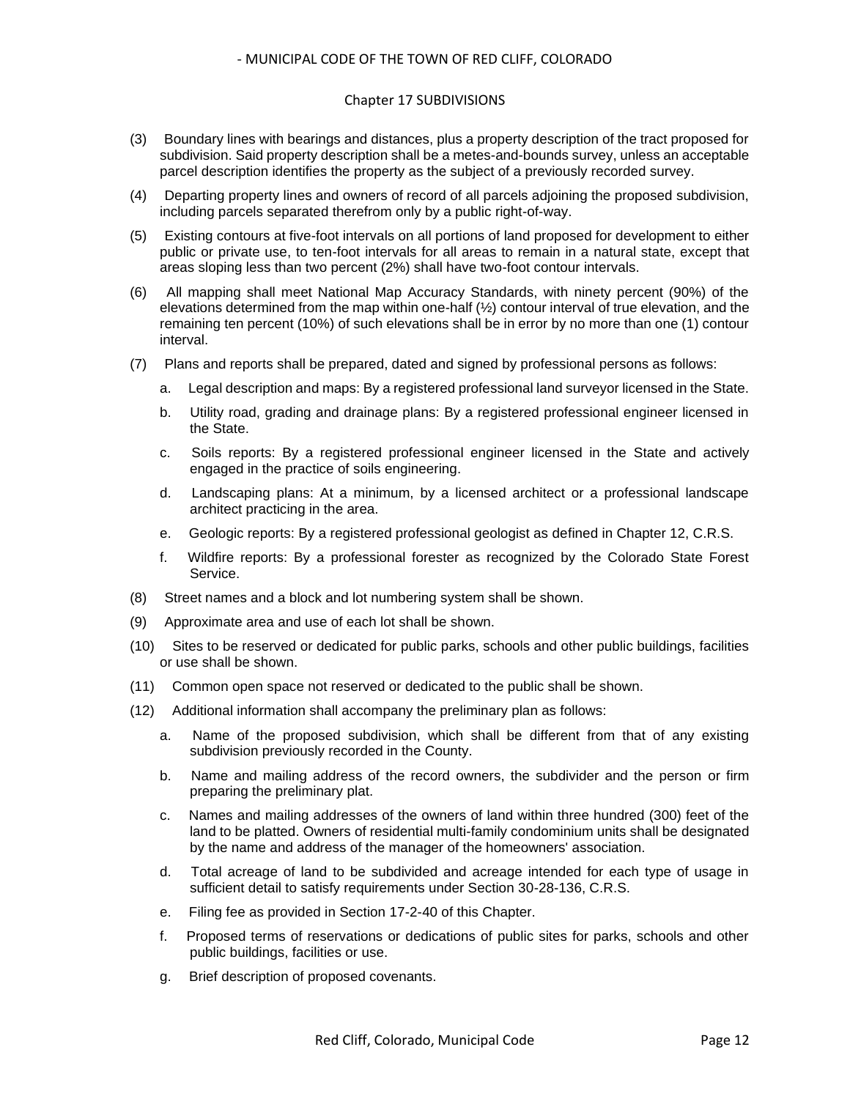#### Chapter 17 SUBDIVISIONS

- (3) Boundary lines with bearings and distances, plus a property description of the tract proposed for subdivision. Said property description shall be a metes-and-bounds survey, unless an acceptable parcel description identifies the property as the subject of a previously recorded survey.
- (4) Departing property lines and owners of record of all parcels adjoining the proposed subdivision, including parcels separated therefrom only by a public right-of-way.
- (5) Existing contours at five-foot intervals on all portions of land proposed for development to either public or private use, to ten-foot intervals for all areas to remain in a natural state, except that areas sloping less than two percent (2%) shall have two-foot contour intervals.
- (6) All mapping shall meet National Map Accuracy Standards, with ninety percent (90%) of the elevations determined from the map within one-half (½) contour interval of true elevation, and the remaining ten percent (10%) of such elevations shall be in error by no more than one (1) contour interval.
- (7) Plans and reports shall be prepared, dated and signed by professional persons as follows:
	- a. Legal description and maps: By a registered professional land surveyor licensed in the State.
	- b. Utility road, grading and drainage plans: By a registered professional engineer licensed in the State.
	- c. Soils reports: By a registered professional engineer licensed in the State and actively engaged in the practice of soils engineering.
	- d. Landscaping plans: At a minimum, by a licensed architect or a professional landscape architect practicing in the area.
	- e. Geologic reports: By a registered professional geologist as defined in Chapter 12, C.R.S.
	- f. Wildfire reports: By a professional forester as recognized by the Colorado State Forest Service.
- (8) Street names and a block and lot numbering system shall be shown.
- (9) Approximate area and use of each lot shall be shown.
- (10) Sites to be reserved or dedicated for public parks, schools and other public buildings, facilities or use shall be shown.
- (11) Common open space not reserved or dedicated to the public shall be shown.
- (12) Additional information shall accompany the preliminary plan as follows:
	- a. Name of the proposed subdivision, which shall be different from that of any existing subdivision previously recorded in the County.
	- b. Name and mailing address of the record owners, the subdivider and the person or firm preparing the preliminary plat.
	- c. Names and mailing addresses of the owners of land within three hundred (300) feet of the land to be platted. Owners of residential multi-family condominium units shall be designated by the name and address of the manager of the homeowners' association.
	- d. Total acreage of land to be subdivided and acreage intended for each type of usage in sufficient detail to satisfy requirements under Section 30-28-136, C.R.S.
	- e. Filing fee as provided in Section 17-2-40 of this Chapter.
	- f. Proposed terms of reservations or dedications of public sites for parks, schools and other public buildings, facilities or use.
	- g. Brief description of proposed covenants.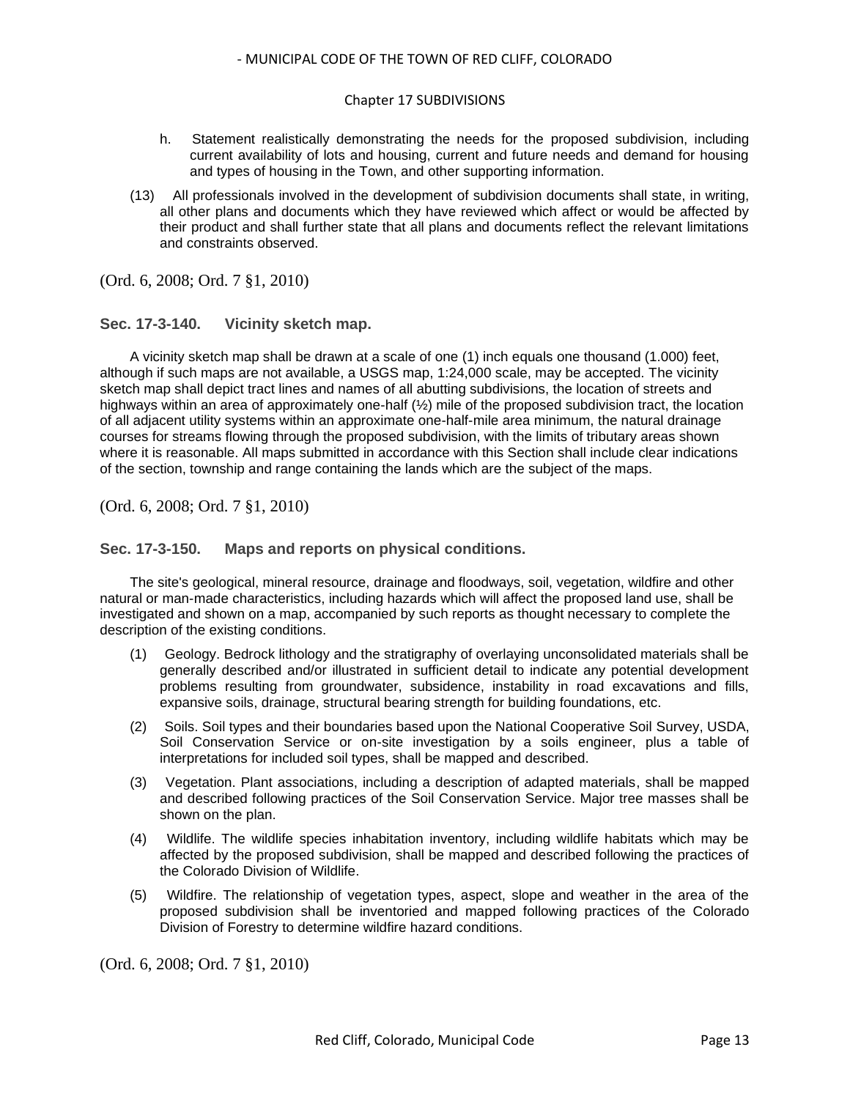#### Chapter 17 SUBDIVISIONS

- h. Statement realistically demonstrating the needs for the proposed subdivision, including current availability of lots and housing, current and future needs and demand for housing and types of housing in the Town, and other supporting information.
- (13) All professionals involved in the development of subdivision documents shall state, in writing, all other plans and documents which they have reviewed which affect or would be affected by their product and shall further state that all plans and documents reflect the relevant limitations and constraints observed.

(Ord. 6, 2008; Ord. 7 §1, 2010)

## <span id="page-12-0"></span>**Sec. 17-3-140. Vicinity sketch map.**

A vicinity sketch map shall be drawn at a scale of one (1) inch equals one thousand (1.000) feet, although if such maps are not available, a USGS map, 1:24,000 scale, may be accepted. The vicinity sketch map shall depict tract lines and names of all abutting subdivisions, the location of streets and highways within an area of approximately one-half (1/2) mile of the proposed subdivision tract, the location of all adjacent utility systems within an approximate one-half-mile area minimum, the natural drainage courses for streams flowing through the proposed subdivision, with the limits of tributary areas shown where it is reasonable. All maps submitted in accordance with this Section shall include clear indications of the section, township and range containing the lands which are the subject of the maps.

(Ord. 6, 2008; Ord. 7 §1, 2010)

## <span id="page-12-1"></span>**Sec. 17-3-150. Maps and reports on physical conditions.**

The site's geological, mineral resource, drainage and floodways, soil, vegetation, wildfire and other natural or man-made characteristics, including hazards which will affect the proposed land use, shall be investigated and shown on a map, accompanied by such reports as thought necessary to complete the description of the existing conditions.

- (1) Geology. Bedrock lithology and the stratigraphy of overlaying unconsolidated materials shall be generally described and/or illustrated in sufficient detail to indicate any potential development problems resulting from groundwater, subsidence, instability in road excavations and fills, expansive soils, drainage, structural bearing strength for building foundations, etc.
- (2) Soils. Soil types and their boundaries based upon the National Cooperative Soil Survey, USDA, Soil Conservation Service or on-site investigation by a soils engineer, plus a table of interpretations for included soil types, shall be mapped and described.
- (3) Vegetation. Plant associations, including a description of adapted materials, shall be mapped and described following practices of the Soil Conservation Service. Major tree masses shall be shown on the plan.
- (4) Wildlife. The wildlife species inhabitation inventory, including wildlife habitats which may be affected by the proposed subdivision, shall be mapped and described following the practices of the Colorado Division of Wildlife.
- (5) Wildfire. The relationship of vegetation types, aspect, slope and weather in the area of the proposed subdivision shall be inventoried and mapped following practices of the Colorado Division of Forestry to determine wildfire hazard conditions.

(Ord. 6, 2008; Ord. 7 §1, 2010)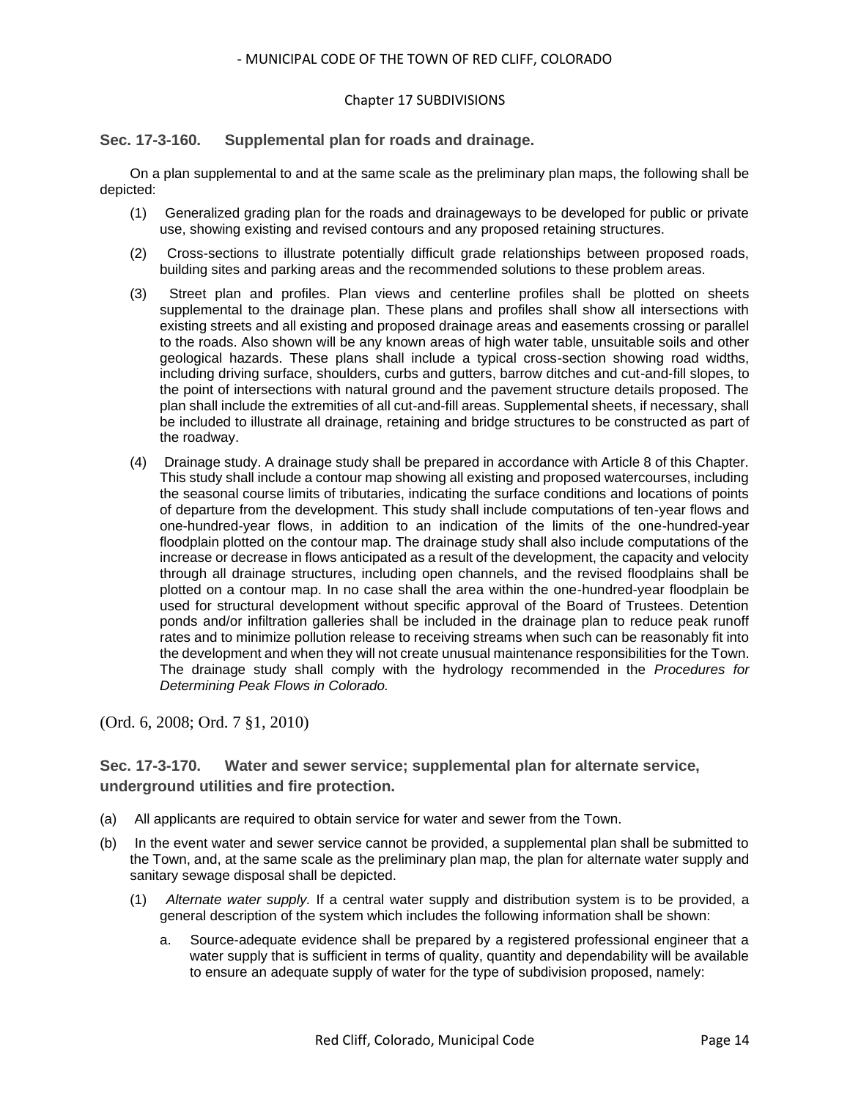#### Chapter 17 SUBDIVISIONS

## <span id="page-13-0"></span>**Sec. 17-3-160. Supplemental plan for roads and drainage.**

On a plan supplemental to and at the same scale as the preliminary plan maps, the following shall be depicted:

- (1) Generalized grading plan for the roads and drainageways to be developed for public or private use, showing existing and revised contours and any proposed retaining structures.
- (2) Cross-sections to illustrate potentially difficult grade relationships between proposed roads, building sites and parking areas and the recommended solutions to these problem areas.
- (3) Street plan and profiles. Plan views and centerline profiles shall be plotted on sheets supplemental to the drainage plan. These plans and profiles shall show all intersections with existing streets and all existing and proposed drainage areas and easements crossing or parallel to the roads. Also shown will be any known areas of high water table, unsuitable soils and other geological hazards. These plans shall include a typical cross-section showing road widths, including driving surface, shoulders, curbs and gutters, barrow ditches and cut-and-fill slopes, to the point of intersections with natural ground and the pavement structure details proposed. The plan shall include the extremities of all cut-and-fill areas. Supplemental sheets, if necessary, shall be included to illustrate all drainage, retaining and bridge structures to be constructed as part of the roadway.
- (4) Drainage study. A drainage study shall be prepared in accordance with Article 8 of this Chapter. This study shall include a contour map showing all existing and proposed watercourses, including the seasonal course limits of tributaries, indicating the surface conditions and locations of points of departure from the development. This study shall include computations of ten-year flows and one-hundred-year flows, in addition to an indication of the limits of the one-hundred-year floodplain plotted on the contour map. The drainage study shall also include computations of the increase or decrease in flows anticipated as a result of the development, the capacity and velocity through all drainage structures, including open channels, and the revised floodplains shall be plotted on a contour map. In no case shall the area within the one-hundred-year floodplain be used for structural development without specific approval of the Board of Trustees. Detention ponds and/or infiltration galleries shall be included in the drainage plan to reduce peak runoff rates and to minimize pollution release to receiving streams when such can be reasonably fit into the development and when they will not create unusual maintenance responsibilities for the Town. The drainage study shall comply with the hydrology recommended in the *Procedures for Determining Peak Flows in Colorado.*

(Ord. 6, 2008; Ord. 7 §1, 2010)

## <span id="page-13-1"></span>**Sec. 17-3-170. Water and sewer service; supplemental plan for alternate service, underground utilities and fire protection.**

- (a) All applicants are required to obtain service for water and sewer from the Town.
- (b) In the event water and sewer service cannot be provided, a supplemental plan shall be submitted to the Town, and, at the same scale as the preliminary plan map, the plan for alternate water supply and sanitary sewage disposal shall be depicted.
	- (1) *Alternate water supply.* If a central water supply and distribution system is to be provided, a general description of the system which includes the following information shall be shown:
		- a. Source-adequate evidence shall be prepared by a registered professional engineer that a water supply that is sufficient in terms of quality, quantity and dependability will be available to ensure an adequate supply of water for the type of subdivision proposed, namely: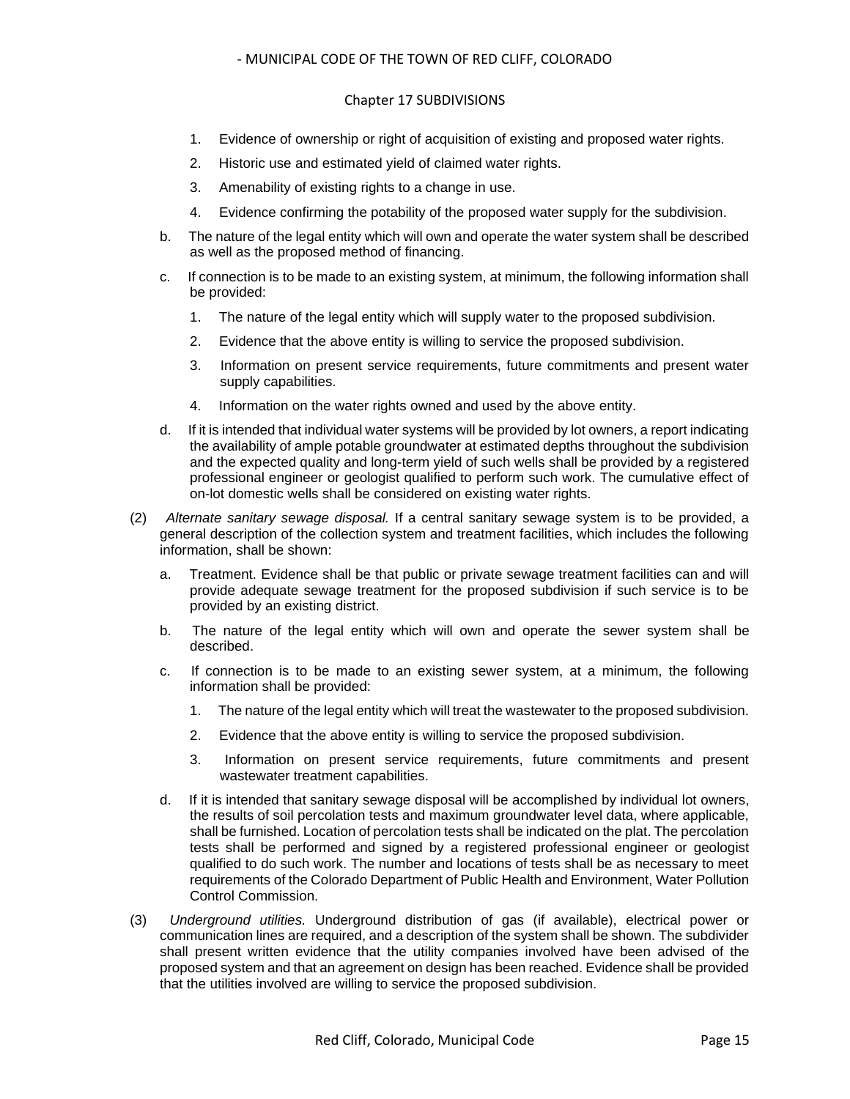#### Chapter 17 SUBDIVISIONS

- 1. Evidence of ownership or right of acquisition of existing and proposed water rights.
- 2. Historic use and estimated yield of claimed water rights.
- 3. Amenability of existing rights to a change in use.
- 4. Evidence confirming the potability of the proposed water supply for the subdivision.
- b. The nature of the legal entity which will own and operate the water system shall be described as well as the proposed method of financing.
- c. If connection is to be made to an existing system, at minimum, the following information shall be provided:
	- 1. The nature of the legal entity which will supply water to the proposed subdivision.
	- 2. Evidence that the above entity is willing to service the proposed subdivision.
	- 3. Information on present service requirements, future commitments and present water supply capabilities.
	- 4. Information on the water rights owned and used by the above entity.
- d. If it is intended that individual water systems will be provided by lot owners, a report indicating the availability of ample potable groundwater at estimated depths throughout the subdivision and the expected quality and long-term yield of such wells shall be provided by a registered professional engineer or geologist qualified to perform such work. The cumulative effect of on-lot domestic wells shall be considered on existing water rights.
- (2) *Alternate sanitary sewage disposal.* If a central sanitary sewage system is to be provided, a general description of the collection system and treatment facilities, which includes the following information, shall be shown:
	- a. Treatment. Evidence shall be that public or private sewage treatment facilities can and will provide adequate sewage treatment for the proposed subdivision if such service is to be provided by an existing district.
	- b. The nature of the legal entity which will own and operate the sewer system shall be described.
	- c. If connection is to be made to an existing sewer system, at a minimum, the following information shall be provided:
		- 1. The nature of the legal entity which will treat the wastewater to the proposed subdivision.
		- 2. Evidence that the above entity is willing to service the proposed subdivision.
		- 3. Information on present service requirements, future commitments and present wastewater treatment capabilities.
	- d. If it is intended that sanitary sewage disposal will be accomplished by individual lot owners, the results of soil percolation tests and maximum groundwater level data, where applicable, shall be furnished. Location of percolation tests shall be indicated on the plat. The percolation tests shall be performed and signed by a registered professional engineer or geologist qualified to do such work. The number and locations of tests shall be as necessary to meet requirements of the Colorado Department of Public Health and Environment, Water Pollution Control Commission.
- (3) *Underground utilities.* Underground distribution of gas (if available), electrical power or communication lines are required, and a description of the system shall be shown. The subdivider shall present written evidence that the utility companies involved have been advised of the proposed system and that an agreement on design has been reached. Evidence shall be provided that the utilities involved are willing to service the proposed subdivision.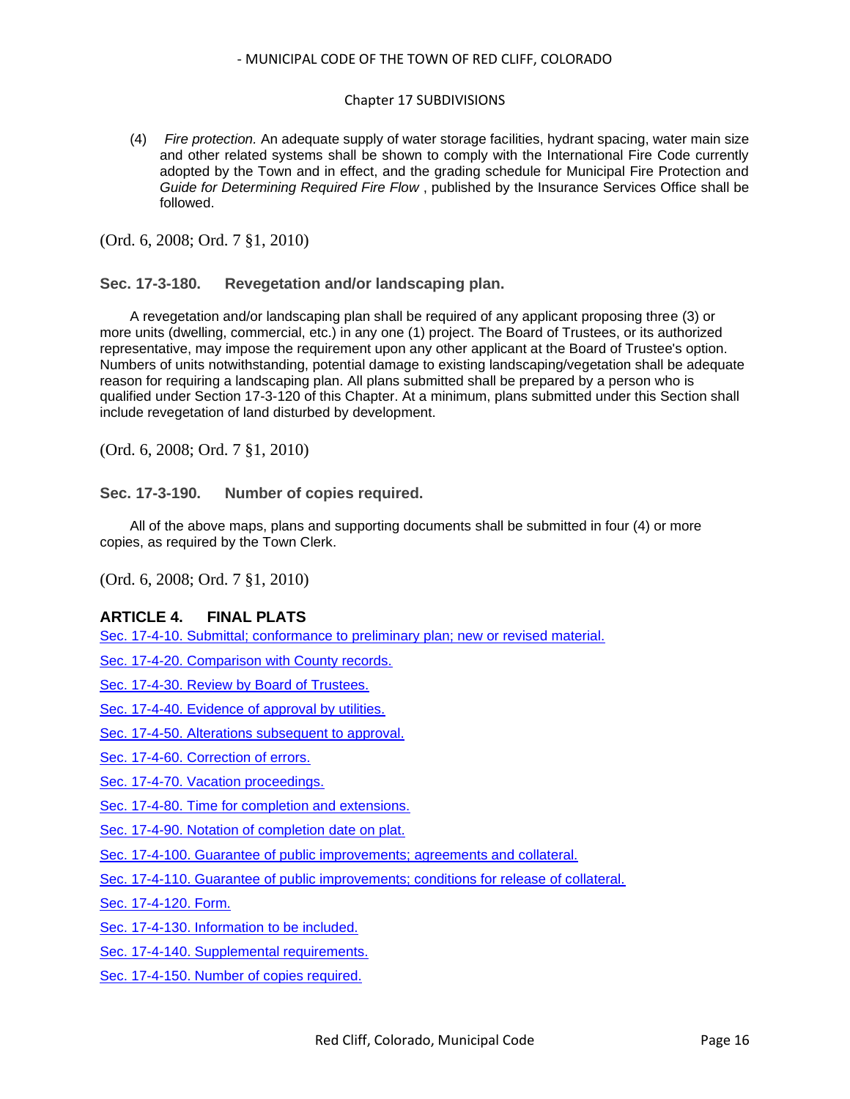#### Chapter 17 SUBDIVISIONS

(4) *Fire protection.* An adequate supply of water storage facilities, hydrant spacing, water main size and other related systems shall be shown to comply with the International Fire Code currently adopted by the Town and in effect, and the grading schedule for Municipal Fire Protection and *Guide for Determining Required Fire Flow* , published by the Insurance Services Office shall be followed.

(Ord. 6, 2008; Ord. 7 §1, 2010)

## <span id="page-15-0"></span>**Sec. 17-3-180. Revegetation and/or landscaping plan.**

A revegetation and/or landscaping plan shall be required of any applicant proposing three (3) or more units (dwelling, commercial, etc.) in any one (1) project. The Board of Trustees, or its authorized representative, may impose the requirement upon any other applicant at the Board of Trustee's option. Numbers of units notwithstanding, potential damage to existing landscaping/vegetation shall be adequate reason for requiring a landscaping plan. All plans submitted shall be prepared by a person who is qualified under Section 17-3-120 of this Chapter. At a minimum, plans submitted under this Section shall include revegetation of land disturbed by development.

(Ord. 6, 2008; Ord. 7 §1, 2010)

#### <span id="page-15-1"></span>**Sec. 17-3-190. Number of copies required.**

All of the above maps, plans and supporting documents shall be submitted in four (4) or more copies, as required by the Town Clerk.

(Ord. 6, 2008; Ord. 7 §1, 2010)

## **ARTICLE 4. FINAL PLATS**

[Sec. 17-4-10. Submittal; conformance to preliminary plan; new or revised material.](#page-16-0)

[Sec. 17-4-20. Comparison with County records.](#page-16-1)

[Sec. 17-4-30. Review by Board of Trustees.](#page-16-2)

Sec. [17-4-40. Evidence of approval by utilities.](#page-16-3)

[Sec. 17-4-50. Alterations subsequent to approval.](#page-17-0)

- [Sec. 17-4-60. Correction of errors.](#page-17-1)
- [Sec. 17-4-70. Vacation proceedings.](#page-17-2)
- [Sec. 17-4-80. Time for completion and extensions.](#page-17-3)
- [Sec. 17-4-90. Notation of completion date on plat.](#page-17-4)

[Sec. 17-4-100. Guarantee of public improvements; agreements and collateral.](#page-17-5)

[Sec. 17-4-110. Guarantee of public improvements; conditions for release of collateral.](#page-18-0)

[Sec. 17-4-120. Form.](#page-18-1)

- [Sec. 17-4-130. Information to be included.](#page-18-2)
- [Sec. 17-4-140. Supplemental requirements.](#page-19-0)

[Sec. 17-4-150. Number of copies required.](#page-20-0)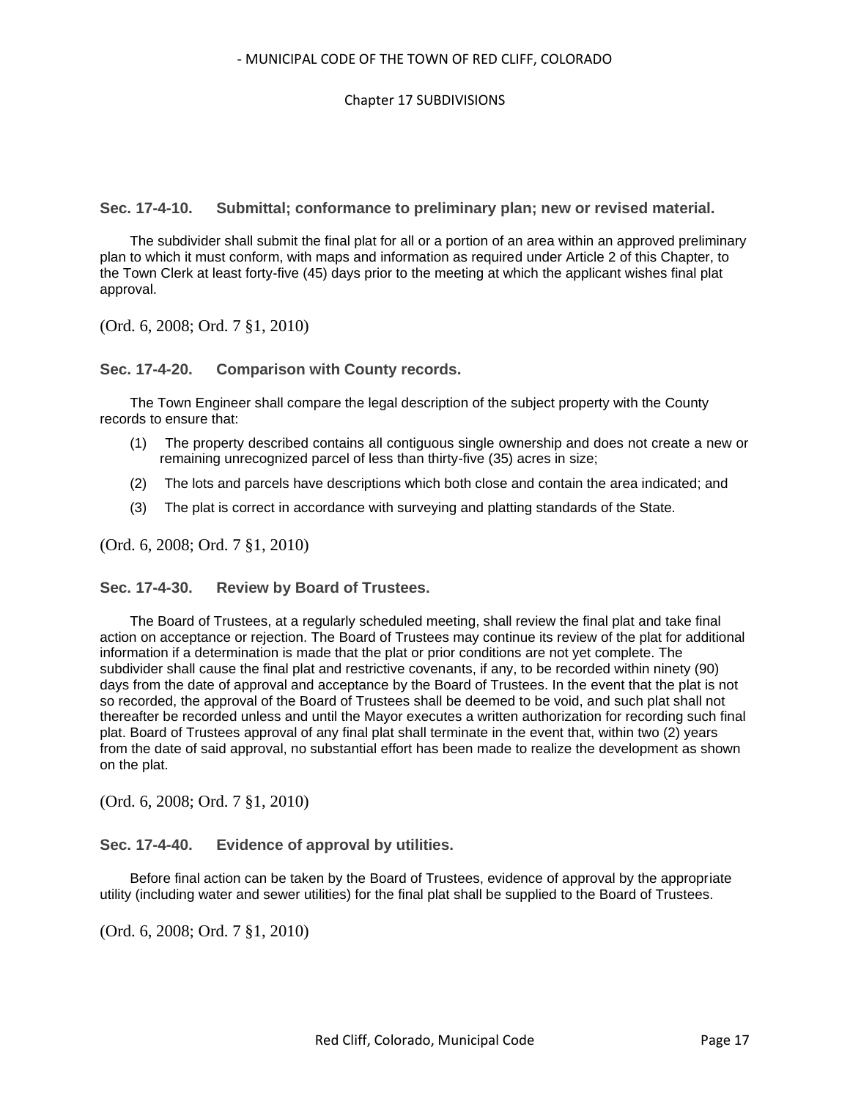<span id="page-16-0"></span>**Sec. 17-4-10. Submittal; conformance to preliminary plan; new or revised material.**

The subdivider shall submit the final plat for all or a portion of an area within an approved preliminary plan to which it must conform, with maps and information as required under Article 2 of this Chapter, to the Town Clerk at least forty-five (45) days prior to the meeting at which the applicant wishes final plat approval.

(Ord. 6, 2008; Ord. 7 §1, 2010)

<span id="page-16-1"></span>**Sec. 17-4-20. Comparison with County records.**

The Town Engineer shall compare the legal description of the subject property with the County records to ensure that:

- (1) The property described contains all contiguous single ownership and does not create a new or remaining unrecognized parcel of less than thirty-five (35) acres in size;
- (2) The lots and parcels have descriptions which both close and contain the area indicated; and
- (3) The plat is correct in accordance with surveying and platting standards of the State.

(Ord. 6, 2008; Ord. 7 §1, 2010)

## <span id="page-16-2"></span>**Sec. 17-4-30. Review by Board of Trustees.**

The Board of Trustees, at a regularly scheduled meeting, shall review the final plat and take final action on acceptance or rejection. The Board of Trustees may continue its review of the plat for additional information if a determination is made that the plat or prior conditions are not yet complete. The subdivider shall cause the final plat and restrictive covenants, if any, to be recorded within ninety (90) days from the date of approval and acceptance by the Board of Trustees. In the event that the plat is not so recorded, the approval of the Board of Trustees shall be deemed to be void, and such plat shall not thereafter be recorded unless and until the Mayor executes a written authorization for recording such final plat. Board of Trustees approval of any final plat shall terminate in the event that, within two (2) years from the date of said approval, no substantial effort has been made to realize the development as shown on the plat.

(Ord. 6, 2008; Ord. 7 §1, 2010)

#### <span id="page-16-3"></span>**Sec. 17-4-40. Evidence of approval by utilities.**

Before final action can be taken by the Board of Trustees, evidence of approval by the appropriate utility (including water and sewer utilities) for the final plat shall be supplied to the Board of Trustees.

(Ord. 6, 2008; Ord. 7 §1, 2010)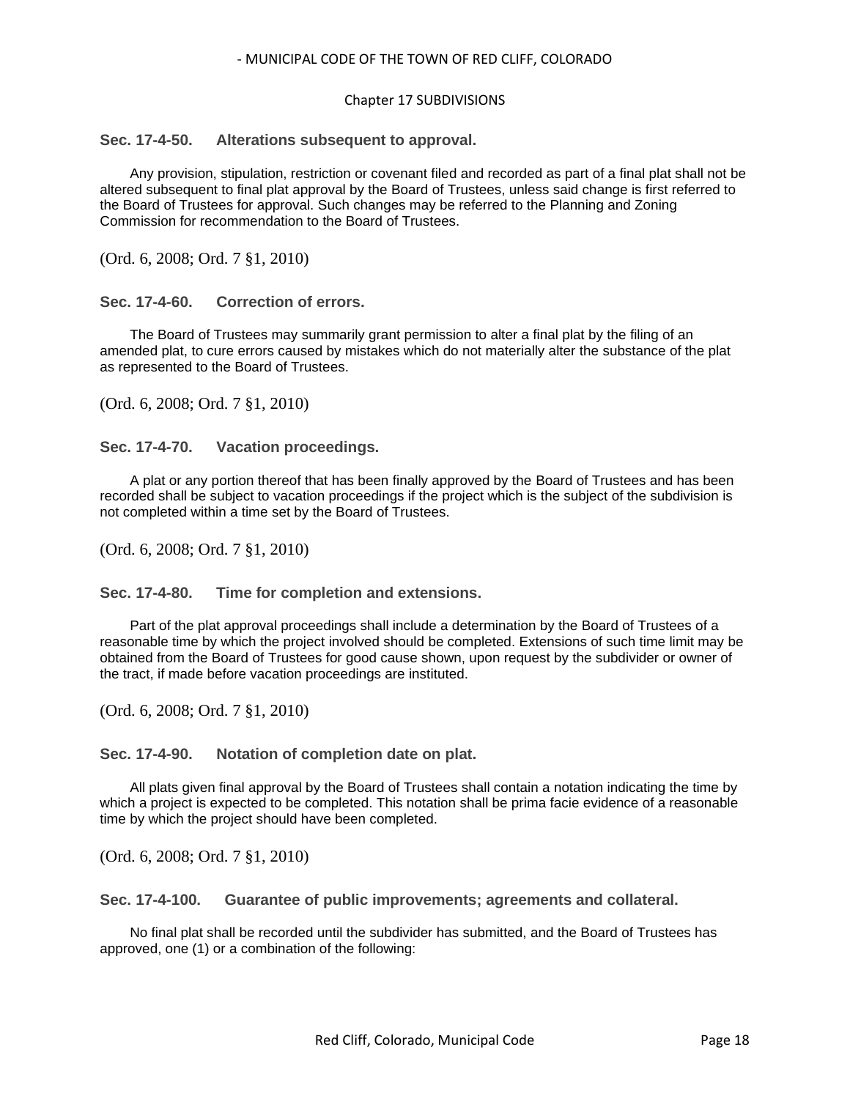#### Chapter 17 SUBDIVISIONS

## <span id="page-17-0"></span>**Sec. 17-4-50. Alterations subsequent to approval.**

Any provision, stipulation, restriction or covenant filed and recorded as part of a final plat shall not be altered subsequent to final plat approval by the Board of Trustees, unless said change is first referred to the Board of Trustees for approval. Such changes may be referred to the Planning and Zoning Commission for recommendation to the Board of Trustees.

(Ord. 6, 2008; Ord. 7 §1, 2010)

<span id="page-17-1"></span>**Sec. 17-4-60. Correction of errors.**

The Board of Trustees may summarily grant permission to alter a final plat by the filing of an amended plat, to cure errors caused by mistakes which do not materially alter the substance of the plat as represented to the Board of Trustees.

(Ord. 6, 2008; Ord. 7 §1, 2010)

<span id="page-17-2"></span>**Sec. 17-4-70. Vacation proceedings.**

A plat or any portion thereof that has been finally approved by the Board of Trustees and has been recorded shall be subject to vacation proceedings if the project which is the subject of the subdivision is not completed within a time set by the Board of Trustees.

(Ord. 6, 2008; Ord. 7 §1, 2010)

<span id="page-17-3"></span>**Sec. 17-4-80. Time for completion and extensions.**

Part of the plat approval proceedings shall include a determination by the Board of Trustees of a reasonable time by which the project involved should be completed. Extensions of such time limit may be obtained from the Board of Trustees for good cause shown, upon request by the subdivider or owner of the tract, if made before vacation proceedings are instituted.

(Ord. 6, 2008; Ord. 7 §1, 2010)

#### <span id="page-17-4"></span>**Sec. 17-4-90. Notation of completion date on plat.**

All plats given final approval by the Board of Trustees shall contain a notation indicating the time by which a project is expected to be completed. This notation shall be prima facie evidence of a reasonable time by which the project should have been completed.

(Ord. 6, 2008; Ord. 7 §1, 2010)

<span id="page-17-5"></span>**Sec. 17-4-100. Guarantee of public improvements; agreements and collateral.**

No final plat shall be recorded until the subdivider has submitted, and the Board of Trustees has approved, one (1) or a combination of the following: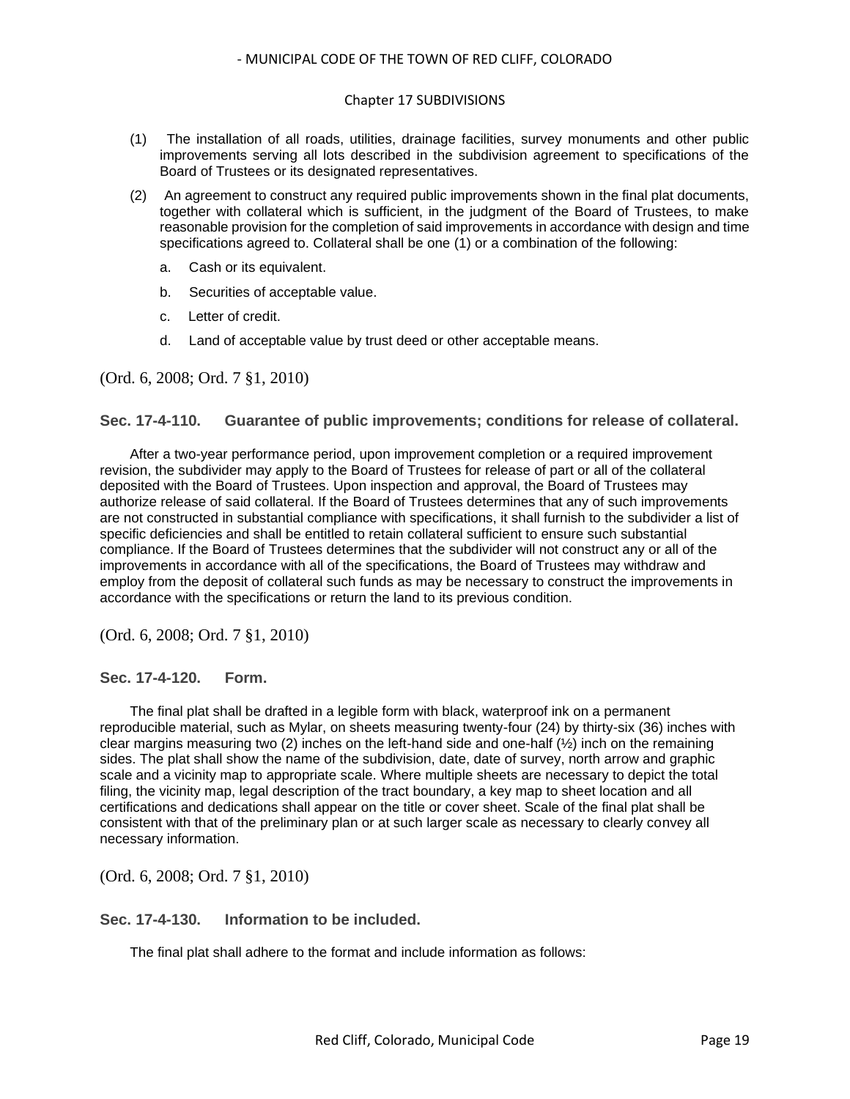#### Chapter 17 SUBDIVISIONS

- (1) The installation of all roads, utilities, drainage facilities, survey monuments and other public improvements serving all lots described in the subdivision agreement to specifications of the Board of Trustees or its designated representatives.
- (2) An agreement to construct any required public improvements shown in the final plat documents, together with collateral which is sufficient, in the judgment of the Board of Trustees, to make reasonable provision for the completion of said improvements in accordance with design and time specifications agreed to. Collateral shall be one (1) or a combination of the following:
	- a. Cash or its equivalent.
	- b. Securities of acceptable value.
	- c. Letter of credit.
	- d. Land of acceptable value by trust deed or other acceptable means.

(Ord. 6, 2008; Ord. 7 §1, 2010)

#### <span id="page-18-0"></span>**Sec. 17-4-110. Guarantee of public improvements; conditions for release of collateral.**

After a two-year performance period, upon improvement completion or a required improvement revision, the subdivider may apply to the Board of Trustees for release of part or all of the collateral deposited with the Board of Trustees. Upon inspection and approval, the Board of Trustees may authorize release of said collateral. If the Board of Trustees determines that any of such improvements are not constructed in substantial compliance with specifications, it shall furnish to the subdivider a list of specific deficiencies and shall be entitled to retain collateral sufficient to ensure such substantial compliance. If the Board of Trustees determines that the subdivider will not construct any or all of the improvements in accordance with all of the specifications, the Board of Trustees may withdraw and employ from the deposit of collateral such funds as may be necessary to construct the improvements in accordance with the specifications or return the land to its previous condition.

(Ord. 6, 2008; Ord. 7 §1, 2010)

#### <span id="page-18-1"></span>**Sec. 17-4-120. Form.**

The final plat shall be drafted in a legible form with black, waterproof ink on a permanent reproducible material, such as Mylar, on sheets measuring twenty-four (24) by thirty-six (36) inches with clear margins measuring two (2) inches on the left-hand side and one-half  $(\frac{1}{2})$  inch on the remaining sides. The plat shall show the name of the subdivision, date, date of survey, north arrow and graphic scale and a vicinity map to appropriate scale. Where multiple sheets are necessary to depict the total filing, the vicinity map, legal description of the tract boundary, a key map to sheet location and all certifications and dedications shall appear on the title or cover sheet. Scale of the final plat shall be consistent with that of the preliminary plan or at such larger scale as necessary to clearly convey all necessary information.

(Ord. 6, 2008; Ord. 7 §1, 2010)

<span id="page-18-2"></span>**Sec. 17-4-130. Information to be included.**

The final plat shall adhere to the format and include information as follows: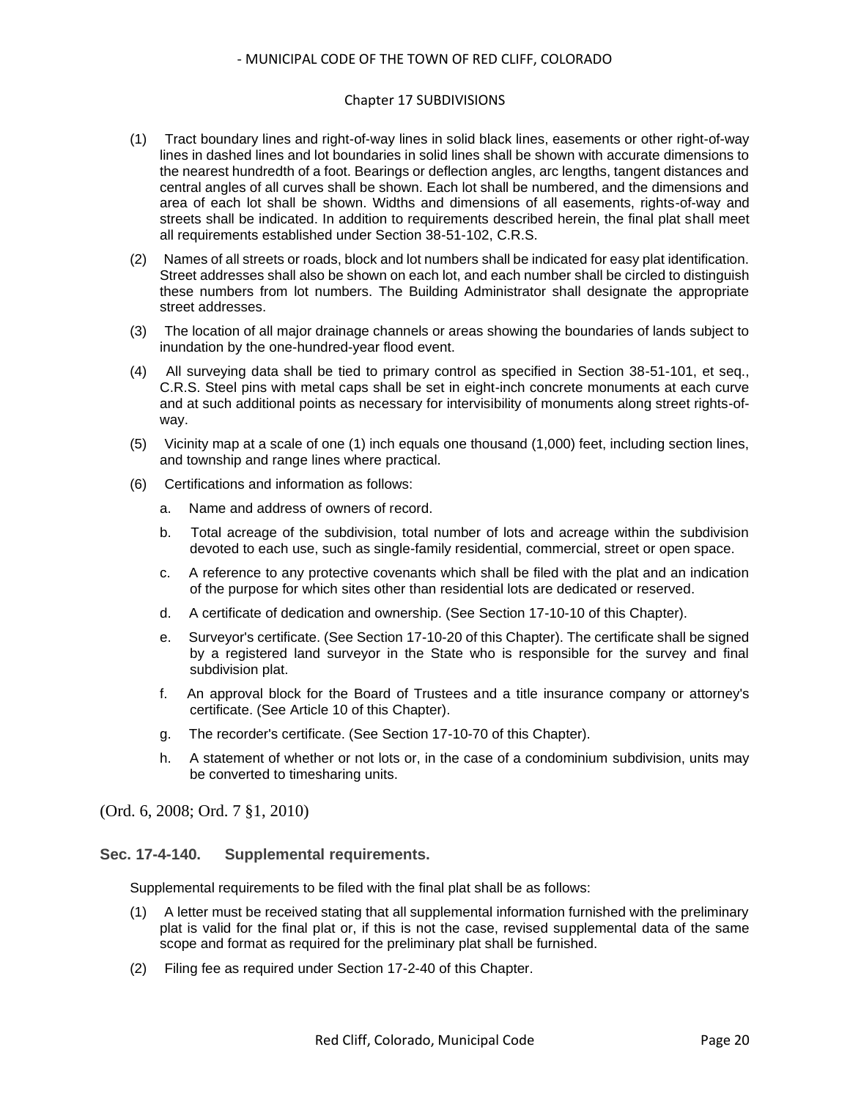#### Chapter 17 SUBDIVISIONS

- (1) Tract boundary lines and right-of-way lines in solid black lines, easements or other right-of-way lines in dashed lines and lot boundaries in solid lines shall be shown with accurate dimensions to the nearest hundredth of a foot. Bearings or deflection angles, arc lengths, tangent distances and central angles of all curves shall be shown. Each lot shall be numbered, and the dimensions and area of each lot shall be shown. Widths and dimensions of all easements, rights-of-way and streets shall be indicated. In addition to requirements described herein, the final plat shall meet all requirements established under Section 38-51-102, C.R.S.
- (2) Names of all streets or roads, block and lot numbers shall be indicated for easy plat identification. Street addresses shall also be shown on each lot, and each number shall be circled to distinguish these numbers from lot numbers. The Building Administrator shall designate the appropriate street addresses.
- (3) The location of all major drainage channels or areas showing the boundaries of lands subject to inundation by the one-hundred-year flood event.
- (4) All surveying data shall be tied to primary control as specified in Section 38-51-101, et seq., C.R.S. Steel pins with metal caps shall be set in eight-inch concrete monuments at each curve and at such additional points as necessary for intervisibility of monuments along street rights-ofway.
- (5) Vicinity map at a scale of one (1) inch equals one thousand (1,000) feet, including section lines, and township and range lines where practical.
- (6) Certifications and information as follows:
	- a. Name and address of owners of record.
	- b. Total acreage of the subdivision, total number of lots and acreage within the subdivision devoted to each use, such as single-family residential, commercial, street or open space.
	- c. A reference to any protective covenants which shall be filed with the plat and an indication of the purpose for which sites other than residential lots are dedicated or reserved.
	- d. A certificate of dedication and ownership. (See Section 17-10-10 of this Chapter).
	- e. Surveyor's certificate. (See Section 17-10-20 of this Chapter). The certificate shall be signed by a registered land surveyor in the State who is responsible for the survey and final subdivision plat.
	- f. An approval block for the Board of Trustees and a title insurance company or attorney's certificate. (See Article 10 of this Chapter).
	- g. The recorder's certificate. (See Section 17-10-70 of this Chapter).
	- h. A statement of whether or not lots or, in the case of a condominium subdivision, units may be converted to timesharing units.

(Ord. 6, 2008; Ord. 7 §1, 2010)

#### <span id="page-19-0"></span>**Sec. 17-4-140. Supplemental requirements.**

Supplemental requirements to be filed with the final plat shall be as follows:

- (1) A letter must be received stating that all supplemental information furnished with the preliminary plat is valid for the final plat or, if this is not the case, revised supplemental data of the same scope and format as required for the preliminary plat shall be furnished.
- (2) Filing fee as required under Section 17-2-40 of this Chapter.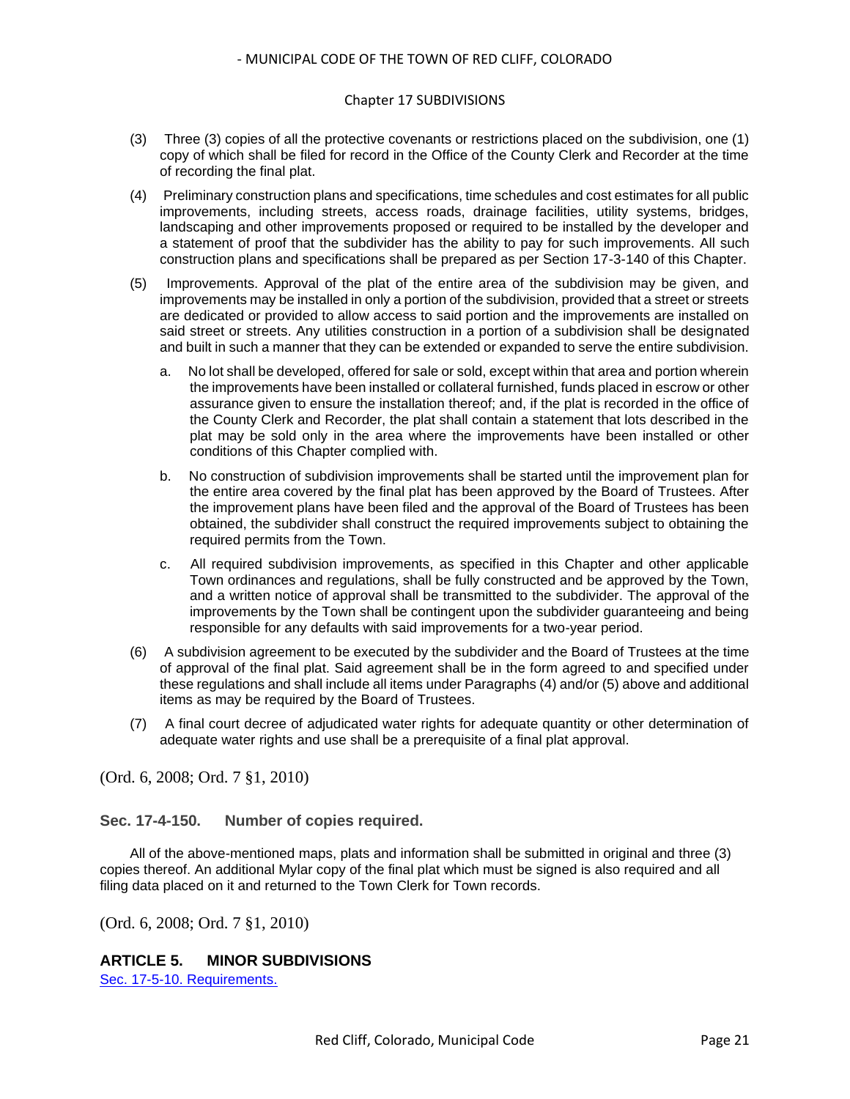#### Chapter 17 SUBDIVISIONS

- (3) Three (3) copies of all the protective covenants or restrictions placed on the subdivision, one (1) copy of which shall be filed for record in the Office of the County Clerk and Recorder at the time of recording the final plat.
- (4) Preliminary construction plans and specifications, time schedules and cost estimates for all public improvements, including streets, access roads, drainage facilities, utility systems, bridges, landscaping and other improvements proposed or required to be installed by the developer and a statement of proof that the subdivider has the ability to pay for such improvements. All such construction plans and specifications shall be prepared as per Section 17-3-140 of this Chapter.
- (5) Improvements. Approval of the plat of the entire area of the subdivision may be given, and improvements may be installed in only a portion of the subdivision, provided that a street or streets are dedicated or provided to allow access to said portion and the improvements are installed on said street or streets. Any utilities construction in a portion of a subdivision shall be designated and built in such a manner that they can be extended or expanded to serve the entire subdivision.
	- a. No lot shall be developed, offered for sale or sold, except within that area and portion wherein the improvements have been installed or collateral furnished, funds placed in escrow or other assurance given to ensure the installation thereof; and, if the plat is recorded in the office of the County Clerk and Recorder, the plat shall contain a statement that lots described in the plat may be sold only in the area where the improvements have been installed or other conditions of this Chapter complied with.
	- b. No construction of subdivision improvements shall be started until the improvement plan for the entire area covered by the final plat has been approved by the Board of Trustees. After the improvement plans have been filed and the approval of the Board of Trustees has been obtained, the subdivider shall construct the required improvements subject to obtaining the required permits from the Town.
	- c. All required subdivision improvements, as specified in this Chapter and other applicable Town ordinances and regulations, shall be fully constructed and be approved by the Town, and a written notice of approval shall be transmitted to the subdivider. The approval of the improvements by the Town shall be contingent upon the subdivider guaranteeing and being responsible for any defaults with said improvements for a two-year period.
- (6) A subdivision agreement to be executed by the subdivider and the Board of Trustees at the time of approval of the final plat. Said agreement shall be in the form agreed to and specified under these regulations and shall include all items under Paragraphs (4) and/or (5) above and additional items as may be required by the Board of Trustees.
- (7) A final court decree of adjudicated water rights for adequate quantity or other determination of adequate water rights and use shall be a prerequisite of a final plat approval.

(Ord. 6, 2008; Ord. 7 §1, 2010)

## <span id="page-20-0"></span>**Sec. 17-4-150. Number of copies required.**

All of the above-mentioned maps, plats and information shall be submitted in original and three (3) copies thereof. An additional Mylar copy of the final plat which must be signed is also required and all filing data placed on it and returned to the Town Clerk for Town records.

(Ord. 6, 2008; Ord. 7 §1, 2010)

## **ARTICLE 5. MINOR SUBDIVISIONS**

[Sec. 17-5-10. Requirements.](#page-21-0)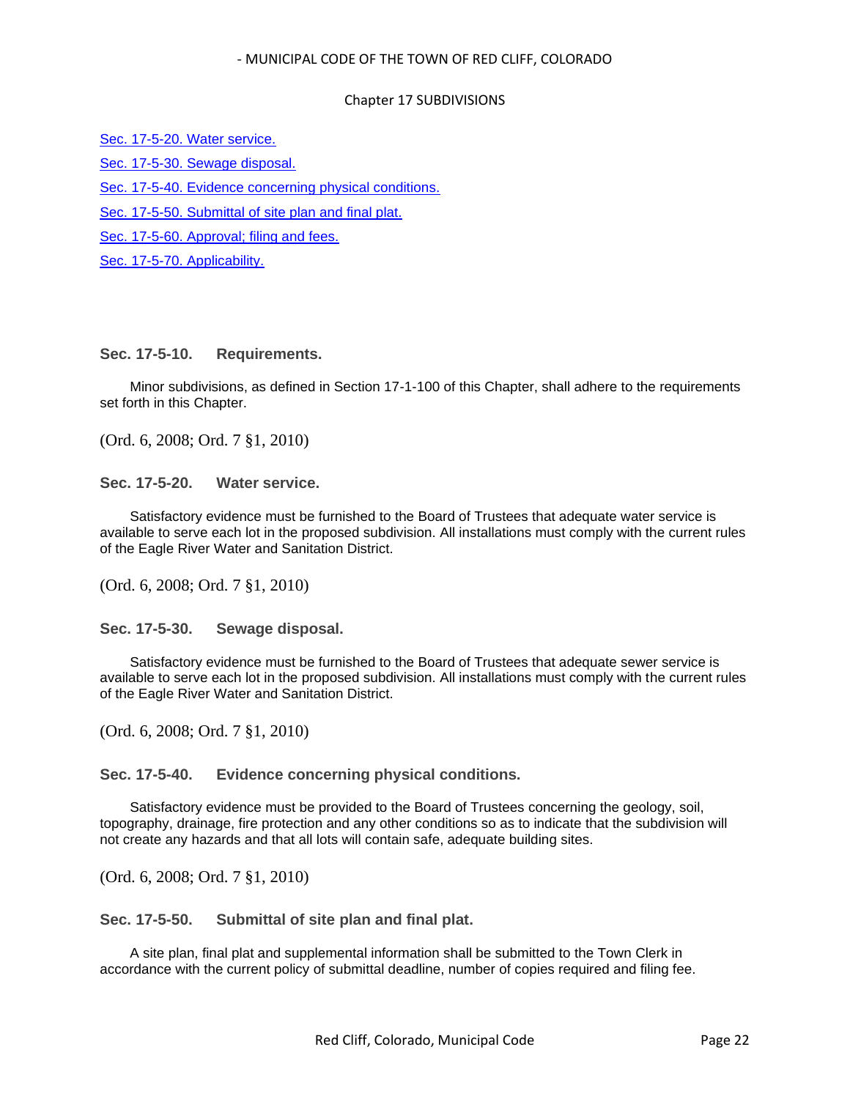#### Chapter 17 SUBDIVISIONS

[Sec. 17-5-20. Water service.](#page-21-1)

[Sec. 17-5-30. Sewage disposal.](#page-21-2)

[Sec. 17-5-40. Evidence concerning physical conditions.](#page-21-3)

[Sec. 17-5-50. Submittal of site plan and final plat.](#page-21-4)

[Sec. 17-5-60. Approval; filing and fees.](#page-22-0)

[Sec. 17-5-70. Applicability.](#page-22-1)

## <span id="page-21-0"></span>**Sec. 17-5-10. Requirements.**

Minor subdivisions, as defined in Section 17-1-100 of this Chapter, shall adhere to the requirements set forth in this Chapter.

(Ord. 6, 2008; Ord. 7 §1, 2010)

<span id="page-21-1"></span>**Sec. 17-5-20. Water service.**

Satisfactory evidence must be furnished to the Board of Trustees that adequate water service is available to serve each lot in the proposed subdivision. All installations must comply with the current rules of the Eagle River Water and Sanitation District.

(Ord. 6, 2008; Ord. 7 §1, 2010)

<span id="page-21-2"></span>**Sec. 17-5-30. Sewage disposal.**

Satisfactory evidence must be furnished to the Board of Trustees that adequate sewer service is available to serve each lot in the proposed subdivision. All installations must comply with the current rules of the Eagle River Water and Sanitation District.

(Ord. 6, 2008; Ord. 7 §1, 2010)

<span id="page-21-3"></span>**Sec. 17-5-40. Evidence concerning physical conditions.**

Satisfactory evidence must be provided to the Board of Trustees concerning the geology, soil, topography, drainage, fire protection and any other conditions so as to indicate that the subdivision will not create any hazards and that all lots will contain safe, adequate building sites.

(Ord. 6, 2008; Ord. 7 §1, 2010)

<span id="page-21-4"></span>**Sec. 17-5-50. Submittal of site plan and final plat.**

A site plan, final plat and supplemental information shall be submitted to the Town Clerk in accordance with the current policy of submittal deadline, number of copies required and filing fee.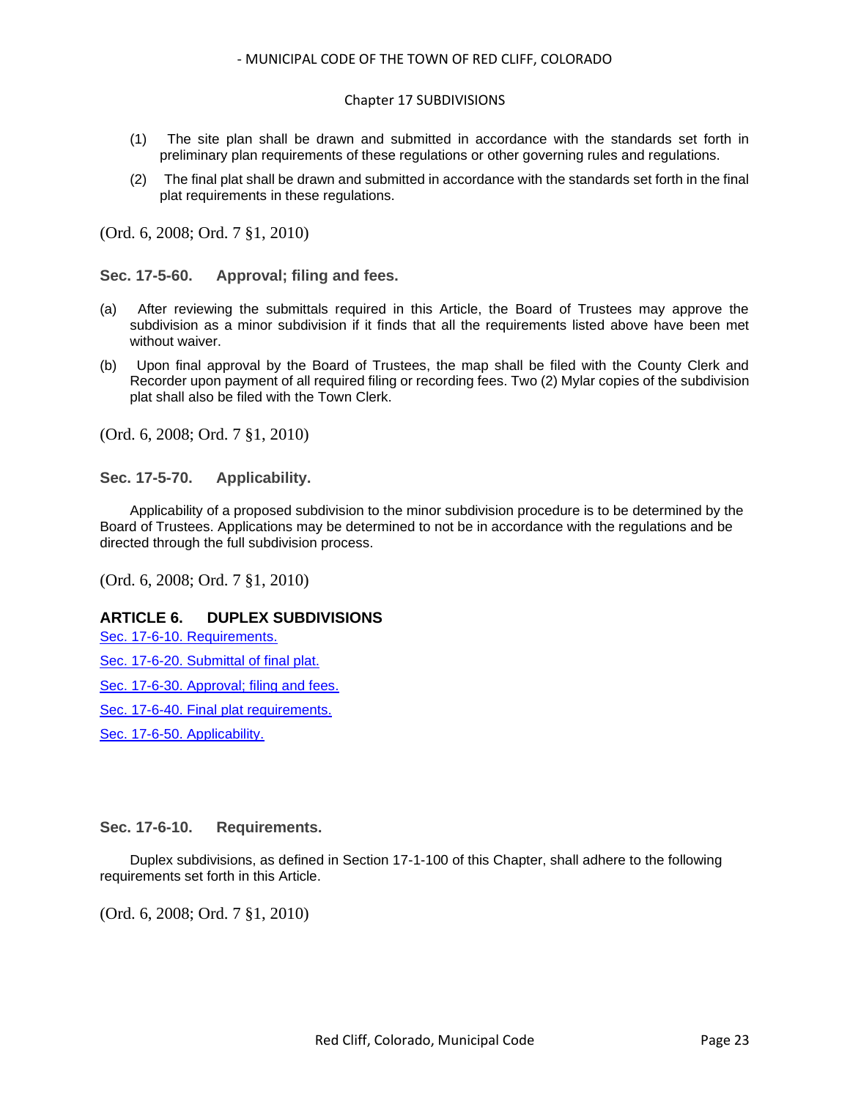- (1) The site plan shall be drawn and submitted in accordance with the standards set forth in preliminary plan requirements of these regulations or other governing rules and regulations.
- (2) The final plat shall be drawn and submitted in accordance with the standards set forth in the final plat requirements in these regulations.

(Ord. 6, 2008; Ord. 7 §1, 2010)

<span id="page-22-0"></span>**Sec. 17-5-60. Approval; filing and fees.**

- (a) After reviewing the submittals required in this Article, the Board of Trustees may approve the subdivision as a minor subdivision if it finds that all the requirements listed above have been met without waiver.
- (b) Upon final approval by the Board of Trustees, the map shall be filed with the County Clerk and Recorder upon payment of all required filing or recording fees. Two (2) Mylar copies of the subdivision plat shall also be filed with the Town Clerk.

(Ord. 6, 2008; Ord. 7 §1, 2010)

<span id="page-22-1"></span>**Sec. 17-5-70. Applicability.**

Applicability of a proposed subdivision to the minor subdivision procedure is to be determined by the Board of Trustees. Applications may be determined to not be in accordance with the regulations and be directed through the full subdivision process.

(Ord. 6, 2008; Ord. 7 §1, 2010)

## **ARTICLE 6. DUPLEX SUBDIVISIONS**

[Sec. 17-6-10. Requirements.](#page-22-2)

- [Sec. 17-6-20. Submittal of final plat.](#page-23-0)
- [Sec. 17-6-30. Approval; filing and fees.](#page-23-1)
- [Sec. 17-6-40. Final plat requirements.](#page-23-2)

[Sec. 17-6-50. Applicability.](#page-23-3)

#### <span id="page-22-2"></span>**Sec. 17-6-10. Requirements.**

Duplex subdivisions, as defined in Section 17-1-100 of this Chapter, shall adhere to the following requirements set forth in this Article.

(Ord. 6, 2008; Ord. 7 §1, 2010)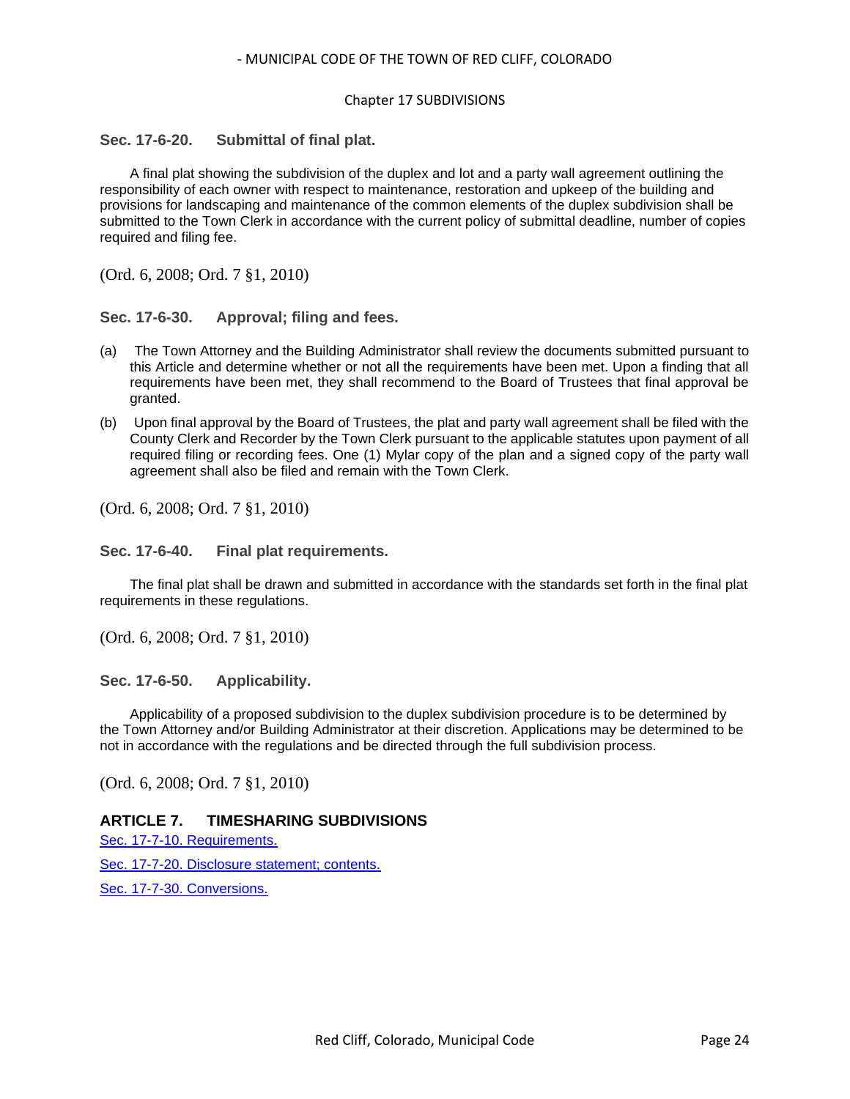## <span id="page-23-0"></span>**Sec. 17-6-20. Submittal of final plat.**

A final plat showing the subdivision of the duplex and lot and a party wall agreement outlining the responsibility of each owner with respect to maintenance, restoration and upkeep of the building and provisions for landscaping and maintenance of the common elements of the duplex subdivision shall be submitted to the Town Clerk in accordance with the current policy of submittal deadline, number of copies required and filing fee.

(Ord. 6, 2008; Ord. 7 §1, 2010)

#### <span id="page-23-1"></span>**Sec. 17-6-30. Approval; filing and fees.**

- (a) The Town Attorney and the Building Administrator shall review the documents submitted pursuant to this Article and determine whether or not all the requirements have been met. Upon a finding that all requirements have been met, they shall recommend to the Board of Trustees that final approval be granted.
- (b) Upon final approval by the Board of Trustees, the plat and party wall agreement shall be filed with the County Clerk and Recorder by the Town Clerk pursuant to the applicable statutes upon payment of all required filing or recording fees. One (1) Mylar copy of the plan and a signed copy of the party wall agreement shall also be filed and remain with the Town Clerk.

(Ord. 6, 2008; Ord. 7 §1, 2010)

#### <span id="page-23-2"></span>**Sec. 17-6-40. Final plat requirements.**

The final plat shall be drawn and submitted in accordance with the standards set forth in the final plat requirements in these regulations.

(Ord. 6, 2008; Ord. 7 §1, 2010)

<span id="page-23-3"></span>**Sec. 17-6-50. Applicability.**

Applicability of a proposed subdivision to the duplex subdivision procedure is to be determined by the Town Attorney and/or Building Administrator at their discretion. Applications may be determined to be not in accordance with the regulations and be directed through the full subdivision process.

(Ord. 6, 2008; Ord. 7 §1, 2010)

## **ARTICLE 7. TIMESHARING SUBDIVISIONS**

[Sec. 17-7-10. Requirements.](#page-24-0)

[Sec. 17-7-20. Disclosure statement; contents.](#page-24-1)

[Sec. 17-7-30. Conversions.](#page-24-2)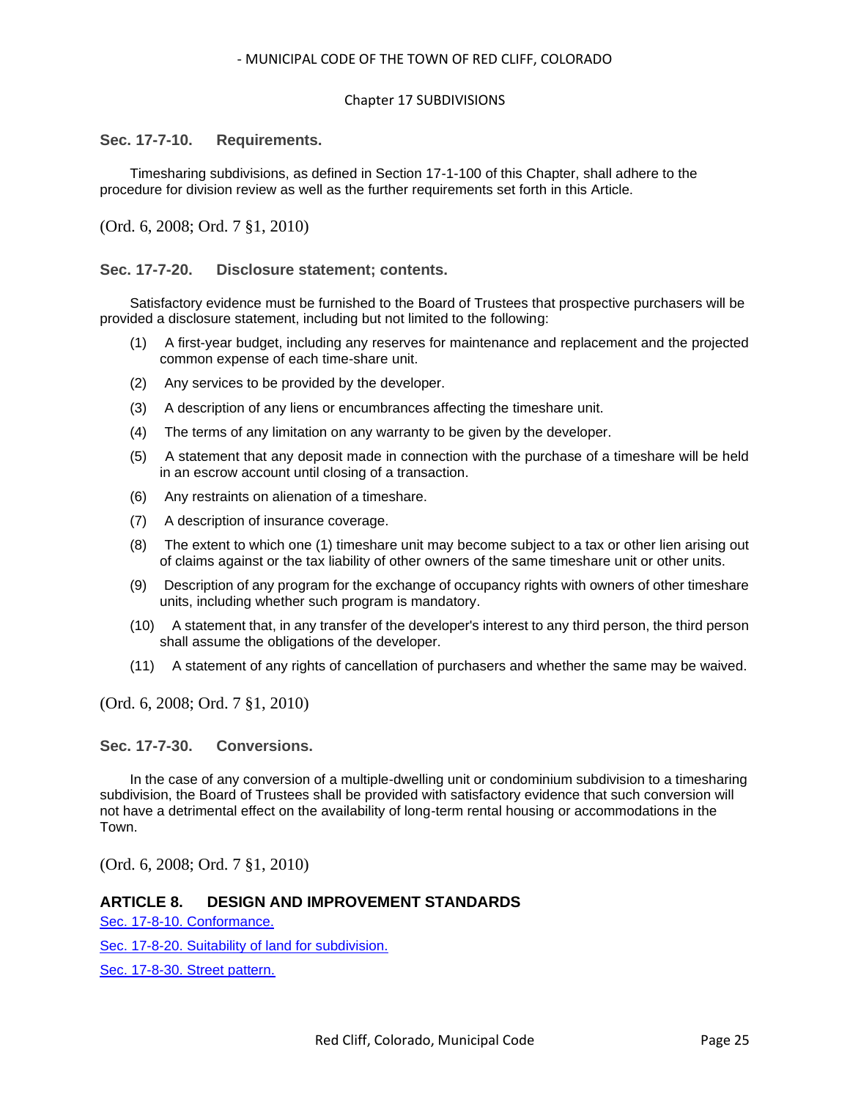#### Chapter 17 SUBDIVISIONS

#### <span id="page-24-0"></span>**Sec. 17-7-10. Requirements.**

Timesharing subdivisions, as defined in Section 17-1-100 of this Chapter, shall adhere to the procedure for division review as well as the further requirements set forth in this Article.

(Ord. 6, 2008; Ord. 7 §1, 2010)

#### <span id="page-24-1"></span>**Sec. 17-7-20. Disclosure statement; contents.**

Satisfactory evidence must be furnished to the Board of Trustees that prospective purchasers will be provided a disclosure statement, including but not limited to the following:

- (1) A first-year budget, including any reserves for maintenance and replacement and the projected common expense of each time-share unit.
- (2) Any services to be provided by the developer.
- (3) A description of any liens or encumbrances affecting the timeshare unit.
- (4) The terms of any limitation on any warranty to be given by the developer.
- (5) A statement that any deposit made in connection with the purchase of a timeshare will be held in an escrow account until closing of a transaction.
- (6) Any restraints on alienation of a timeshare.
- (7) A description of insurance coverage.
- (8) The extent to which one (1) timeshare unit may become subject to a tax or other lien arising out of claims against or the tax liability of other owners of the same timeshare unit or other units.
- (9) Description of any program for the exchange of occupancy rights with owners of other timeshare units, including whether such program is mandatory.
- (10) A statement that, in any transfer of the developer's interest to any third person, the third person shall assume the obligations of the developer.
- (11) A statement of any rights of cancellation of purchasers and whether the same may be waived.

(Ord. 6, 2008; Ord. 7 §1, 2010)

<span id="page-24-2"></span>**Sec. 17-7-30. Conversions.**

In the case of any conversion of a multiple-dwelling unit or condominium subdivision to a timesharing subdivision, the Board of Trustees shall be provided with satisfactory evidence that such conversion will not have a detrimental effect on the availability of long-term rental housing or accommodations in the Town.

(Ord. 6, 2008; Ord. 7 §1, 2010)

#### **ARTICLE 8. DESIGN AND IMPROVEMENT STANDARDS**

[Sec. 17-8-10. Conformance.](#page-26-0)

[Sec. 17-8-20. Suitability of land for subdivision.](#page-26-1)

[Sec. 17-8-30. Street pattern.](#page-26-2)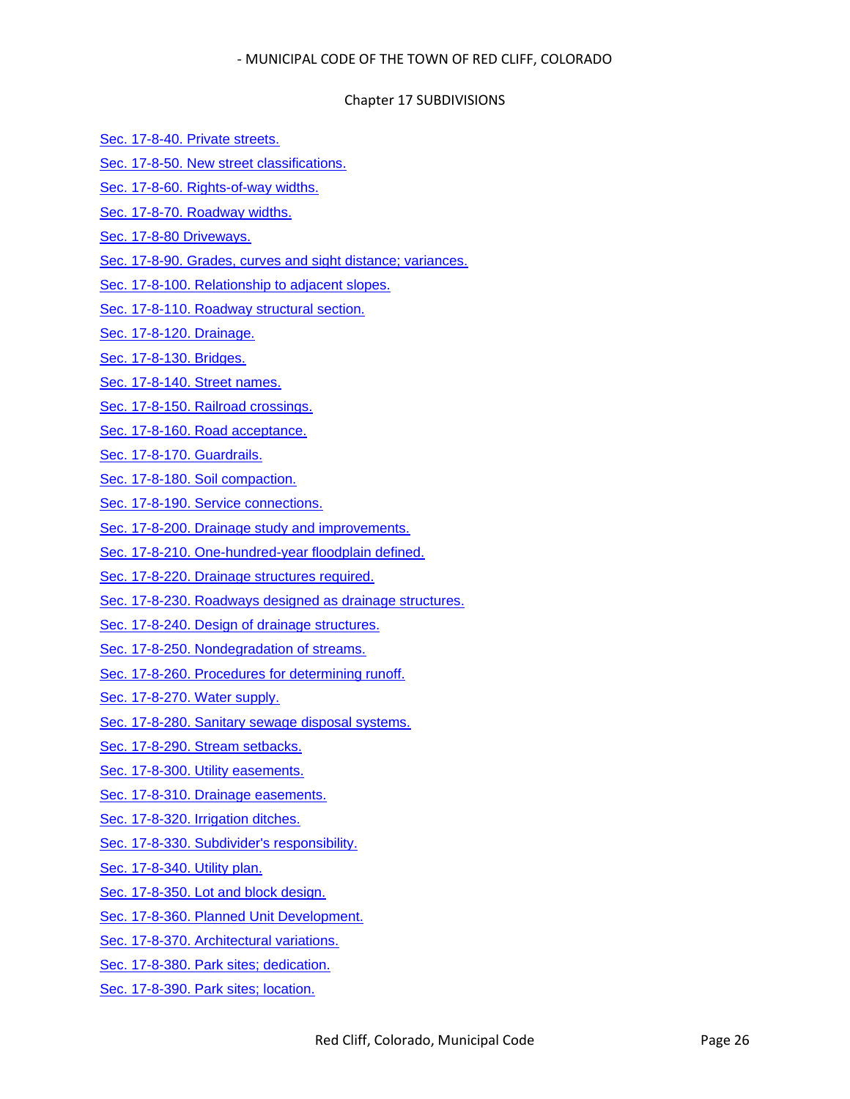#### Chapter 17 SUBDIVISIONS

- [Sec. 17-8-40. Private streets.](#page-26-3)
- [Sec. 17-8-50. New street classifications.](#page-27-0)
- [Sec. 17-8-60. Rights-of-way widths.](#page-28-0)
- [Sec. 17-8-70. Roadway widths.](#page-28-1)
- [Sec. 17-8-80 Driveways.](#page-28-2)
- Sec. [17-8-90. Grades, curves and sight distance; variances.](#page-29-0)
- [Sec. 17-8-100. Relationship to adjacent slopes.](#page-29-1)
- [Sec. 17-8-110. Roadway structural section.](#page-30-0)
- [Sec. 17-8-120. Drainage.](#page-30-1)
- [Sec. 17-8-130. Bridges.](#page-30-2)
- [Sec. 17-8-140. Street names.](#page-31-0)
- [Sec. 17-8-150. Railroad crossings.](#page-31-1)
- [Sec. 17-8-160. Road acceptance.](#page-31-2)
- [Sec. 17-8-170. Guardrails.](#page-32-0)
- [Sec. 17-8-180. Soil compaction.](#page-32-1)
- [Sec. 17-8-190. Service connections.](#page-32-2)
- [Sec. 17-8-200. Drainage study and improvements.](#page-32-3)
- [Sec. 17-8-210. One-hundred-year floodplain defined.](#page-32-4)
- [Sec. 17-8-220. Drainage structures required.](#page-33-0)
- [Sec. 17-8-230. Roadways designed as drainage structures.](#page-33-1)
- [Sec. 17-8-240. Design of drainage structures.](#page-33-2)
- [Sec. 17-8-250. Nondegradation of streams.](#page-34-0)
- [Sec. 17-8-260. Procedures for determining runoff.](#page-34-1)
- [Sec. 17-8-270. Water supply.](#page-34-2)
- [Sec. 17-8-280. Sanitary sewage disposal systems.](#page-35-0)
- [Sec. 17-8-290. Stream setbacks.](#page-35-1)
- [Sec. 17-8-300. Utility easements.](#page-35-2)
- [Sec. 17-8-310. Drainage easements.](#page-35-3)
- [Sec. 17-8-320. Irrigation ditches.](#page-36-0)
- [Sec. 17-8-330. Subdivider's responsibility.](#page-36-1)
- [Sec. 17-8-340. Utility plan.](#page-36-2)
- [Sec. 17-8-350. Lot and block design.](#page-36-3)
- Sec. [17-8-360. Planned Unit Development.](#page-36-4)
- [Sec. 17-8-370. Architectural variations.](#page-37-0)
- [Sec. 17-8-380. Park sites; dedication.](#page-37-1)
- [Sec. 17-8-390. Park sites; location.](#page-37-2)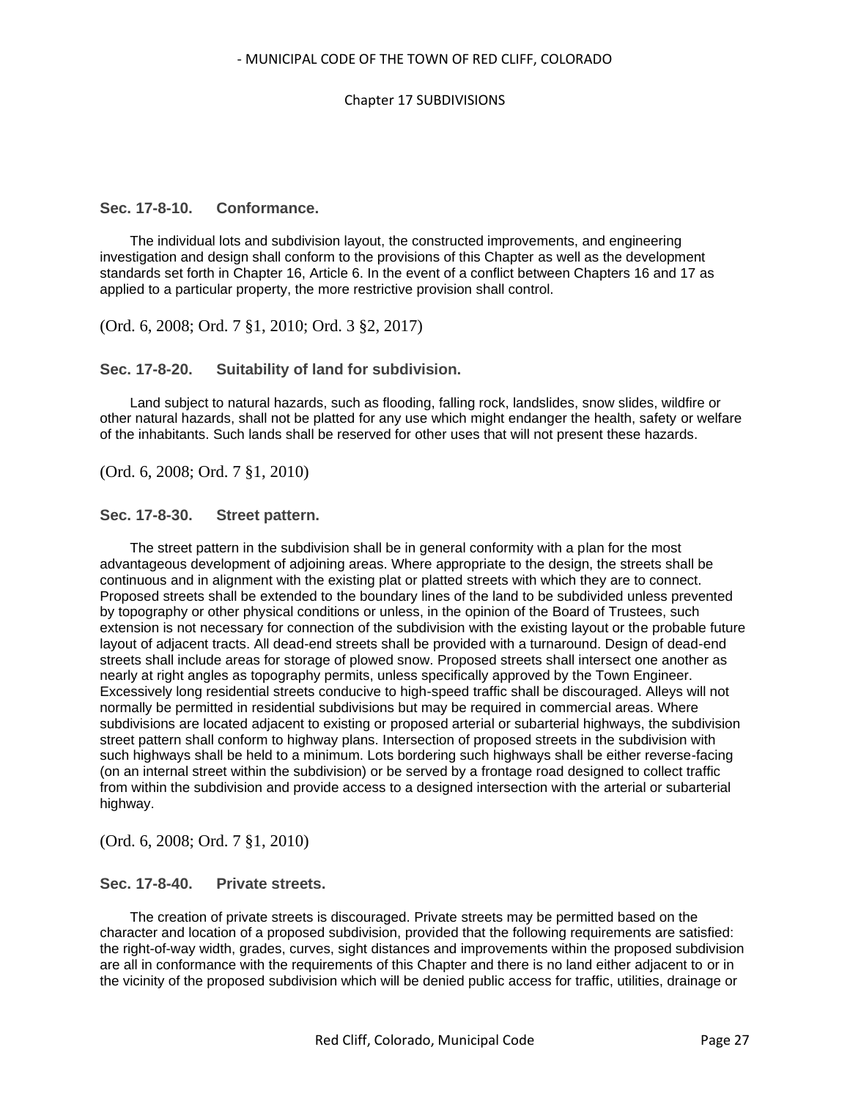#### <span id="page-26-0"></span>**Sec. 17-8-10. Conformance.**

The individual lots and subdivision layout, the constructed improvements, and engineering investigation and design shall conform to the provisions of this Chapter as well as the development standards set forth in Chapter 16, Article 6. In the event of a conflict between Chapters 16 and 17 as applied to a particular property, the more restrictive provision shall control.

(Ord. 6, 2008; Ord. 7 §1, 2010; Ord. 3 §2, 2017)

#### <span id="page-26-1"></span>**Sec. 17-8-20. Suitability of land for subdivision.**

Land subject to natural hazards, such as flooding, falling rock, landslides, snow slides, wildfire or other natural hazards, shall not be platted for any use which might endanger the health, safety or welfare of the inhabitants. Such lands shall be reserved for other uses that will not present these hazards.

(Ord. 6, 2008; Ord. 7 §1, 2010)

#### <span id="page-26-2"></span>**Sec. 17-8-30. Street pattern.**

The street pattern in the subdivision shall be in general conformity with a plan for the most advantageous development of adjoining areas. Where appropriate to the design, the streets shall be continuous and in alignment with the existing plat or platted streets with which they are to connect. Proposed streets shall be extended to the boundary lines of the land to be subdivided unless prevented by topography or other physical conditions or unless, in the opinion of the Board of Trustees, such extension is not necessary for connection of the subdivision with the existing layout or the probable future layout of adjacent tracts. All dead-end streets shall be provided with a turnaround. Design of dead-end streets shall include areas for storage of plowed snow. Proposed streets shall intersect one another as nearly at right angles as topography permits, unless specifically approved by the Town Engineer. Excessively long residential streets conducive to high-speed traffic shall be discouraged. Alleys will not normally be permitted in residential subdivisions but may be required in commercial areas. Where subdivisions are located adjacent to existing or proposed arterial or subarterial highways, the subdivision street pattern shall conform to highway plans. Intersection of proposed streets in the subdivision with such highways shall be held to a minimum. Lots bordering such highways shall be either reverse-facing (on an internal street within the subdivision) or be served by a frontage road designed to collect traffic from within the subdivision and provide access to a designed intersection with the arterial or subarterial highway.

(Ord. 6, 2008; Ord. 7 §1, 2010)

#### <span id="page-26-3"></span>**Sec. 17-8-40. Private streets.**

The creation of private streets is discouraged. Private streets may be permitted based on the character and location of a proposed subdivision, provided that the following requirements are satisfied: the right-of-way width, grades, curves, sight distances and improvements within the proposed subdivision are all in conformance with the requirements of this Chapter and there is no land either adjacent to or in the vicinity of the proposed subdivision which will be denied public access for traffic, utilities, drainage or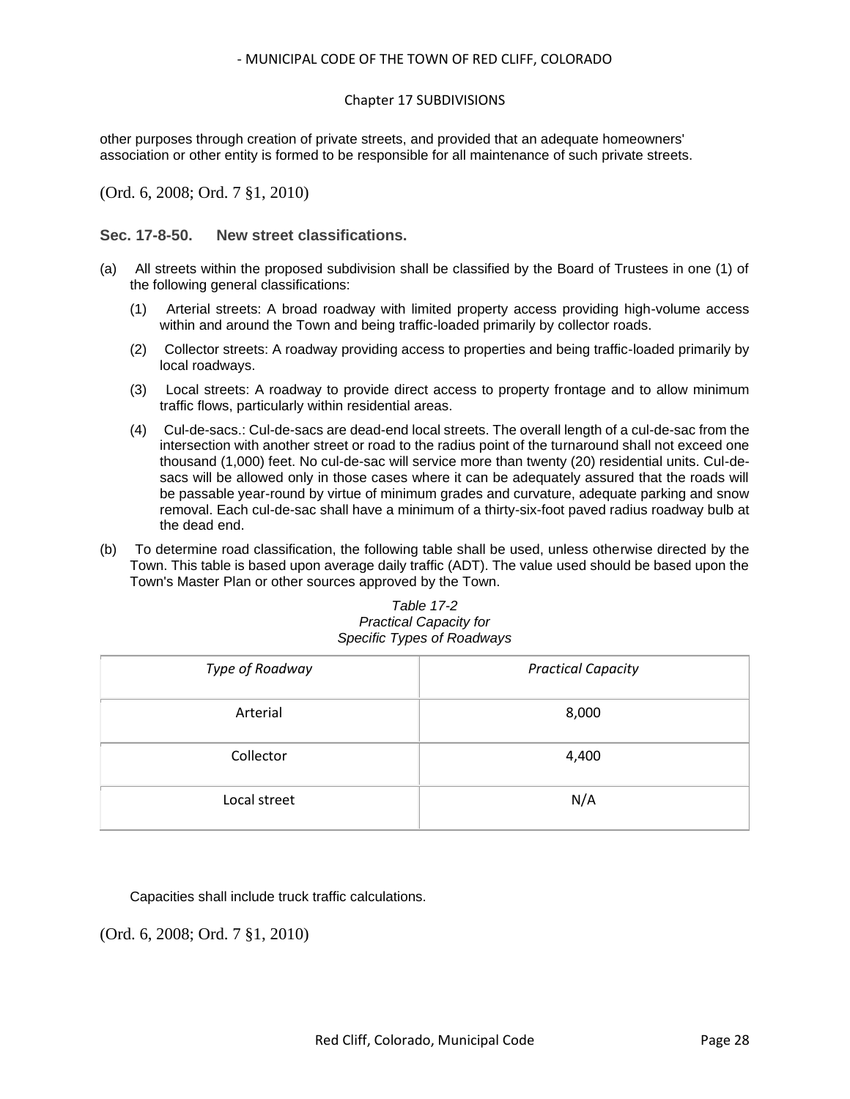other purposes through creation of private streets, and provided that an adequate homeowners' association or other entity is formed to be responsible for all maintenance of such private streets.

(Ord. 6, 2008; Ord. 7 §1, 2010)

<span id="page-27-0"></span>**Sec. 17-8-50. New street classifications.**

- (a) All streets within the proposed subdivision shall be classified by the Board of Trustees in one (1) of the following general classifications:
	- (1) Arterial streets: A broad roadway with limited property access providing high-volume access within and around the Town and being traffic-loaded primarily by collector roads.
	- (2) Collector streets: A roadway providing access to properties and being traffic-loaded primarily by local roadways.
	- (3) Local streets: A roadway to provide direct access to property frontage and to allow minimum traffic flows, particularly within residential areas.
	- (4) Cul-de-sacs.: Cul-de-sacs are dead-end local streets. The overall length of a cul-de-sac from the intersection with another street or road to the radius point of the turnaround shall not exceed one thousand (1,000) feet. No cul-de-sac will service more than twenty (20) residential units. Cul-desacs will be allowed only in those cases where it can be adequately assured that the roads will be passable year-round by virtue of minimum grades and curvature, adequate parking and snow removal. Each cul-de-sac shall have a minimum of a thirty-six-foot paved radius roadway bulb at the dead end.
- (b) To determine road classification, the following table shall be used, unless otherwise directed by the Town. This table is based upon average daily traffic (ADT). The value used should be based upon the Town's Master Plan or other sources approved by the Town.

| Table 17-2                 |
|----------------------------|
| Practical Capacity for     |
| Specific Types of Roadways |

| Type of Roadway | <b>Practical Capacity</b> |
|-----------------|---------------------------|
| Arterial        | 8,000                     |
| Collector       | 4,400                     |
| Local street    | N/A                       |

Capacities shall include truck traffic calculations.

(Ord. 6, 2008; Ord. 7 §1, 2010)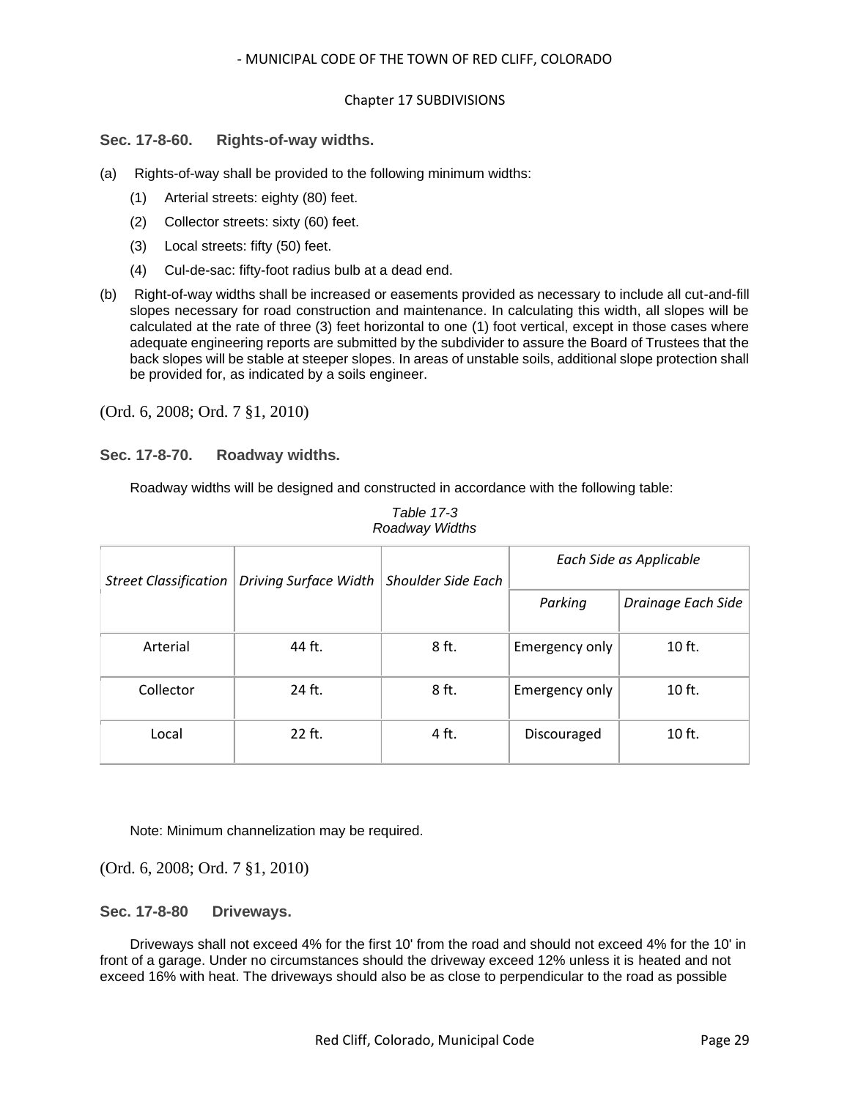## <span id="page-28-0"></span>**Sec. 17-8-60. Rights-of-way widths.**

- (a) Rights-of-way shall be provided to the following minimum widths:
	- (1) Arterial streets: eighty (80) feet.
	- (2) Collector streets: sixty (60) feet.
	- (3) Local streets: fifty (50) feet.
	- (4) Cul-de-sac: fifty-foot radius bulb at a dead end.
- (b) Right-of-way widths shall be increased or easements provided as necessary to include all cut-and-fill slopes necessary for road construction and maintenance. In calculating this width, all slopes will be calculated at the rate of three (3) feet horizontal to one (1) foot vertical, except in those cases where adequate engineering reports are submitted by the subdivider to assure the Board of Trustees that the back slopes will be stable at steeper slopes. In areas of unstable soils, additional slope protection shall be provided for, as indicated by a soils engineer.

(Ord. 6, 2008; Ord. 7 §1, 2010)

#### <span id="page-28-1"></span>**Sec. 17-8-70. Roadway widths.**

Roadway widths will be designed and constructed in accordance with the following table:

| <b>Street Classification</b> | Driving Surface Width | <b>Shoulder Side Each</b> | Each Side as Applicable |                    |
|------------------------------|-----------------------|---------------------------|-------------------------|--------------------|
|                              |                       |                           | Parking                 | Drainage Each Side |
| Arterial                     | 44 ft.                | 8 ft.                     | Emergency only          | $10$ ft.           |
| Collector                    | 24 ft.                | 8 ft.                     | Emergency only          | $10$ ft.           |
| Local                        | 22 ft.                | 4 ft.                     | Discouraged             | $10$ ft.           |

*Table 17-3 Roadway Widths*

Note: Minimum channelization may be required.

(Ord. 6, 2008; Ord. 7 §1, 2010)

<span id="page-28-2"></span>**Sec. 17-8-80 Driveways.**

Driveways shall not exceed 4% for the first 10' from the road and should not exceed 4% for the 10' in front of a garage. Under no circumstances should the driveway exceed 12% unless it is heated and not exceed 16% with heat. The driveways should also be as close to perpendicular to the road as possible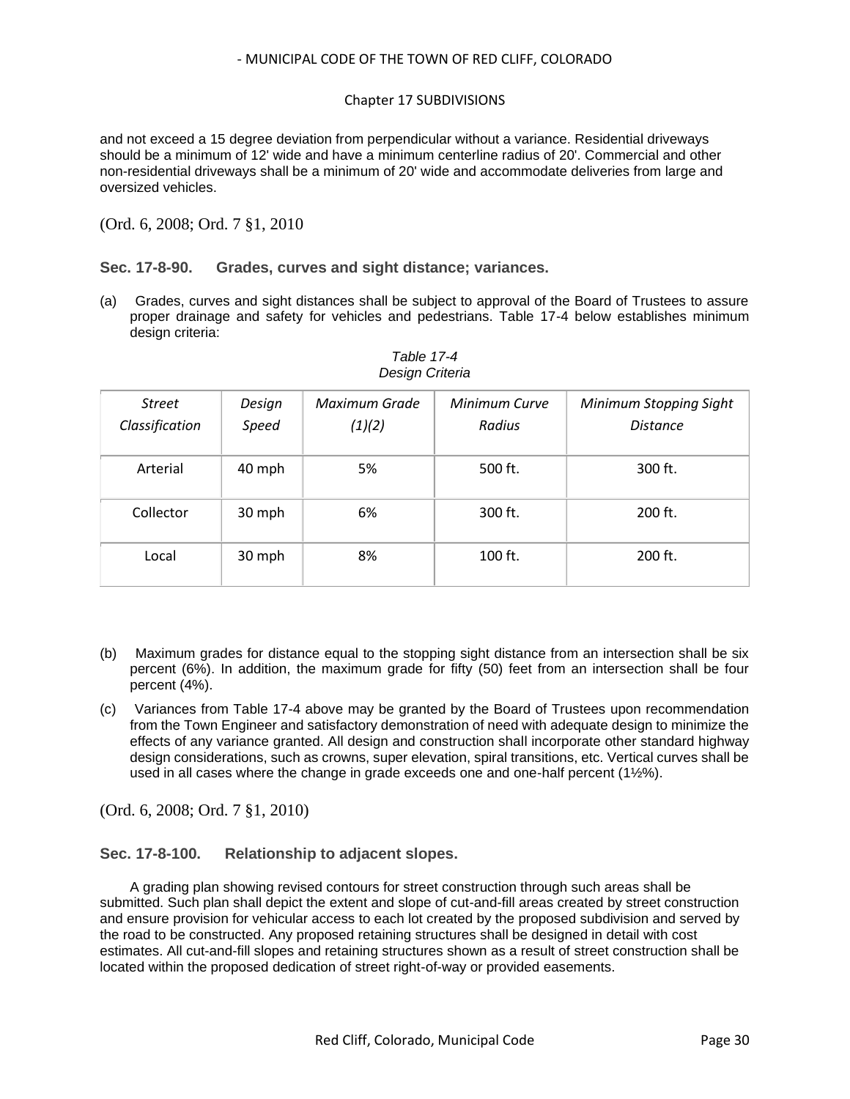## Chapter 17 SUBDIVISIONS

and not exceed a 15 degree deviation from perpendicular without a variance. Residential driveways should be a minimum of 12' wide and have a minimum centerline radius of 20'. Commercial and other non-residential driveways shall be a minimum of 20' wide and accommodate deliveries from large and oversized vehicles.

(Ord. 6, 2008; Ord. 7 §1, 2010

<span id="page-29-0"></span>**Sec. 17-8-90. Grades, curves and sight distance; variances.**

(a) Grades, curves and sight distances shall be subject to approval of the Board of Trustees to assure proper drainage and safety for vehicles and pedestrians. Table 17-4 below establishes minimum design criteria:

| <b>Street</b><br>Classification | Design<br>Speed | Maximum Grade<br>(1)(2) | Minimum Curve<br>Radius | <b>Minimum Stopping Sight</b><br><b>Distance</b> |
|---------------------------------|-----------------|-------------------------|-------------------------|--------------------------------------------------|
| Arterial                        | 40 mph          | 5%                      | 500 ft.                 | 300 ft.                                          |
| Collector                       | 30 mph          | 6%                      | 300 ft.                 | 200 ft.                                          |
| Local                           | 30 mph          | 8%                      | $100$ ft.               | $200$ ft.                                        |

#### *Table 17-4 Design Criteria*

- (b) Maximum grades for distance equal to the stopping sight distance from an intersection shall be six percent (6%). In addition, the maximum grade for fifty (50) feet from an intersection shall be four percent (4%).
- (c) Variances from Table 17-4 above may be granted by the Board of Trustees upon recommendation from the Town Engineer and satisfactory demonstration of need with adequate design to minimize the effects of any variance granted. All design and construction shall incorporate other standard highway design considerations, such as crowns, super elevation, spiral transitions, etc. Vertical curves shall be used in all cases where the change in grade exceeds one and one-half percent (1½%).

(Ord. 6, 2008; Ord. 7 §1, 2010)

<span id="page-29-1"></span>**Sec. 17-8-100. Relationship to adjacent slopes.**

A grading plan showing revised contours for street construction through such areas shall be submitted. Such plan shall depict the extent and slope of cut-and-fill areas created by street construction and ensure provision for vehicular access to each lot created by the proposed subdivision and served by the road to be constructed. Any proposed retaining structures shall be designed in detail with cost estimates. All cut-and-fill slopes and retaining structures shown as a result of street construction shall be located within the proposed dedication of street right-of-way or provided easements.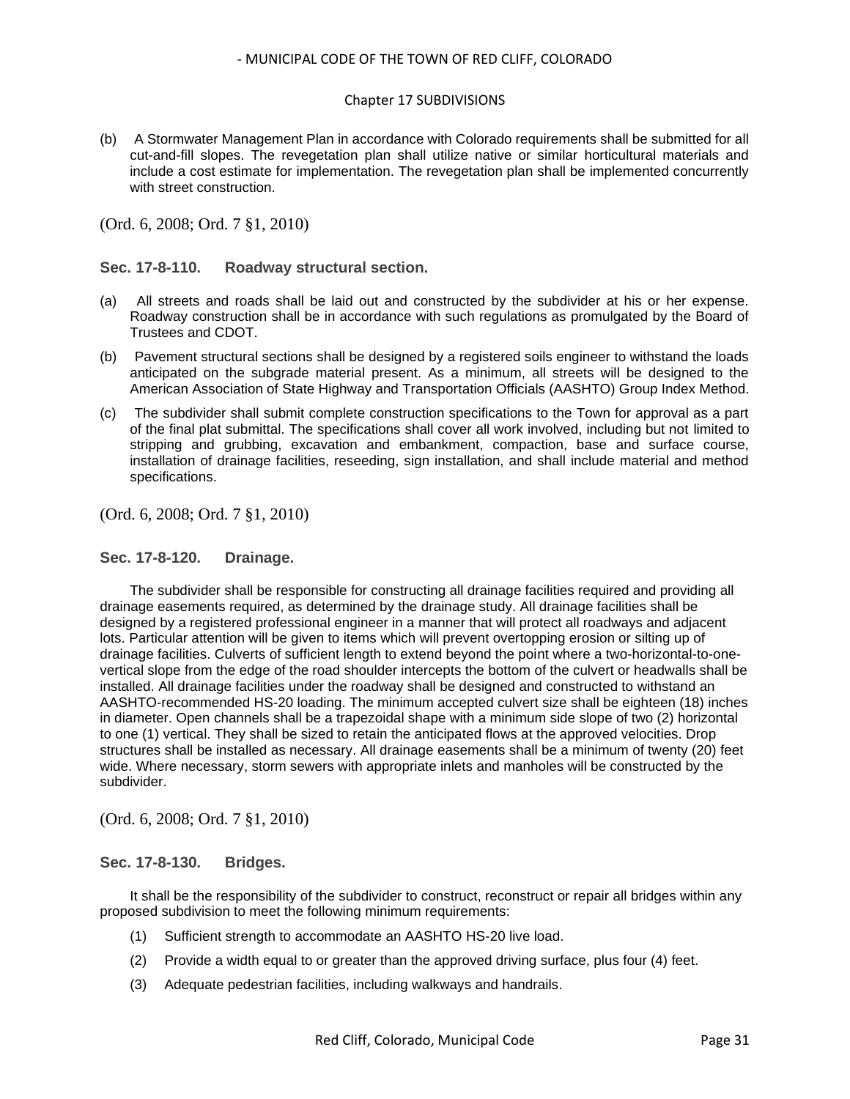#### Chapter 17 SUBDIVISIONS

(b) A Stormwater Management Plan in accordance with Colorado requirements shall be submitted for all cut-and-fill slopes. The revegetation plan shall utilize native or similar horticultural materials and include a cost estimate for implementation. The revegetation plan shall be implemented concurrently with street construction.

(Ord. 6, 2008; Ord. 7 §1, 2010)

## <span id="page-30-0"></span>**Sec. 17-8-110. Roadway structural section.**

- (a) All streets and roads shall be laid out and constructed by the subdivider at his or her expense. Roadway construction shall be in accordance with such regulations as promulgated by the Board of Trustees and CDOT.
- (b) Pavement structural sections shall be designed by a registered soils engineer to withstand the loads anticipated on the subgrade material present. As a minimum, all streets will be designed to the American Association of State Highway and Transportation Officials (AASHTO) Group Index Method.
- (c) The subdivider shall submit complete construction specifications to the Town for approval as a part of the final plat submittal. The specifications shall cover all work involved, including but not limited to stripping and grubbing, excavation and embankment, compaction, base and surface course, installation of drainage facilities, reseeding, sign installation, and shall include material and method specifications.

(Ord. 6, 2008; Ord. 7 §1, 2010)

#### <span id="page-30-1"></span>**Sec. 17-8-120. Drainage.**

The subdivider shall be responsible for constructing all drainage facilities required and providing all drainage easements required, as determined by the drainage study. All drainage facilities shall be designed by a registered professional engineer in a manner that will protect all roadways and adjacent lots. Particular attention will be given to items which will prevent overtopping erosion or silting up of drainage facilities. Culverts of sufficient length to extend beyond the point where a two-horizontal-to-onevertical slope from the edge of the road shoulder intercepts the bottom of the culvert or headwalls shall be installed. All drainage facilities under the roadway shall be designed and constructed to withstand an AASHTO-recommended HS-20 loading. The minimum accepted culvert size shall be eighteen (18) inches in diameter. Open channels shall be a trapezoidal shape with a minimum side slope of two (2) horizontal to one (1) vertical. They shall be sized to retain the anticipated flows at the approved velocities. Drop structures shall be installed as necessary. All drainage easements shall be a minimum of twenty (20) feet wide. Where necessary, storm sewers with appropriate inlets and manholes will be constructed by the subdivider.

(Ord. 6, 2008; Ord. 7 §1, 2010)

#### <span id="page-30-2"></span>**Sec. 17-8-130. Bridges.**

It shall be the responsibility of the subdivider to construct, reconstruct or repair all bridges within any proposed subdivision to meet the following minimum requirements:

- (1) Sufficient strength to accommodate an AASHTO HS-20 live load.
- (2) Provide a width equal to or greater than the approved driving surface, plus four (4) feet.
- (3) Adequate pedestrian facilities, including walkways and handrails.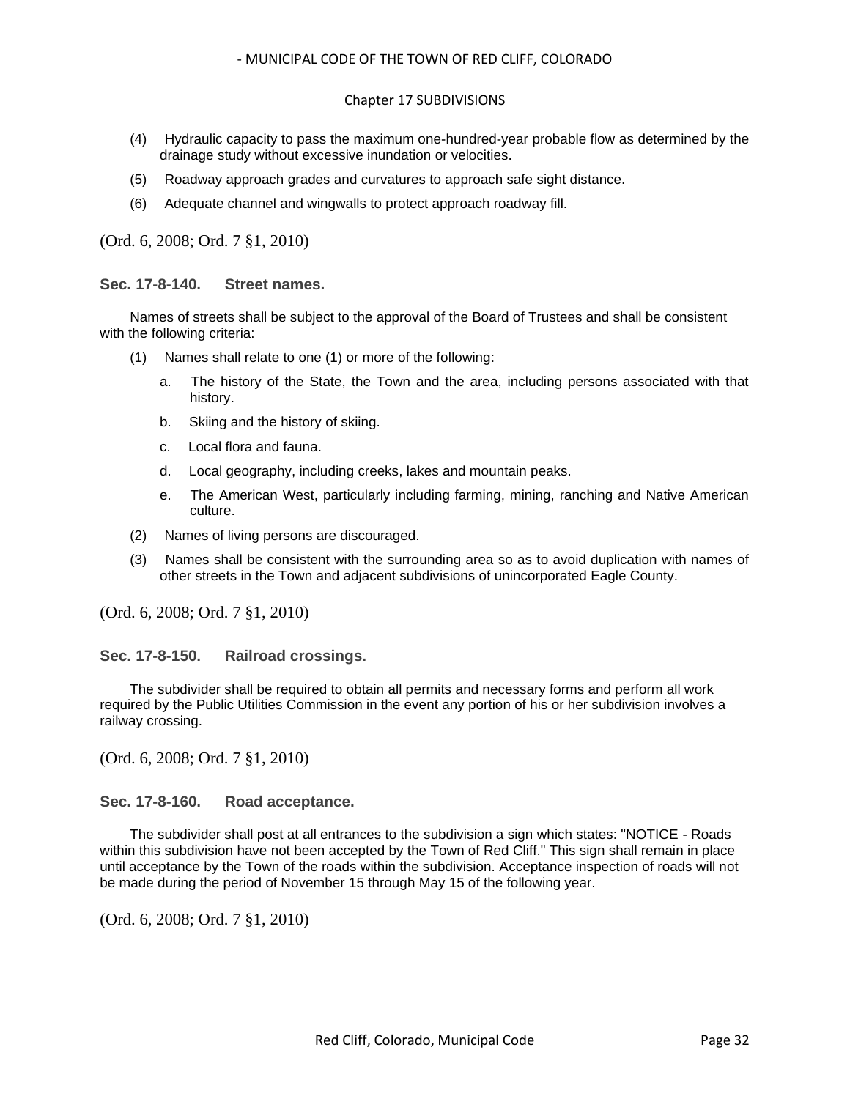#### Chapter 17 SUBDIVISIONS

- (4) Hydraulic capacity to pass the maximum one-hundred-year probable flow as determined by the drainage study without excessive inundation or velocities.
- (5) Roadway approach grades and curvatures to approach safe sight distance.
- (6) Adequate channel and wingwalls to protect approach roadway fill.

(Ord. 6, 2008; Ord. 7 §1, 2010)

#### <span id="page-31-0"></span>**Sec. 17-8-140. Street names.**

Names of streets shall be subject to the approval of the Board of Trustees and shall be consistent with the following criteria:

- (1) Names shall relate to one (1) or more of the following:
	- a. The history of the State, the Town and the area, including persons associated with that history.
	- b. Skiing and the history of skiing.
	- c. Local flora and fauna.
	- d. Local geography, including creeks, lakes and mountain peaks.
	- e. The American West, particularly including farming, mining, ranching and Native American culture.
- (2) Names of living persons are discouraged.
- (3) Names shall be consistent with the surrounding area so as to avoid duplication with names of other streets in the Town and adjacent subdivisions of unincorporated Eagle County.

(Ord. 6, 2008; Ord. 7 §1, 2010)

<span id="page-31-1"></span>**Sec. 17-8-150. Railroad crossings.**

The subdivider shall be required to obtain all permits and necessary forms and perform all work required by the Public Utilities Commission in the event any portion of his or her subdivision involves a railway crossing.

(Ord. 6, 2008; Ord. 7 §1, 2010)

#### <span id="page-31-2"></span>**Sec. 17-8-160. Road acceptance.**

The subdivider shall post at all entrances to the subdivision a sign which states: "NOTICE - Roads within this subdivision have not been accepted by the Town of Red Cliff." This sign shall remain in place until acceptance by the Town of the roads within the subdivision. Acceptance inspection of roads will not be made during the period of November 15 through May 15 of the following year.

(Ord. 6, 2008; Ord. 7 §1, 2010)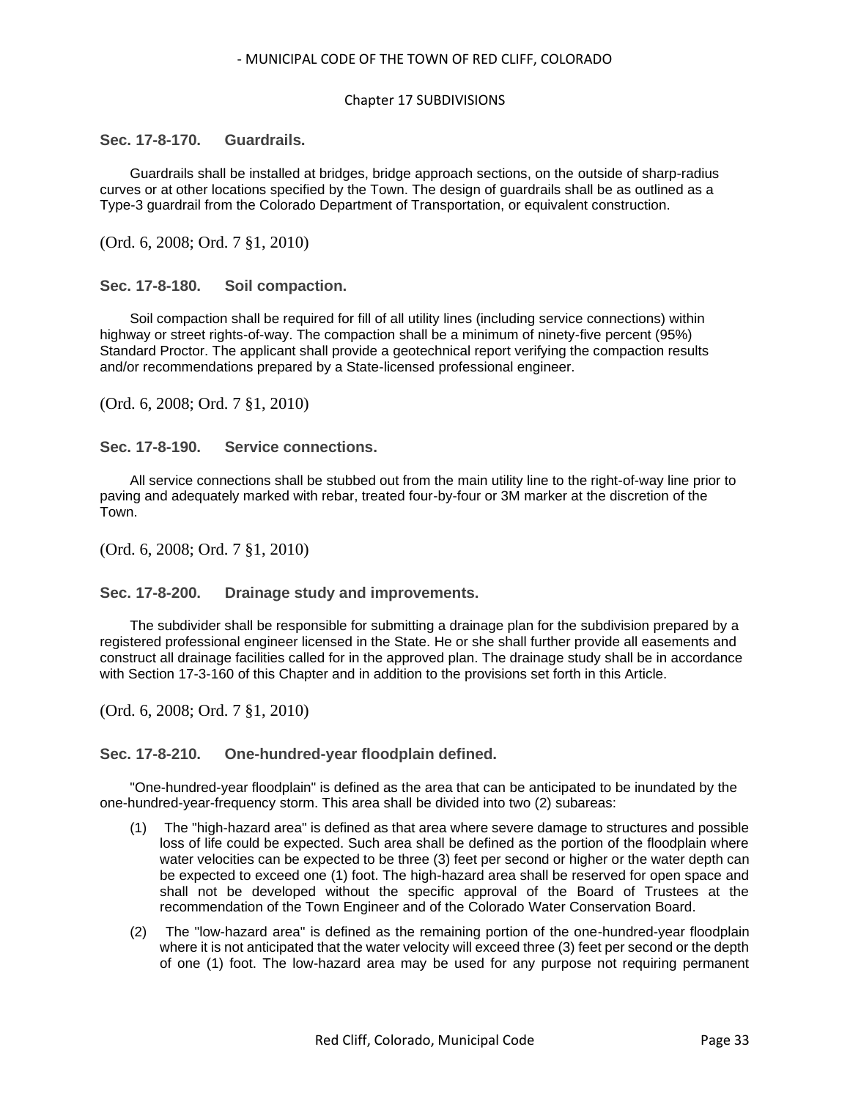#### Chapter 17 SUBDIVISIONS

#### <span id="page-32-0"></span>**Sec. 17-8-170. Guardrails.**

Guardrails shall be installed at bridges, bridge approach sections, on the outside of sharp-radius curves or at other locations specified by the Town. The design of guardrails shall be as outlined as a Type-3 guardrail from the Colorado Department of Transportation, or equivalent construction.

(Ord. 6, 2008; Ord. 7 §1, 2010)

#### <span id="page-32-1"></span>**Sec. 17-8-180. Soil compaction.**

Soil compaction shall be required for fill of all utility lines (including service connections) within highway or street rights-of-way. The compaction shall be a minimum of ninety-five percent (95%) Standard Proctor. The applicant shall provide a geotechnical report verifying the compaction results and/or recommendations prepared by a State-licensed professional engineer.

(Ord. 6, 2008; Ord. 7 §1, 2010)

<span id="page-32-2"></span>**Sec. 17-8-190. Service connections.**

All service connections shall be stubbed out from the main utility line to the right-of-way line prior to paving and adequately marked with rebar, treated four-by-four or 3M marker at the discretion of the Town.

(Ord. 6, 2008; Ord. 7 §1, 2010)

#### <span id="page-32-3"></span>**Sec. 17-8-200. Drainage study and improvements.**

The subdivider shall be responsible for submitting a drainage plan for the subdivision prepared by a registered professional engineer licensed in the State. He or she shall further provide all easements and construct all drainage facilities called for in the approved plan. The drainage study shall be in accordance with Section 17-3-160 of this Chapter and in addition to the provisions set forth in this Article.

(Ord. 6, 2008; Ord. 7 §1, 2010)

## <span id="page-32-4"></span>**Sec. 17-8-210. One-hundred-year floodplain defined.**

"One-hundred-year floodplain" is defined as the area that can be anticipated to be inundated by the one-hundred-year-frequency storm. This area shall be divided into two (2) subareas:

- (1) The "high-hazard area" is defined as that area where severe damage to structures and possible loss of life could be expected. Such area shall be defined as the portion of the floodplain where water velocities can be expected to be three (3) feet per second or higher or the water depth can be expected to exceed one (1) foot. The high-hazard area shall be reserved for open space and shall not be developed without the specific approval of the Board of Trustees at the recommendation of the Town Engineer and of the Colorado Water Conservation Board.
- (2) The "low-hazard area" is defined as the remaining portion of the one-hundred-year floodplain where it is not anticipated that the water velocity will exceed three (3) feet per second or the depth of one (1) foot. The low-hazard area may be used for any purpose not requiring permanent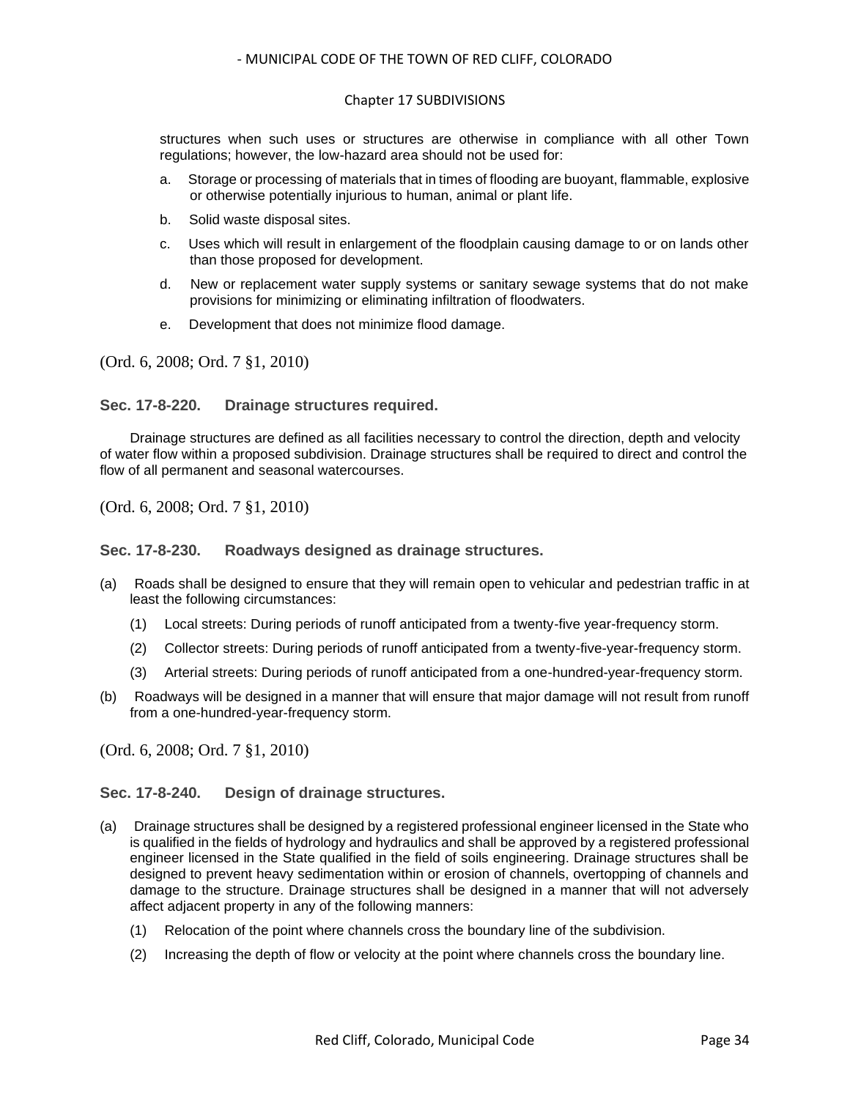#### Chapter 17 SUBDIVISIONS

structures when such uses or structures are otherwise in compliance with all other Town regulations; however, the low-hazard area should not be used for:

- a. Storage or processing of materials that in times of flooding are buoyant, flammable, explosive or otherwise potentially injurious to human, animal or plant life.
- b. Solid waste disposal sites.
- c. Uses which will result in enlargement of the floodplain causing damage to or on lands other than those proposed for development.
- d. New or replacement water supply systems or sanitary sewage systems that do not make provisions for minimizing or eliminating infiltration of floodwaters.
- e. Development that does not minimize flood damage.

(Ord. 6, 2008; Ord. 7 §1, 2010)

#### <span id="page-33-0"></span>**Sec. 17-8-220. Drainage structures required.**

Drainage structures are defined as all facilities necessary to control the direction, depth and velocity of water flow within a proposed subdivision. Drainage structures shall be required to direct and control the flow of all permanent and seasonal watercourses.

(Ord. 6, 2008; Ord. 7 §1, 2010)

<span id="page-33-1"></span>**Sec. 17-8-230. Roadways designed as drainage structures.**

- (a) Roads shall be designed to ensure that they will remain open to vehicular and pedestrian traffic in at least the following circumstances:
	- (1) Local streets: During periods of runoff anticipated from a twenty-five year-frequency storm.
	- (2) Collector streets: During periods of runoff anticipated from a twenty-five-year-frequency storm.
	- (3) Arterial streets: During periods of runoff anticipated from a one-hundred-year-frequency storm.
- (b) Roadways will be designed in a manner that will ensure that major damage will not result from runoff from a one-hundred-year-frequency storm.

(Ord. 6, 2008; Ord. 7 §1, 2010)

## <span id="page-33-2"></span>**Sec. 17-8-240. Design of drainage structures.**

- (a) Drainage structures shall be designed by a registered professional engineer licensed in the State who is qualified in the fields of hydrology and hydraulics and shall be approved by a registered professional engineer licensed in the State qualified in the field of soils engineering. Drainage structures shall be designed to prevent heavy sedimentation within or erosion of channels, overtopping of channels and damage to the structure. Drainage structures shall be designed in a manner that will not adversely affect adjacent property in any of the following manners:
	- (1) Relocation of the point where channels cross the boundary line of the subdivision.
	- (2) Increasing the depth of flow or velocity at the point where channels cross the boundary line.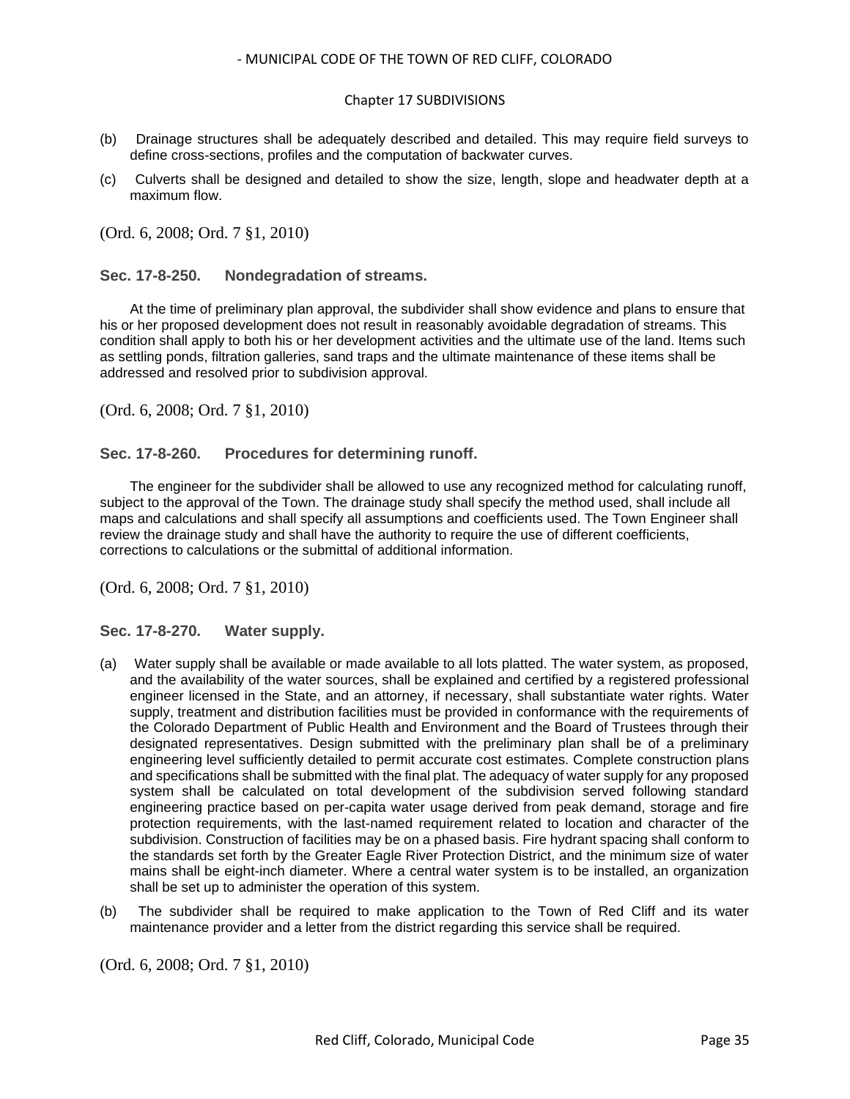#### Chapter 17 SUBDIVISIONS

- (b) Drainage structures shall be adequately described and detailed. This may require field surveys to define cross-sections, profiles and the computation of backwater curves.
- (c) Culverts shall be designed and detailed to show the size, length, slope and headwater depth at a maximum flow.

(Ord. 6, 2008; Ord. 7 §1, 2010)

#### <span id="page-34-0"></span>**Sec. 17-8-250. Nondegradation of streams.**

At the time of preliminary plan approval, the subdivider shall show evidence and plans to ensure that his or her proposed development does not result in reasonably avoidable degradation of streams. This condition shall apply to both his or her development activities and the ultimate use of the land. Items such as settling ponds, filtration galleries, sand traps and the ultimate maintenance of these items shall be addressed and resolved prior to subdivision approval.

(Ord. 6, 2008; Ord. 7 §1, 2010)

#### <span id="page-34-1"></span>**Sec. 17-8-260. Procedures for determining runoff.**

The engineer for the subdivider shall be allowed to use any recognized method for calculating runoff, subject to the approval of the Town. The drainage study shall specify the method used, shall include all maps and calculations and shall specify all assumptions and coefficients used. The Town Engineer shall review the drainage study and shall have the authority to require the use of different coefficients, corrections to calculations or the submittal of additional information.

(Ord. 6, 2008; Ord. 7 §1, 2010)

<span id="page-34-2"></span>**Sec. 17-8-270. Water supply.**

- (a) Water supply shall be available or made available to all lots platted. The water system, as proposed, and the availability of the water sources, shall be explained and certified by a registered professional engineer licensed in the State, and an attorney, if necessary, shall substantiate water rights. Water supply, treatment and distribution facilities must be provided in conformance with the requirements of the Colorado Department of Public Health and Environment and the Board of Trustees through their designated representatives. Design submitted with the preliminary plan shall be of a preliminary engineering level sufficiently detailed to permit accurate cost estimates. Complete construction plans and specifications shall be submitted with the final plat. The adequacy of water supply for any proposed system shall be calculated on total development of the subdivision served following standard engineering practice based on per-capita water usage derived from peak demand, storage and fire protection requirements, with the last-named requirement related to location and character of the subdivision. Construction of facilities may be on a phased basis. Fire hydrant spacing shall conform to the standards set forth by the Greater Eagle River Protection District, and the minimum size of water mains shall be eight-inch diameter. Where a central water system is to be installed, an organization shall be set up to administer the operation of this system.
- (b) The subdivider shall be required to make application to the Town of Red Cliff and its water maintenance provider and a letter from the district regarding this service shall be required.

(Ord. 6, 2008; Ord. 7 §1, 2010)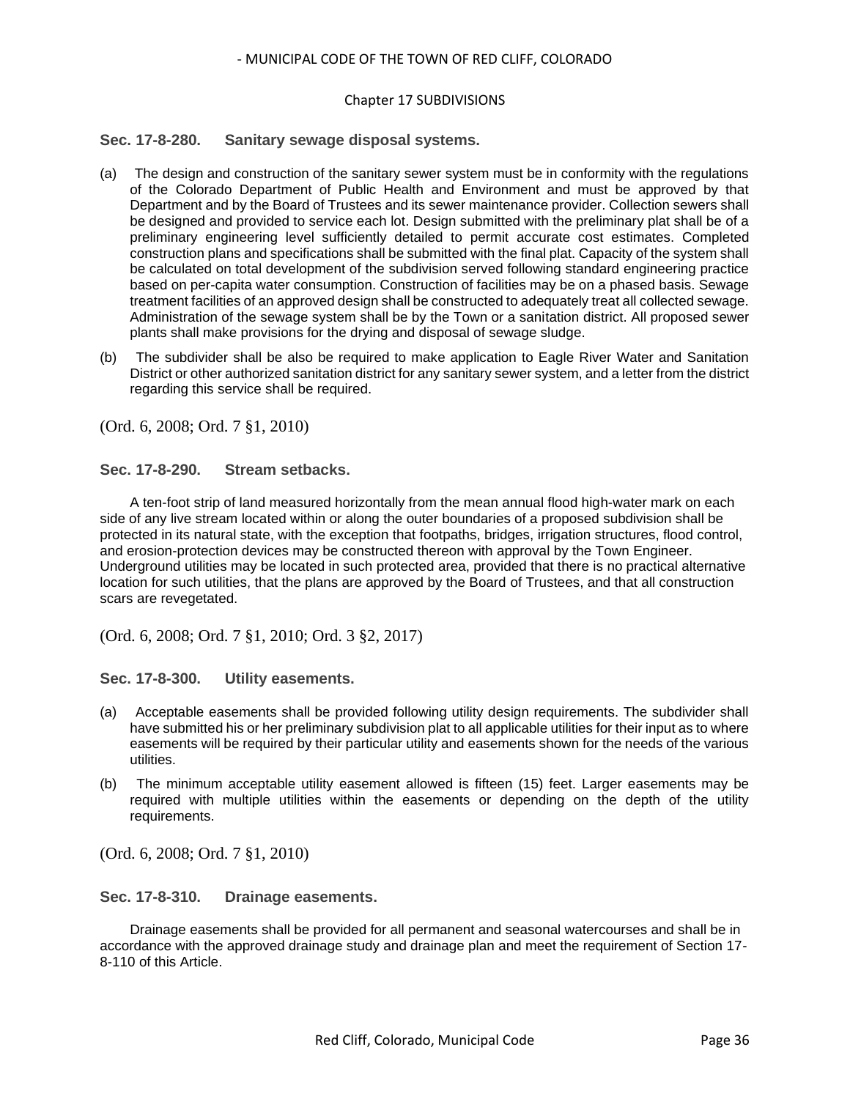#### Chapter 17 SUBDIVISIONS

## <span id="page-35-0"></span>**Sec. 17-8-280. Sanitary sewage disposal systems.**

- (a) The design and construction of the sanitary sewer system must be in conformity with the regulations of the Colorado Department of Public Health and Environment and must be approved by that Department and by the Board of Trustees and its sewer maintenance provider. Collection sewers shall be designed and provided to service each lot. Design submitted with the preliminary plat shall be of a preliminary engineering level sufficiently detailed to permit accurate cost estimates. Completed construction plans and specifications shall be submitted with the final plat. Capacity of the system shall be calculated on total development of the subdivision served following standard engineering practice based on per-capita water consumption. Construction of facilities may be on a phased basis. Sewage treatment facilities of an approved design shall be constructed to adequately treat all collected sewage. Administration of the sewage system shall be by the Town or a sanitation district. All proposed sewer plants shall make provisions for the drying and disposal of sewage sludge.
- (b) The subdivider shall be also be required to make application to Eagle River Water and Sanitation District or other authorized sanitation district for any sanitary sewer system, and a letter from the district regarding this service shall be required.

(Ord. 6, 2008; Ord. 7 §1, 2010)

<span id="page-35-1"></span>**Sec. 17-8-290. Stream setbacks.**

A ten-foot strip of land measured horizontally from the mean annual flood high-water mark on each side of any live stream located within or along the outer boundaries of a proposed subdivision shall be protected in its natural state, with the exception that footpaths, bridges, irrigation structures, flood control, and erosion-protection devices may be constructed thereon with approval by the Town Engineer. Underground utilities may be located in such protected area, provided that there is no practical alternative location for such utilities, that the plans are approved by the Board of Trustees, and that all construction scars are revegetated.

(Ord. 6, 2008; Ord. 7 §1, 2010; Ord. 3 §2, 2017)

<span id="page-35-2"></span>**Sec. 17-8-300. Utility easements.**

- (a) Acceptable easements shall be provided following utility design requirements. The subdivider shall have submitted his or her preliminary subdivision plat to all applicable utilities for their input as to where easements will be required by their particular utility and easements shown for the needs of the various utilities.
- (b) The minimum acceptable utility easement allowed is fifteen (15) feet. Larger easements may be required with multiple utilities within the easements or depending on the depth of the utility requirements.

(Ord. 6, 2008; Ord. 7 §1, 2010)

<span id="page-35-3"></span>**Sec. 17-8-310. Drainage easements.**

Drainage easements shall be provided for all permanent and seasonal watercourses and shall be in accordance with the approved drainage study and drainage plan and meet the requirement of Section 17- 8-110 of this Article.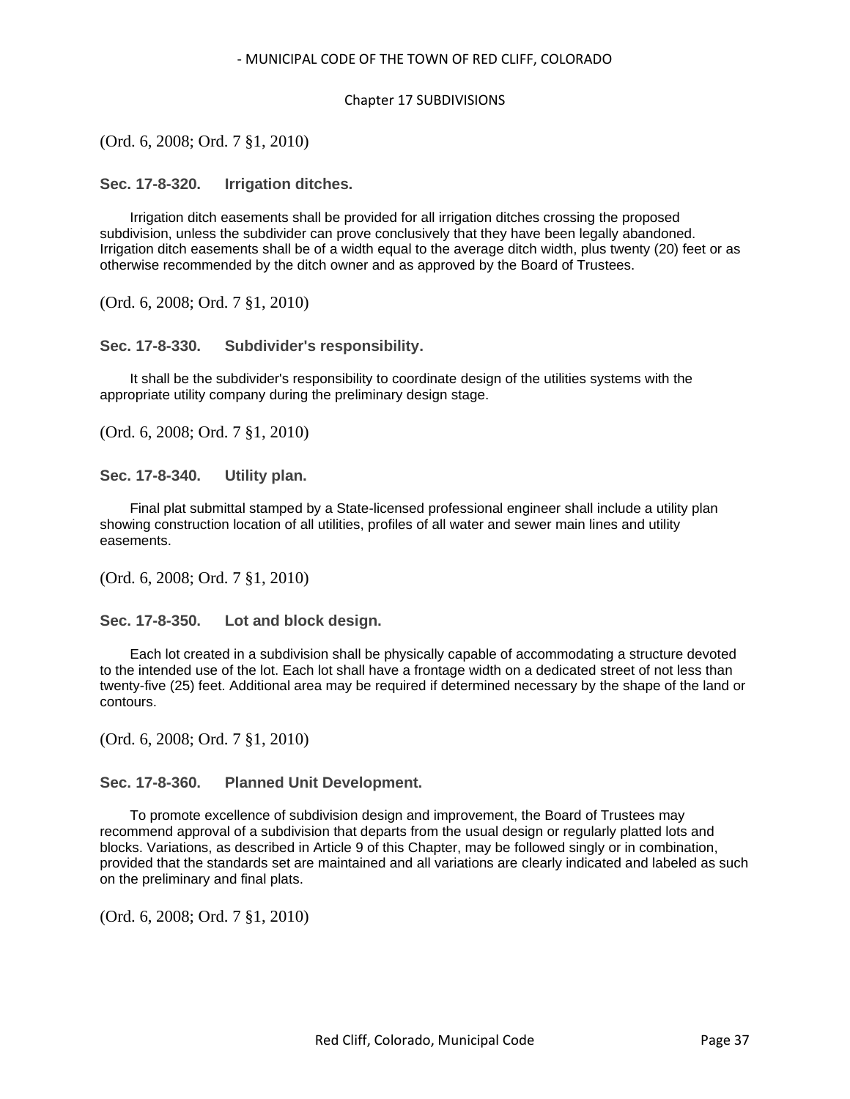#### Chapter 17 SUBDIVISIONS

(Ord. 6, 2008; Ord. 7 §1, 2010)

<span id="page-36-0"></span>**Sec. 17-8-320. Irrigation ditches.**

Irrigation ditch easements shall be provided for all irrigation ditches crossing the proposed subdivision, unless the subdivider can prove conclusively that they have been legally abandoned. Irrigation ditch easements shall be of a width equal to the average ditch width, plus twenty (20) feet or as otherwise recommended by the ditch owner and as approved by the Board of Trustees.

(Ord. 6, 2008; Ord. 7 §1, 2010)

<span id="page-36-1"></span>**Sec. 17-8-330. Subdivider's responsibility.**

It shall be the subdivider's responsibility to coordinate design of the utilities systems with the appropriate utility company during the preliminary design stage.

(Ord. 6, 2008; Ord. 7 §1, 2010)

<span id="page-36-2"></span>**Sec. 17-8-340. Utility plan.**

Final plat submittal stamped by a State-licensed professional engineer shall include a utility plan showing construction location of all utilities, profiles of all water and sewer main lines and utility easements.

(Ord. 6, 2008; Ord. 7 §1, 2010)

<span id="page-36-3"></span>**Sec. 17-8-350. Lot and block design.**

Each lot created in a subdivision shall be physically capable of accommodating a structure devoted to the intended use of the lot. Each lot shall have a frontage width on a dedicated street of not less than twenty-five (25) feet. Additional area may be required if determined necessary by the shape of the land or contours.

(Ord. 6, 2008; Ord. 7 §1, 2010)

<span id="page-36-4"></span>**Sec. 17-8-360. Planned Unit Development.**

To promote excellence of subdivision design and improvement, the Board of Trustees may recommend approval of a subdivision that departs from the usual design or regularly platted lots and blocks. Variations, as described in Article 9 of this Chapter, may be followed singly or in combination, provided that the standards set are maintained and all variations are clearly indicated and labeled as such on the preliminary and final plats.

(Ord. 6, 2008; Ord. 7 §1, 2010)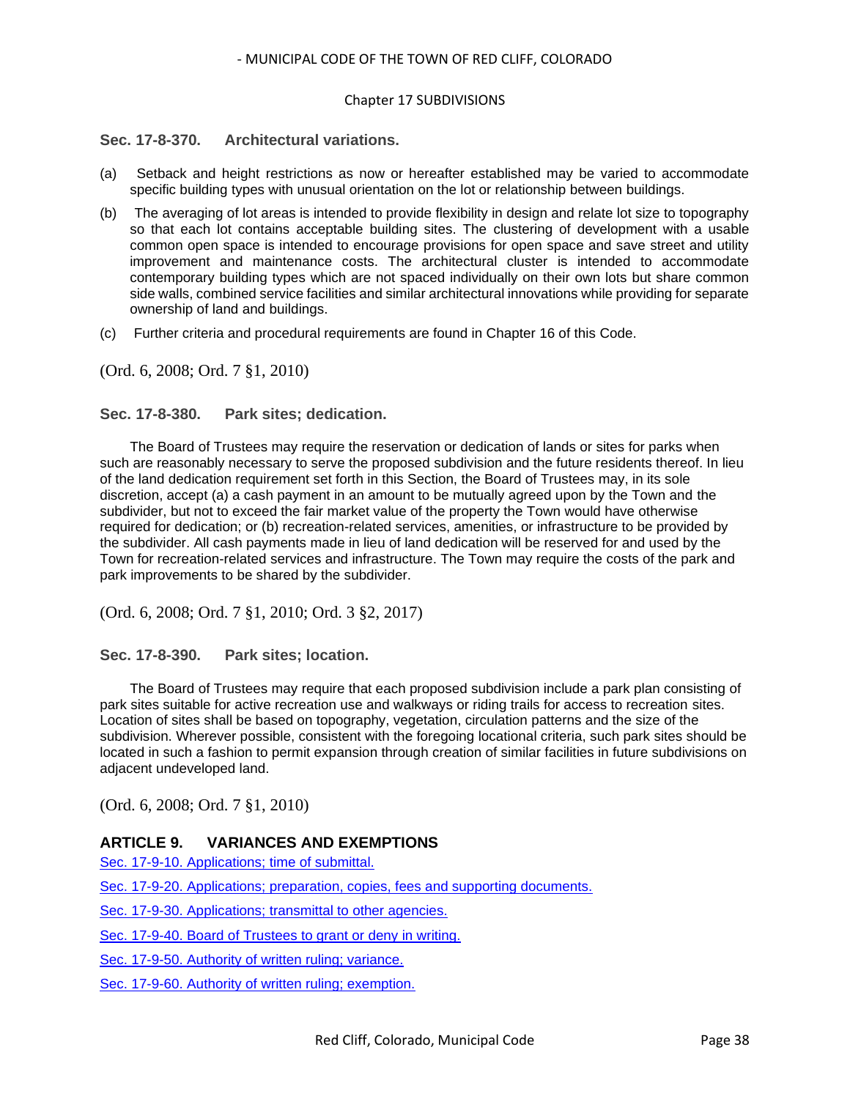#### Chapter 17 SUBDIVISIONS

## <span id="page-37-0"></span>**Sec. 17-8-370. Architectural variations.**

- (a) Setback and height restrictions as now or hereafter established may be varied to accommodate specific building types with unusual orientation on the lot or relationship between buildings.
- (b) The averaging of lot areas is intended to provide flexibility in design and relate lot size to topography so that each lot contains acceptable building sites. The clustering of development with a usable common open space is intended to encourage provisions for open space and save street and utility improvement and maintenance costs. The architectural cluster is intended to accommodate contemporary building types which are not spaced individually on their own lots but share common side walls, combined service facilities and similar architectural innovations while providing for separate ownership of land and buildings.
- (c) Further criteria and procedural requirements are found in Chapter 16 of this Code.

(Ord. 6, 2008; Ord. 7 §1, 2010)

#### <span id="page-37-1"></span>**Sec. 17-8-380. Park sites; dedication.**

The Board of Trustees may require the reservation or dedication of lands or sites for parks when such are reasonably necessary to serve the proposed subdivision and the future residents thereof. In lieu of the land dedication requirement set forth in this Section, the Board of Trustees may, in its sole discretion, accept (a) a cash payment in an amount to be mutually agreed upon by the Town and the subdivider, but not to exceed the fair market value of the property the Town would have otherwise required for dedication; or (b) recreation-related services, amenities, or infrastructure to be provided by the subdivider. All cash payments made in lieu of land dedication will be reserved for and used by the Town for recreation-related services and infrastructure. The Town may require the costs of the park and park improvements to be shared by the subdivider.

(Ord. 6, 2008; Ord. 7 §1, 2010; Ord. 3 §2, 2017)

<span id="page-37-2"></span>**Sec. 17-8-390. Park sites; location.**

The Board of Trustees may require that each proposed subdivision include a park plan consisting of park sites suitable for active recreation use and walkways or riding trails for access to recreation sites. Location of sites shall be based on topography, vegetation, circulation patterns and the size of the subdivision. Wherever possible, consistent with the foregoing locational criteria, such park sites should be located in such a fashion to permit expansion through creation of similar facilities in future subdivisions on adjacent undeveloped land.

(Ord. 6, 2008; Ord. 7 §1, 2010)

## **ARTICLE 9. VARIANCES AND EXEMPTIONS**

[Sec. 17-9-10. Applications; time of submittal.](#page-38-0)

[Sec. 17-9-20. Applications; preparation, copies, fees and supporting documents.](#page-38-1)

[Sec. 17-9-30. Applications; transmittal to other agencies.](#page-38-2)

[Sec. 17-9-40. Board of Trustees to grant or deny in writing.](#page-38-3)

[Sec. 17-9-50. Authority of written ruling; variance.](#page-39-0)

[Sec. 17-9-60. Authority of written ruling; exemption.](#page-39-1)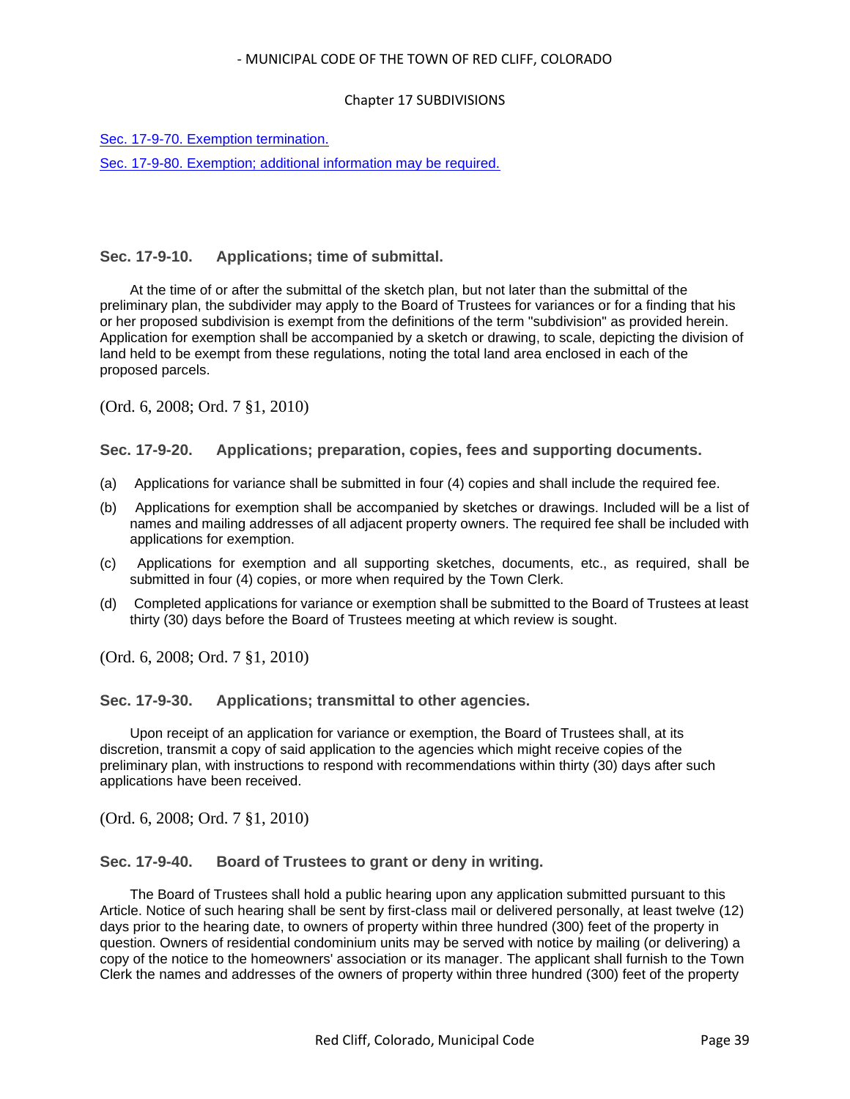#### Chapter 17 SUBDIVISIONS

[Sec. 17-9-70. Exemption termination.](#page-39-2)

[Sec. 17-9-80. Exemption; additional information may be required.](#page-39-3)

## <span id="page-38-0"></span>**Sec. 17-9-10. Applications; time of submittal.**

At the time of or after the submittal of the sketch plan, but not later than the submittal of the preliminary plan, the subdivider may apply to the Board of Trustees for variances or for a finding that his or her proposed subdivision is exempt from the definitions of the term "subdivision" as provided herein. Application for exemption shall be accompanied by a sketch or drawing, to scale, depicting the division of land held to be exempt from these regulations, noting the total land area enclosed in each of the proposed parcels.

(Ord. 6, 2008; Ord. 7 §1, 2010)

#### <span id="page-38-1"></span>**Sec. 17-9-20. Applications; preparation, copies, fees and supporting documents.**

- (a) Applications for variance shall be submitted in four (4) copies and shall include the required fee.
- (b) Applications for exemption shall be accompanied by sketches or drawings. Included will be a list of names and mailing addresses of all adjacent property owners. The required fee shall be included with applications for exemption.
- (c) Applications for exemption and all supporting sketches, documents, etc., as required, shall be submitted in four (4) copies, or more when required by the Town Clerk.
- (d) Completed applications for variance or exemption shall be submitted to the Board of Trustees at least thirty (30) days before the Board of Trustees meeting at which review is sought.

(Ord. 6, 2008; Ord. 7 §1, 2010)

<span id="page-38-2"></span>**Sec. 17-9-30. Applications; transmittal to other agencies.**

Upon receipt of an application for variance or exemption, the Board of Trustees shall, at its discretion, transmit a copy of said application to the agencies which might receive copies of the preliminary plan, with instructions to respond with recommendations within thirty (30) days after such applications have been received.

(Ord. 6, 2008; Ord. 7 §1, 2010)

#### <span id="page-38-3"></span>**Sec. 17-9-40. Board of Trustees to grant or deny in writing.**

The Board of Trustees shall hold a public hearing upon any application submitted pursuant to this Article. Notice of such hearing shall be sent by first-class mail or delivered personally, at least twelve (12) days prior to the hearing date, to owners of property within three hundred (300) feet of the property in question. Owners of residential condominium units may be served with notice by mailing (or delivering) a copy of the notice to the homeowners' association or its manager. The applicant shall furnish to the Town Clerk the names and addresses of the owners of property within three hundred (300) feet of the property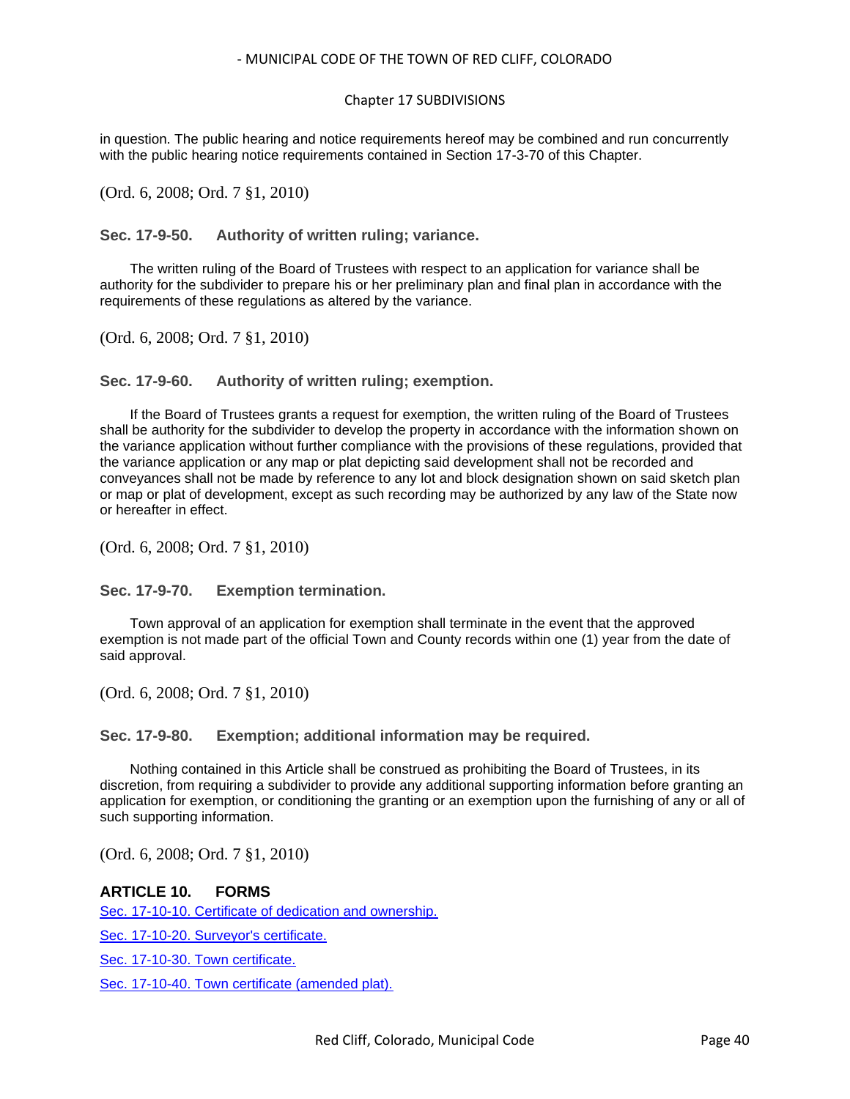#### Chapter 17 SUBDIVISIONS

in question. The public hearing and notice requirements hereof may be combined and run concurrently with the public hearing notice requirements contained in Section 17-3-70 of this Chapter.

(Ord. 6, 2008; Ord. 7 §1, 2010)

<span id="page-39-0"></span>**Sec. 17-9-50. Authority of written ruling; variance.**

The written ruling of the Board of Trustees with respect to an application for variance shall be authority for the subdivider to prepare his or her preliminary plan and final plan in accordance with the requirements of these regulations as altered by the variance.

(Ord. 6, 2008; Ord. 7 §1, 2010)

<span id="page-39-1"></span>**Sec. 17-9-60. Authority of written ruling; exemption.**

If the Board of Trustees grants a request for exemption, the written ruling of the Board of Trustees shall be authority for the subdivider to develop the property in accordance with the information shown on the variance application without further compliance with the provisions of these regulations, provided that the variance application or any map or plat depicting said development shall not be recorded and conveyances shall not be made by reference to any lot and block designation shown on said sketch plan or map or plat of development, except as such recording may be authorized by any law of the State now or hereafter in effect.

(Ord. 6, 2008; Ord. 7 §1, 2010)

<span id="page-39-2"></span>**Sec. 17-9-70. Exemption termination.**

Town approval of an application for exemption shall terminate in the event that the approved exemption is not made part of the official Town and County records within one (1) year from the date of said approval.

(Ord. 6, 2008; Ord. 7 §1, 2010)

<span id="page-39-3"></span>**Sec. 17-9-80. Exemption; additional information may be required.**

Nothing contained in this Article shall be construed as prohibiting the Board of Trustees, in its discretion, from requiring a subdivider to provide any additional supporting information before granting an application for exemption, or conditioning the granting or an exemption upon the furnishing of any or all of such supporting information.

(Ord. 6, 2008; Ord. 7 §1, 2010)

## **ARTICLE 10. FORMS**

[Sec. 17-10-10. Certificate of dedication and ownership.](#page-40-0)

[Sec. 17-10-20. Surveyor's certificate.](#page-40-1)

[Sec. 17-10-30. Town certificate.](#page-41-0)

[Sec. 17-10-40. Town certificate \(amended plat\).](#page-41-1)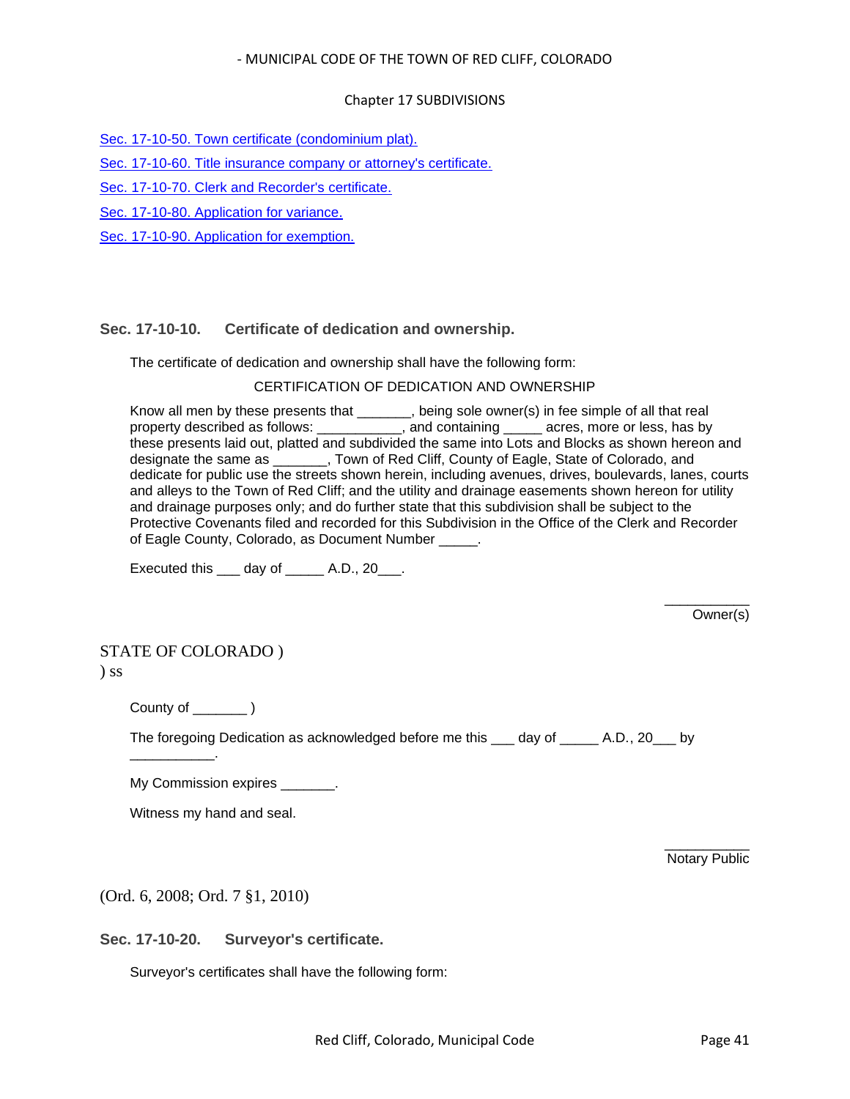#### Chapter 17 SUBDIVISIONS

[Sec. 17-10-50. Town certificate \(condominium plat\).](#page-42-0)

[Sec. 17-10-60. Title insurance company or attorney's certificate.](#page-42-1)

[Sec. 17-10-70. Clerk and Recorder's certificate.](#page-43-0)

[Sec. 17-10-80. Application for variance.](#page-43-1)

[Sec. 17-10-90. Application for exemption.](#page-44-0)

## <span id="page-40-0"></span>**Sec. 17-10-10. Certificate of dedication and ownership.**

The certificate of dedication and ownership shall have the following form:

#### CERTIFICATION OF DEDICATION AND OWNERSHIP

Know all men by these presents that \_\_\_\_\_\_, being sole owner(s) in fee simple of all that real property described as follows: \_\_\_\_\_\_\_\_\_\_, and containing \_\_\_\_\_ acres, more or less, has by these presents laid out, platted and subdivided the same into Lots and Blocks as shown hereon and designate the same as \_\_\_\_\_\_\_, Town of Red Cliff, County of Eagle, State of Colorado, and dedicate for public use the streets shown herein, including avenues, drives, boulevards, lanes, courts and alleys to the Town of Red Cliff; and the utility and drainage easements shown hereon for utility and drainage purposes only; and do further state that this subdivision shall be subject to the Protective Covenants filed and recorded for this Subdivision in the Office of the Clerk and Recorder of Eagle County, Colorado, as Document Number

Executed this  $\rule{1em}{0.15mm}$  day of  $\rule{1em}{0.15mm}$  A.D., 20 $\rule{1em}{0.15mm}$ .

\_\_\_\_\_\_\_\_\_\_\_ Owner(s)

# STATE OF COLORADO )

) ss

County of \_\_\_\_\_\_\_ )

\_\_\_\_\_\_\_\_\_\_\_.

The foregoing Dedication as acknowledged before me this \_\_\_ day of \_\_\_\_\_ A.D., 20\_\_\_ by

My Commission expires  $\qquad \qquad$ .

Witness my hand and seal.

\_\_\_\_\_\_\_\_\_\_\_ Notary Public

(Ord. 6, 2008; Ord. 7 §1, 2010)

<span id="page-40-1"></span>**Sec. 17-10-20. Surveyor's certificate.**

Surveyor's certificates shall have the following form: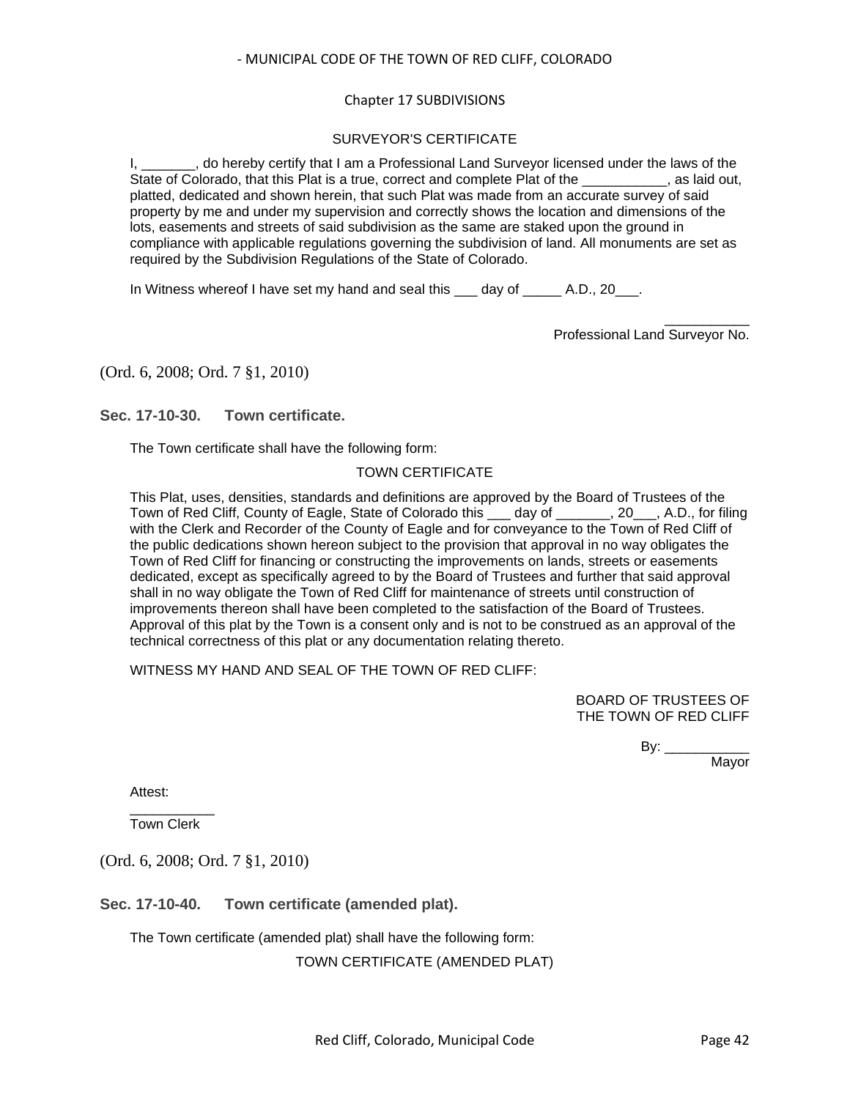#### Chapter 17 SUBDIVISIONS

## SURVEYOR'S CERTIFICATE

I, do hereby certify that I am a Professional Land Surveyor licensed under the laws of the State of Colorado, that this Plat is a true, correct and complete Plat of the state of Colorado, that this Plat is a true, correct and complete Plat of the platted, dedicated and shown herein, that such Plat was made from an accurate survey of said property by me and under my supervision and correctly shows the location and dimensions of the lots, easements and streets of said subdivision as the same are staked upon the ground in compliance with applicable regulations governing the subdivision of land. All monuments are set as required by the Subdivision Regulations of the State of Colorado.

In Witness whereof I have set my hand and seal this day of A.D., 20.

\_\_\_\_\_\_\_\_\_\_\_ Professional Land Surveyor No.

#### (Ord. 6, 2008; Ord. 7 §1, 2010)

<span id="page-41-0"></span>**Sec. 17-10-30. Town certificate.**

The Town certificate shall have the following form:

#### TOWN CERTIFICATE

This Plat, uses, densities, standards and definitions are approved by the Board of Trustees of the Town of Red Cliff, County of Eagle, State of Colorado this \_\_\_ day of \_\_\_\_\_\_\_, 20\_\_\_, A.D., for filing with the Clerk and Recorder of the County of Eagle and for conveyance to the Town of Red Cliff of the public dedications shown hereon subject to the provision that approval in no way obligates the Town of Red Cliff for financing or constructing the improvements on lands, streets or easements dedicated, except as specifically agreed to by the Board of Trustees and further that said approval shall in no way obligate the Town of Red Cliff for maintenance of streets until construction of improvements thereon shall have been completed to the satisfaction of the Board of Trustees. Approval of this plat by the Town is a consent only and is not to be construed as an approval of the technical correctness of this plat or any documentation relating thereto.

WITNESS MY HAND AND SEAL OF THE TOWN OF RED CLIFF:

BOARD OF TRUSTEES OF THE TOWN OF RED CLIFF

> By: \_\_\_\_\_\_\_\_\_\_\_\_\_\_ Mayor

Attest:

\_\_\_\_\_\_\_\_\_\_\_ Town Clerk

(Ord. 6, 2008; Ord. 7 §1, 2010)

<span id="page-41-1"></span>**Sec. 17-10-40. Town certificate (amended plat).**

The Town certificate (amended plat) shall have the following form:

TOWN CERTIFICATE (AMENDED PLAT)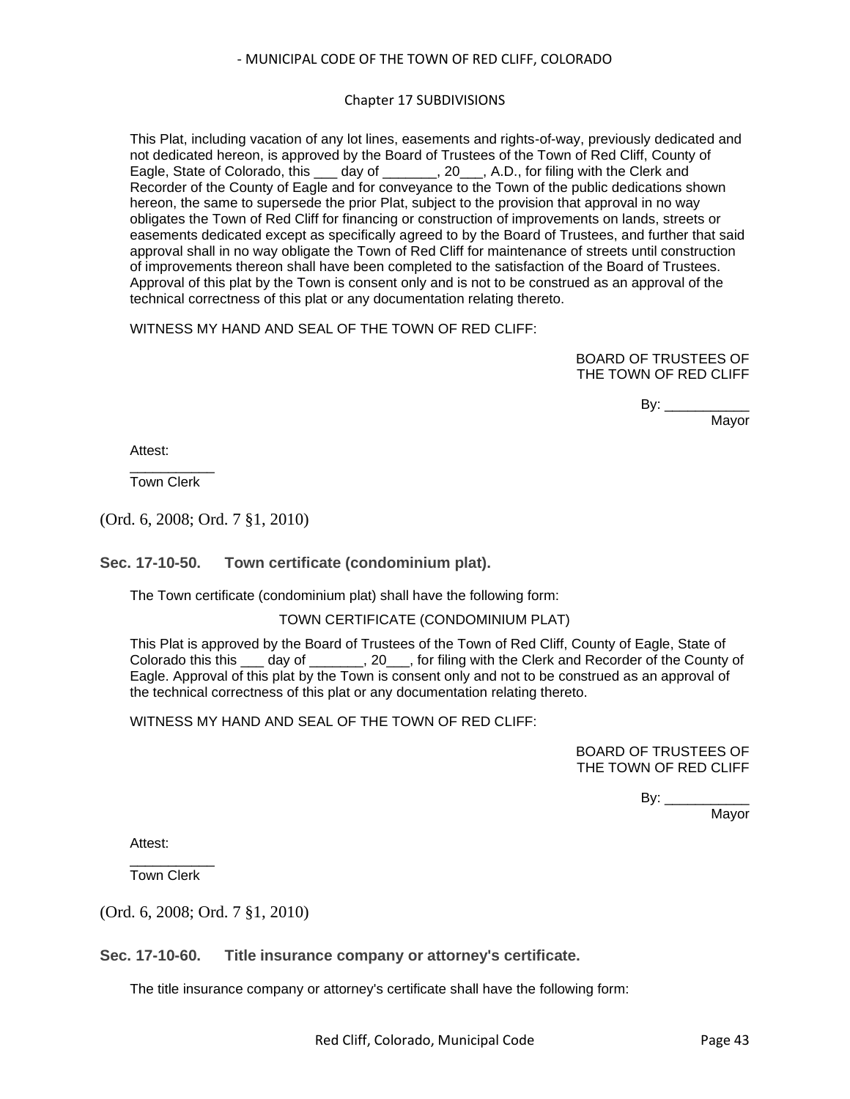## Chapter 17 SUBDIVISIONS

This Plat, including vacation of any lot lines, easements and rights-of-way, previously dedicated and not dedicated hereon, is approved by the Board of Trustees of the Town of Red Cliff, County of Eagle, State of Colorado, this \_\_\_ day of \_\_\_\_\_\_\_, 20\_\_\_, A.D., for filing with the Clerk and Recorder of the County of Eagle and for conveyance to the Town of the public dedications shown hereon, the same to supersede the prior Plat, subject to the provision that approval in no way obligates the Town of Red Cliff for financing or construction of improvements on lands, streets or easements dedicated except as specifically agreed to by the Board of Trustees, and further that said approval shall in no way obligate the Town of Red Cliff for maintenance of streets until construction of improvements thereon shall have been completed to the satisfaction of the Board of Trustees. Approval of this plat by the Town is consent only and is not to be construed as an approval of the technical correctness of this plat or any documentation relating thereto.

WITNESS MY HAND AND SEAL OF THE TOWN OF RED CLIFF:

BOARD OF TRUSTEES OF THE TOWN OF RED CLIFF

> $By:$ Mayor

Attest:

\_\_\_\_\_\_\_\_\_\_\_ Town Clerk

(Ord. 6, 2008; Ord. 7 §1, 2010)

<span id="page-42-0"></span>**Sec. 17-10-50. Town certificate (condominium plat).**

The Town certificate (condominium plat) shall have the following form:

#### TOWN CERTIFICATE (CONDOMINIUM PLAT)

This Plat is approved by the Board of Trustees of the Town of Red Cliff, County of Eagle, State of Colorado this this \_\_\_ day of \_\_\_\_\_\_\_, 20\_\_\_, for filing with the Clerk and Recorder of the County of Eagle. Approval of this plat by the Town is consent only and not to be construed as an approval of the technical correctness of this plat or any documentation relating thereto.

WITNESS MY HAND AND SEAL OF THE TOWN OF RED CLIFF.

BOARD OF TRUSTEES OF THE TOWN OF RED CLIFF

> By: \_\_\_\_\_\_\_\_\_\_\_\_\_ Mayor

Attest:

\_\_\_\_\_\_\_\_\_\_\_ Town Clerk

(Ord. 6, 2008; Ord. 7 §1, 2010)

<span id="page-42-1"></span>**Sec. 17-10-60. Title insurance company or attorney's certificate.**

The title insurance company or attorney's certificate shall have the following form: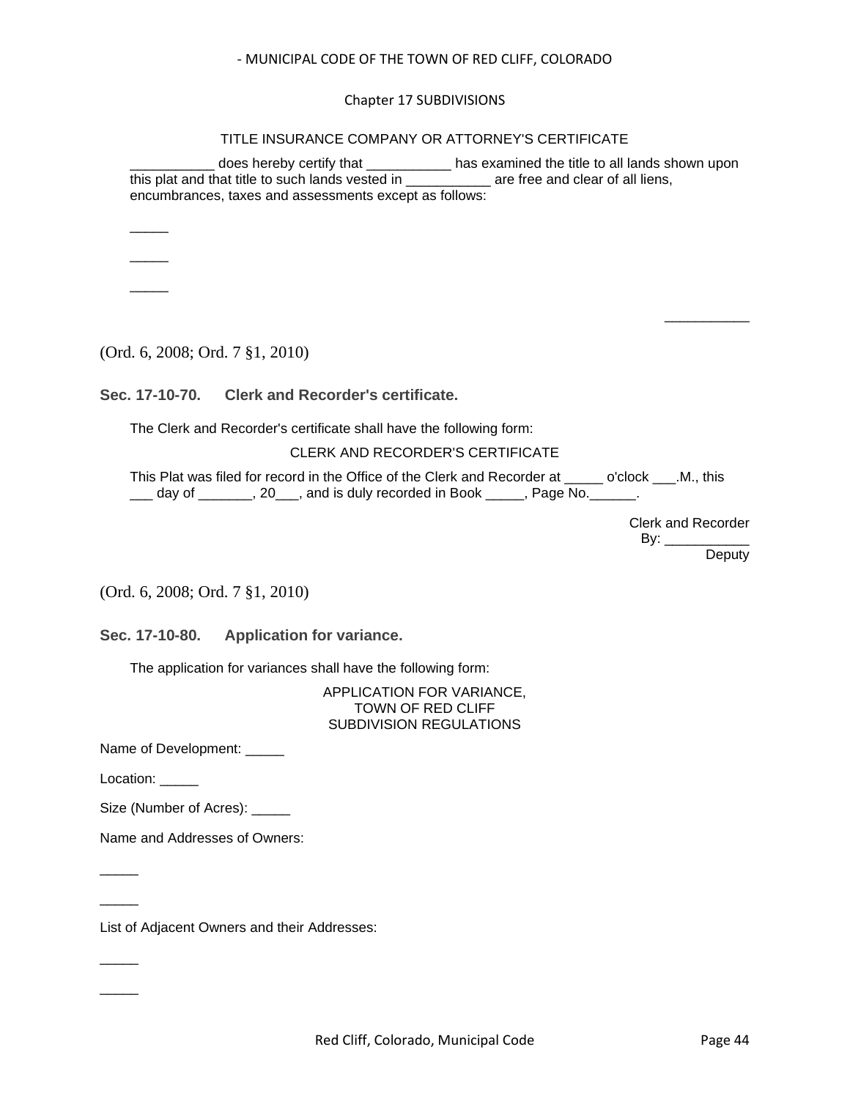Chapter 17 SUBDIVISIONS

TITLE INSURANCE COMPANY OR ATTORNEY'S CERTIFICATE

\_\_\_\_\_\_\_\_\_\_\_ does hereby certify that \_\_\_\_\_\_\_\_\_\_\_ has examined the title to all lands shown upon this plat and that title to such lands vested in \_\_\_\_\_\_\_\_\_\_\_ are free and clear of all liens, encumbrances, taxes and assessments except as follows:

 $\overline{\phantom{a}}$  $\overline{\phantom{a}}$ 

 $\overline{\phantom{a}}$ 

(Ord. 6, 2008; Ord. 7 §1, 2010)

<span id="page-43-0"></span>**Sec. 17-10-70. Clerk and Recorder's certificate.**

The Clerk and Recorder's certificate shall have the following form:

## CLERK AND RECORDER'S CERTIFICATE

This Plat was filed for record in the Office of the Clerk and Recorder at \_\_\_\_\_ o'clock \_\_\_.M., this day of \_\_\_\_\_\_, 20\_\_\_, and is duly recorded in Book \_\_\_\_\_, Page No. \_\_\_\_\_.

> Clerk and Recorder By:  $\_\_$

\_\_\_\_\_\_\_\_\_\_\_

**Deputy** 

(Ord. 6, 2008; Ord. 7 §1, 2010)

<span id="page-43-1"></span>**Sec. 17-10-80. Application for variance.**

The application for variances shall have the following form:

APPLICATION FOR VARIANCE, TOWN OF RED CLIFF SUBDIVISION REGULATIONS

Name of Development: \_\_\_\_\_

Location: \_\_\_\_\_

 $\overline{\phantom{a}}$ 

 $\overline{\phantom{a}}$ 

 $\overline{\phantom{a}}$ 

 $\overline{\phantom{a}}$ 

Size (Number of Acres): \_\_\_\_\_

Name and Addresses of Owners:

List of Adjacent Owners and their Addresses: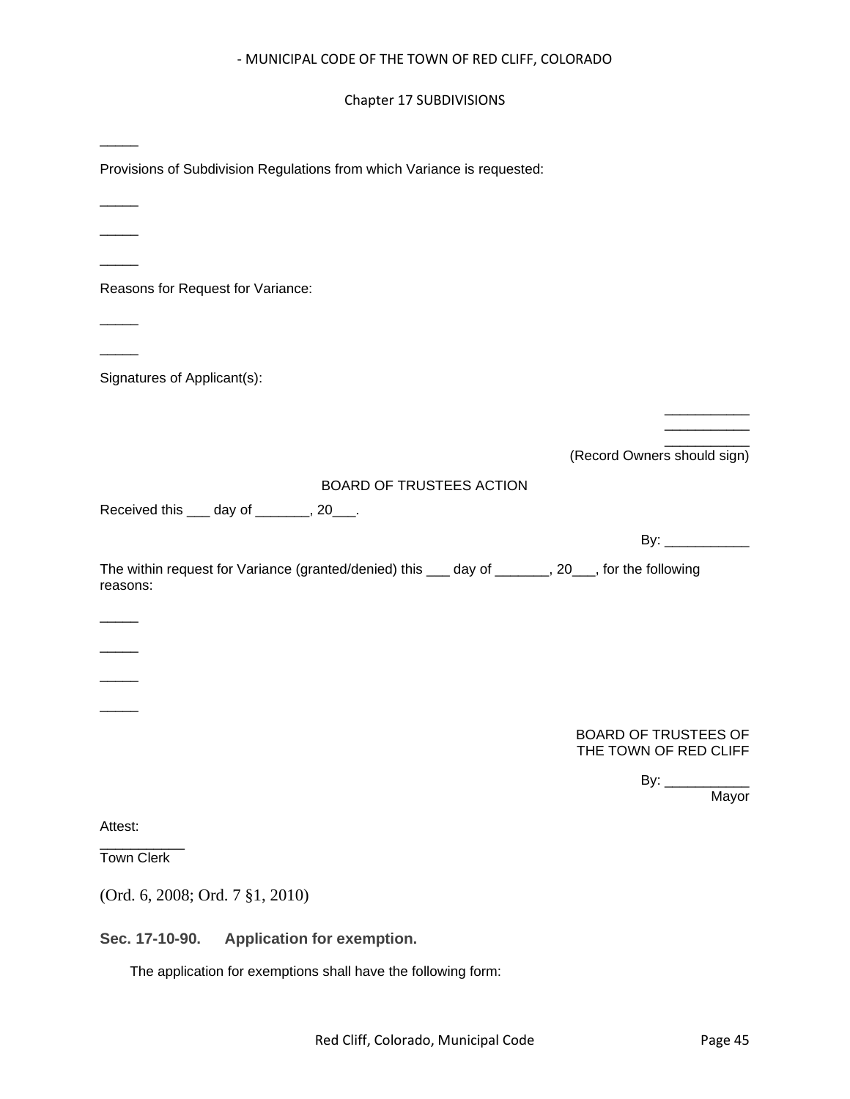## Chapter 17 SUBDIVISIONS

<span id="page-44-0"></span>

| Provisions of Subdivision Regulations from which Variance is requested:                                      |                                                      |
|--------------------------------------------------------------------------------------------------------------|------------------------------------------------------|
|                                                                                                              |                                                      |
|                                                                                                              |                                                      |
| Reasons for Request for Variance:                                                                            |                                                      |
|                                                                                                              |                                                      |
| Signatures of Applicant(s):                                                                                  |                                                      |
|                                                                                                              |                                                      |
|                                                                                                              | (Record Owners should sign)                          |
| BOARD OF TRUSTEES ACTION                                                                                     |                                                      |
| Received this ____ day of ________, 20___.                                                                   |                                                      |
|                                                                                                              | By: $\frac{1}{2}$                                    |
| The within request for Variance (granted/denied) this ___ day of ______, 20__, for the following<br>reasons: |                                                      |
|                                                                                                              |                                                      |
|                                                                                                              |                                                      |
|                                                                                                              |                                                      |
|                                                                                                              |                                                      |
|                                                                                                              | <b>BOARD OF TRUSTEES OF</b><br>THE TOWN OF RED CLIFF |
|                                                                                                              | By: $\_\_\_\_\_\_\$<br>Mayor                         |
| Attest:                                                                                                      |                                                      |
| <b>Town Clerk</b>                                                                                            |                                                      |
| (Ord. 6, 2008; Ord. 7 §1, 2010)                                                                              |                                                      |
| Sec. 17-10-90.<br>Application for exemption.                                                                 |                                                      |
| The application for exemptions shall have the following form:                                                |                                                      |
|                                                                                                              |                                                      |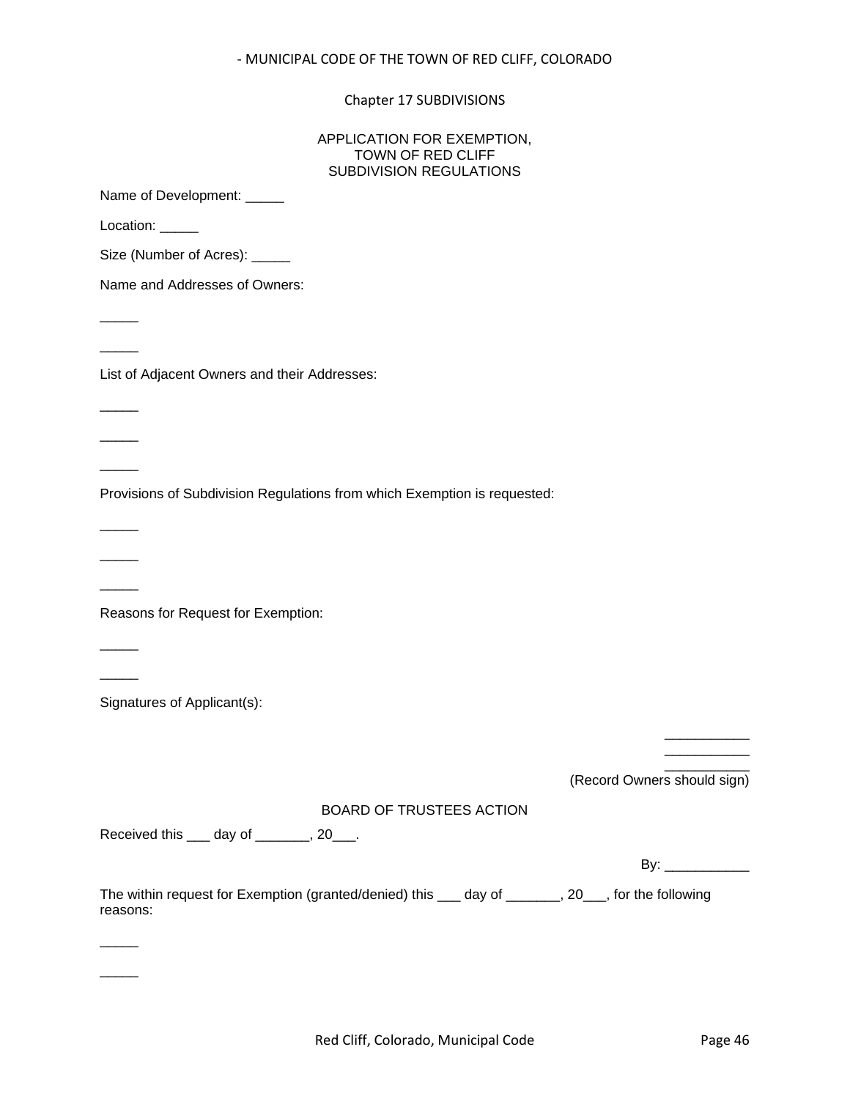Chapter 17 SUBDIVISIONS

| APPLICATION FOR EXEMPTION,<br>TOWN OF RED CLIFF<br><b>SUBDIVISION REGULATIONS</b>                              |                                                                                                                                                                                                                                                                                                                                                                                                                  |
|----------------------------------------------------------------------------------------------------------------|------------------------------------------------------------------------------------------------------------------------------------------------------------------------------------------------------------------------------------------------------------------------------------------------------------------------------------------------------------------------------------------------------------------|
| Name of Development: _____                                                                                     |                                                                                                                                                                                                                                                                                                                                                                                                                  |
| Location: _____                                                                                                |                                                                                                                                                                                                                                                                                                                                                                                                                  |
| Size (Number of Acres): _____                                                                                  |                                                                                                                                                                                                                                                                                                                                                                                                                  |
| Name and Addresses of Owners:                                                                                  |                                                                                                                                                                                                                                                                                                                                                                                                                  |
|                                                                                                                |                                                                                                                                                                                                                                                                                                                                                                                                                  |
|                                                                                                                |                                                                                                                                                                                                                                                                                                                                                                                                                  |
| List of Adjacent Owners and their Addresses:                                                                   |                                                                                                                                                                                                                                                                                                                                                                                                                  |
|                                                                                                                |                                                                                                                                                                                                                                                                                                                                                                                                                  |
|                                                                                                                |                                                                                                                                                                                                                                                                                                                                                                                                                  |
|                                                                                                                |                                                                                                                                                                                                                                                                                                                                                                                                                  |
| Provisions of Subdivision Regulations from which Exemption is requested:                                       |                                                                                                                                                                                                                                                                                                                                                                                                                  |
|                                                                                                                |                                                                                                                                                                                                                                                                                                                                                                                                                  |
|                                                                                                                |                                                                                                                                                                                                                                                                                                                                                                                                                  |
|                                                                                                                |                                                                                                                                                                                                                                                                                                                                                                                                                  |
| Reasons for Request for Exemption:                                                                             |                                                                                                                                                                                                                                                                                                                                                                                                                  |
|                                                                                                                |                                                                                                                                                                                                                                                                                                                                                                                                                  |
|                                                                                                                |                                                                                                                                                                                                                                                                                                                                                                                                                  |
| Signatures of Applicant(s):                                                                                    |                                                                                                                                                                                                                                                                                                                                                                                                                  |
|                                                                                                                |                                                                                                                                                                                                                                                                                                                                                                                                                  |
|                                                                                                                | (Record Owners should sign)                                                                                                                                                                                                                                                                                                                                                                                      |
| <b>BOARD OF TRUSTEES ACTION</b>                                                                                |                                                                                                                                                                                                                                                                                                                                                                                                                  |
| Received this ____ day of _______, 20___.                                                                      |                                                                                                                                                                                                                                                                                                                                                                                                                  |
|                                                                                                                | By: $\frac{1}{\sqrt{1-\frac{1}{2}}\sqrt{1-\frac{1}{2}}\sqrt{1-\frac{1}{2}}\sqrt{1-\frac{1}{2}}\sqrt{1-\frac{1}{2}}\sqrt{1-\frac{1}{2}}\sqrt{1-\frac{1}{2}}\sqrt{1-\frac{1}{2}}\sqrt{1-\frac{1}{2}}\sqrt{1-\frac{1}{2}}\sqrt{1-\frac{1}{2}}\sqrt{1-\frac{1}{2}}\sqrt{1-\frac{1}{2}}\sqrt{1-\frac{1}{2}}\sqrt{1-\frac{1}{2}}\sqrt{1-\frac{1}{2}}\sqrt{1-\frac{1}{2}}\sqrt{1-\frac{1}{2}}\sqrt{1-\frac{1}{2}}\sqrt$ |
| The within request for Exemption (granted/denied) this ___ day of _______, 20__, for the following<br>reasons: |                                                                                                                                                                                                                                                                                                                                                                                                                  |
|                                                                                                                |                                                                                                                                                                                                                                                                                                                                                                                                                  |
|                                                                                                                |                                                                                                                                                                                                                                                                                                                                                                                                                  |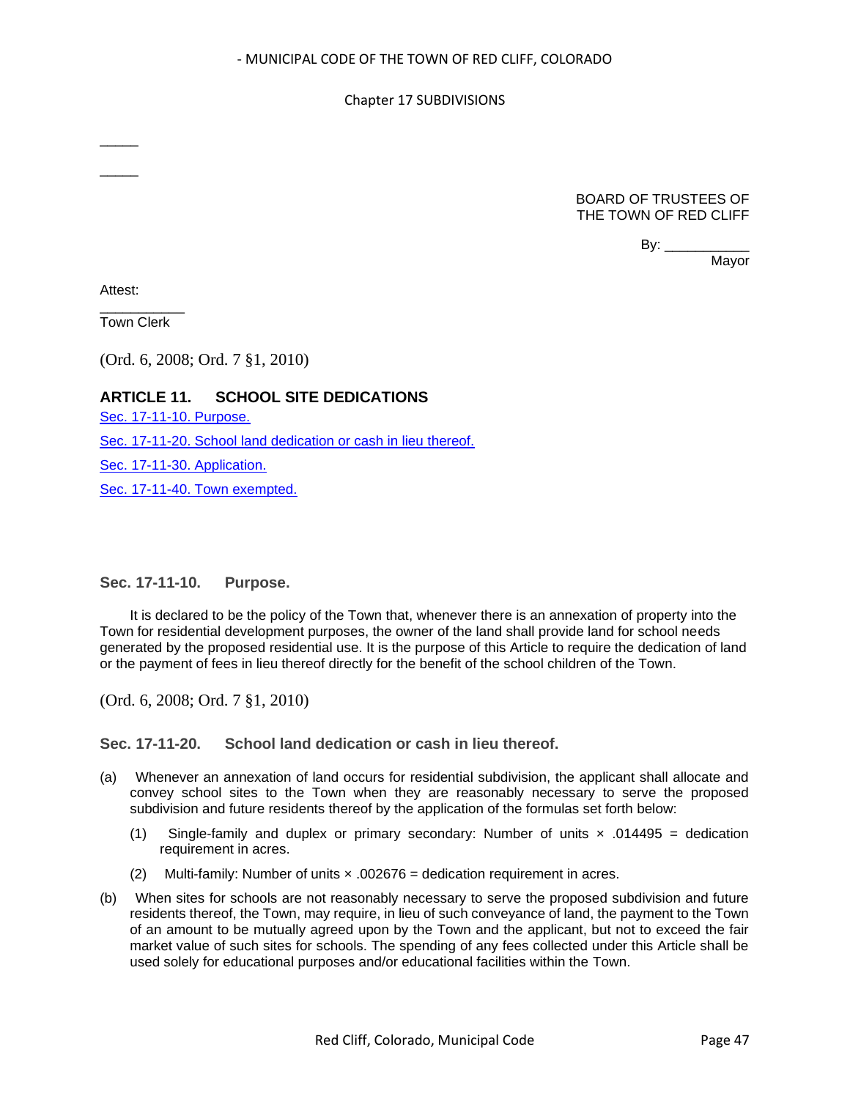#### Chapter 17 SUBDIVISIONS

BOARD OF TRUSTEES OF THE TOWN OF RED CLIFF

By:  $\_\_$ 

Mayor

Attest:

 $\overline{\phantom{a}}$ 

 $\overline{\phantom{a}}$ 

\_\_\_\_\_\_\_\_\_\_\_ Town Clerk

(Ord. 6, 2008; Ord. 7 §1, 2010)

## **ARTICLE 11. SCHOOL SITE DEDICATIONS**

[Sec. 17-11-10. Purpose.](#page-46-0) [Sec. 17-11-20. School land dedication or cash in lieu thereof.](#page-46-1) [Sec. 17-11-30. Application.](#page-47-0) [Sec. 17-11-40. Town exempted.](#page-47-1)

<span id="page-46-0"></span>**Sec. 17-11-10. Purpose.**

It is declared to be the policy of the Town that, whenever there is an annexation of property into the Town for residential development purposes, the owner of the land shall provide land for school needs generated by the proposed residential use. It is the purpose of this Article to require the dedication of land or the payment of fees in lieu thereof directly for the benefit of the school children of the Town.

(Ord. 6, 2008; Ord. 7 §1, 2010)

<span id="page-46-1"></span>**Sec. 17-11-20. School land dedication or cash in lieu thereof.**

- (a) Whenever an annexation of land occurs for residential subdivision, the applicant shall allocate and convey school sites to the Town when they are reasonably necessary to serve the proposed subdivision and future residents thereof by the application of the formulas set forth below:
	- (1) Single-family and duplex or primary secondary: Number of units  $\times$  .014495 = dedication requirement in acres.
	- (2) Multi-family: Number of units × .002676 = dedication requirement in acres.
- (b) When sites for schools are not reasonably necessary to serve the proposed subdivision and future residents thereof, the Town, may require, in lieu of such conveyance of land, the payment to the Town of an amount to be mutually agreed upon by the Town and the applicant, but not to exceed the fair market value of such sites for schools. The spending of any fees collected under this Article shall be used solely for educational purposes and/or educational facilities within the Town.